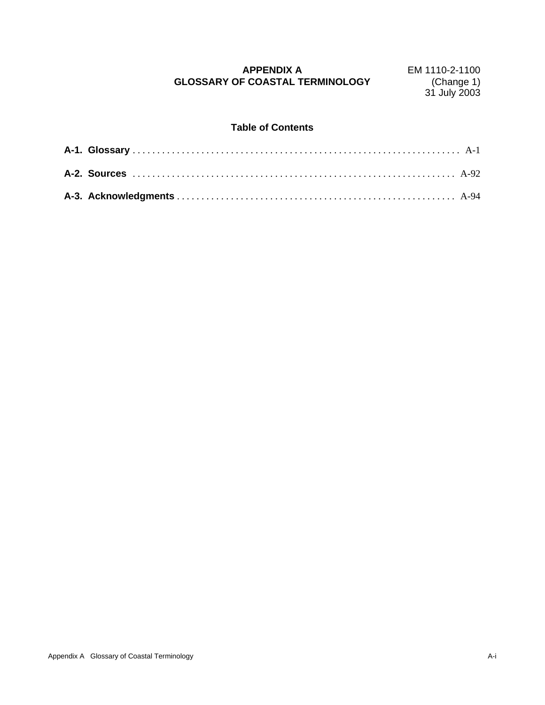# **APPENDIX A** EM 1110-2-1100 **GLOSSARY OF COASTAL TERMINOLOGY**

(Change 1)<br>31 July 2003

# **Table of Contents**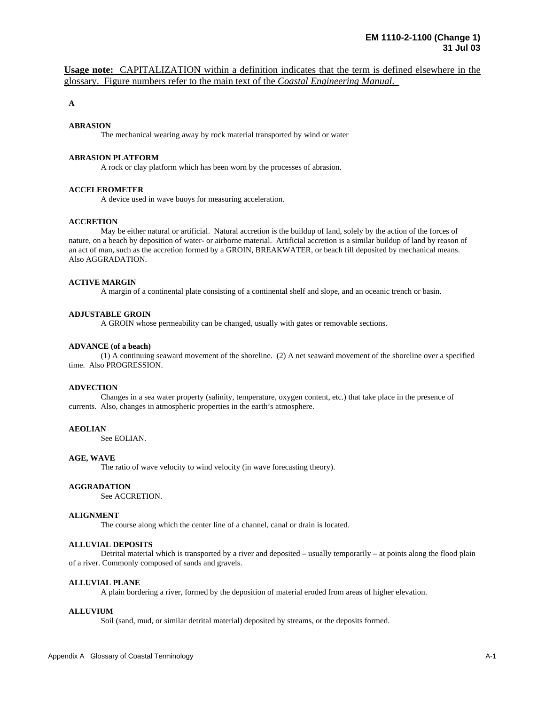**Usage note:** CAPITALIZATION within a definition indicates that the term is defined elsewhere in the glossary. Figure numbers refer to the main text of the *Coastal Engineering Manual*.

# **A**

## **ABRASION**

The mechanical wearing away by rock material transported by wind or water

## **ABRASION PLATFORM**

A rock or clay platform which has been worn by the processes of abrasion.

## **ACCELEROMETER**

A device used in wave buoys for measuring acceleration.

## **ACCRETION**

May be either natural or artificial. Natural accretion is the buildup of land, solely by the action of the forces of nature, on a beach by deposition of water- or airborne material. Artificial accretion is a similar buildup of land by reason of an act of man, such as the accretion formed by a GROIN, BREAKWATER, or beach fill deposited by mechanical means. Also AGGRADATION.

#### **ACTIVE MARGIN**

A margin of a continental plate consisting of a continental shelf and slope, and an oceanic trench or basin.

## **ADJUSTABLE GROIN**

A GROIN whose permeability can be changed, usually with gates or removable sections.

#### **ADVANCE (of a beach)**

(1) A continuing seaward movement of the shoreline. (2) A net seaward movement of the shoreline over a specified time. Also PROGRESSION.

## **ADVECTION**

Changes in a sea water property (salinity, temperature, oxygen content, etc.) that take place in the presence of currents. Also, changes in atmospheric properties in the earth's atmosphere.

# **AEOLIAN**

See EOLIAN.

#### **AGE, WAVE**

The ratio of wave velocity to wind velocity (in wave forecasting theory).

## **AGGRADATION**

See ACCRETION.

#### **ALIGNMENT**

The course along which the center line of a channel, canal or drain is located.

#### **ALLUVIAL DEPOSITS**

Detrital material which is transported by a river and deposited – usually temporarily – at points along the flood plain of a river. Commonly composed of sands and gravels.

## **ALLUVIAL PLANE**

A plain bordering a river, formed by the deposition of material eroded from areas of higher elevation.

## **ALLUVIUM**

Soil (sand, mud, or similar detrital material) deposited by streams, or the deposits formed.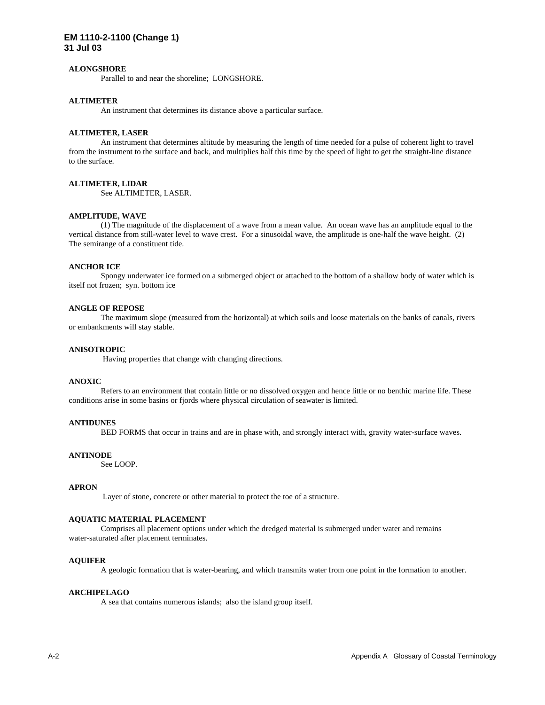# **ALONGSHORE**

Parallel to and near the shoreline; LONGSHORE.

## **ALTIMETER**

An instrument that determines its distance above a particular surface.

#### **ALTIMETER, LASER**

An instrument that determines altitude by measuring the length of time needed for a pulse of coherent light to travel from the instrument to the surface and back, and multiplies half this time by the speed of light to get the straight-line distance to the surface.

## **ALTIMETER, LIDAR**

See ALTIMETER, LASER.

# **AMPLITUDE, WAVE**

(1) The magnitude of the displacement of a wave from a mean value. An ocean wave has an amplitude equal to the vertical distance from still-water level to wave crest. For a sinusoidal wave, the amplitude is one-half the wave height. (2) The semirange of a constituent tide.

#### **ANCHOR ICE**

Spongy underwater ice formed on a submerged object or attached to the bottom of a shallow body of water which is itself not frozen; syn. bottom ice

## **ANGLE OF REPOSE**

The maximum slope (measured from the horizontal) at which soils and loose materials on the banks of canals, rivers or embankments will stay stable.

#### **ANISOTROPIC**

Having properties that change with changing directions.

## **ANOXIC**

Refers to an environment that contain little or no dissolved oxygen and hence little or no benthic marine life. These conditions arise in some basins or fjords where physical circulation of seawater is limited.

#### **ANTIDUNES**

BED FORMS that occur in trains and are in phase with, and strongly interact with, gravity water-surface waves.

#### **ANTINODE**

See LOOP.

## **APRON**

Layer of stone, concrete or other material to protect the toe of a structure.

## **AQUATIC MATERIAL PLACEMENT**

Comprises all placement options under which the dredged material is submerged under water and remains water-saturated after placement terminates.

#### **AQUIFER**

A geologic formation that is water-bearing, and which transmits water from one point in the formation to another.

#### **ARCHIPELAGO**

A sea that contains numerous islands; also the island group itself.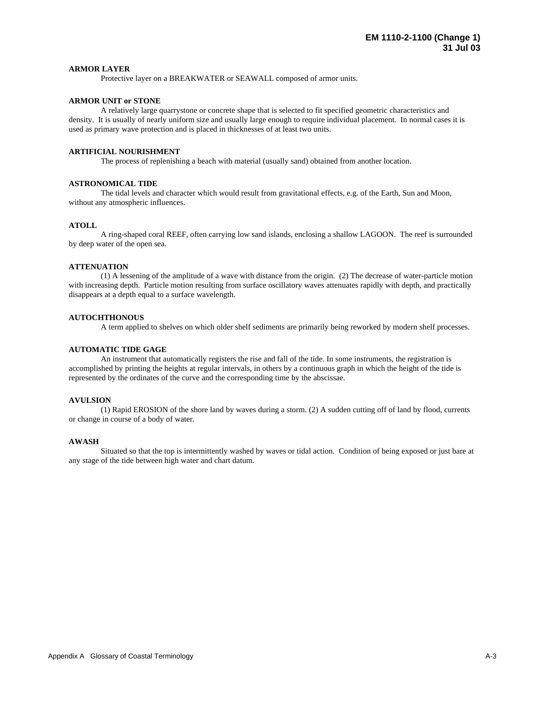# **ARMOR LAYER**

Protective layer on a BREAKWATER or SEAWALL composed of armor units.

## **ARMOR UNIT or STONE**

A relatively large quarrystone or concrete shape that is selected to fit specified geometric characteristics and density. It is usually of nearly uniform size and usually large enough to require individual placement. In normal cases it is used as primary wave protection and is placed in thicknesses of at least two units.

# **ARTIFICIAL NOURISHMENT**

The process of replenishing a beach with material (usually sand) obtained from another location.

## **ASTRONOMICAL TIDE**

The tidal levels and character which would result from gravitational effects, e.g. of the Earth, Sun and Moon, without any atmospheric influences.

#### **ATOLL**

A ring-shaped coral REEF, often carrying low sand islands, enclosing a shallow LAGOON. The reef is surrounded by deep water of the open sea.

## **ATTENUATION**

(1) A lessening of the amplitude of a wave with distance from the origin. (2) The decrease of water-particle motion with increasing depth. Particle motion resulting from surface oscillatory waves attenuates rapidly with depth, and practically disappears at a depth equal to a surface wavelength.

## **AUTOCHTHONOUS**

A term applied to shelves on which older shelf sediments are primarily being reworked by modern shelf processes.

## **AUTOMATIC TIDE GAGE**

An instrument that automatically registers the rise and fall of the tide. In some instruments, the registration is accomplished by printing the heights at regular intervals, in others by a continuous graph in which the height of the tide is represented by the ordinates of the curve and the corresponding time by the abscissae.

#### **AVULSION**

(1) Rapid EROSION of the shore land by waves during a storm. (2) A sudden cutting off of land by flood, currents or change in course of a body of water.

#### **AWASH**

Situated so that the top is intermittently washed by waves or tidal action. Condition of being exposed or just bare at any stage of the tide between high water and chart datum.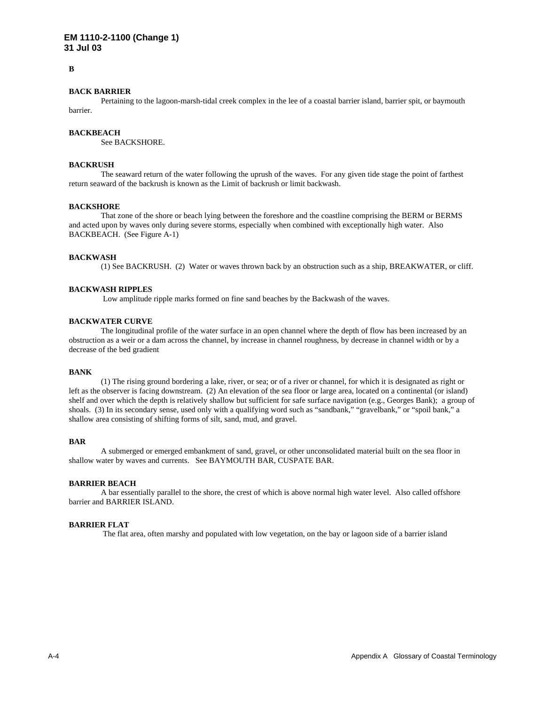# **B**

## **BACK BARRIER**

Pertaining to the lagoon-marsh-tidal creek complex in the lee of a coastal barrier island, barrier spit, or baymouth barrier.

## **BACKBEACH**

See BACKSHORE.

## **BACKRUSH**

The seaward return of the water following the uprush of the waves. For any given tide stage the point of farthest return seaward of the backrush is known as the Limit of backrush or limit backwash.

## **BACKSHORE**

That zone of the shore or beach lying between the foreshore and the coastline comprising the BERM or BERMS and acted upon by waves only during severe storms, especially when combined with exceptionally high water. Also BACKBEACH. (See Figure A-1)

## **BACKWASH**

(1) See BACKRUSH. (2) Water or waves thrown back by an obstruction such as a ship, BREAKWATER, or cliff.

## **BACKWASH RIPPLES**

Low amplitude ripple marks formed on fine sand beaches by the Backwash of the waves.

## **BACKWATER CURVE**

The longitudinal profile of the water surface in an open channel where the depth of flow has been increased by an obstruction as a weir or a dam across the channel, by increase in channel roughness, by decrease in channel width or by a decrease of the bed gradient

## **BANK**

(1) The rising ground bordering a lake, river, or sea; or of a river or channel, for which it is designated as right or left as the observer is facing downstream. (2) An elevation of the sea floor or large area, located on a continental (or island) shelf and over which the depth is relatively shallow but sufficient for safe surface navigation (e.g., Georges Bank); a group of shoals. (3) In its secondary sense, used only with a qualifying word such as "sandbank," "gravelbank," or "spoil bank," a shallow area consisting of shifting forms of silt, sand, mud, and gravel.

## **BAR**

A submerged or emerged embankment of sand, gravel, or other unconsolidated material built on the sea floor in shallow water by waves and currents. See BAYMOUTH BAR, CUSPATE BAR.

## **BARRIER BEACH**

A bar essentially parallel to the shore, the crest of which is above normal high water level. Also called offshore barrier and BARRIER ISLAND.

## **BARRIER FLAT**

The flat area, often marshy and populated with low vegetation, on the bay or lagoon side of a barrier island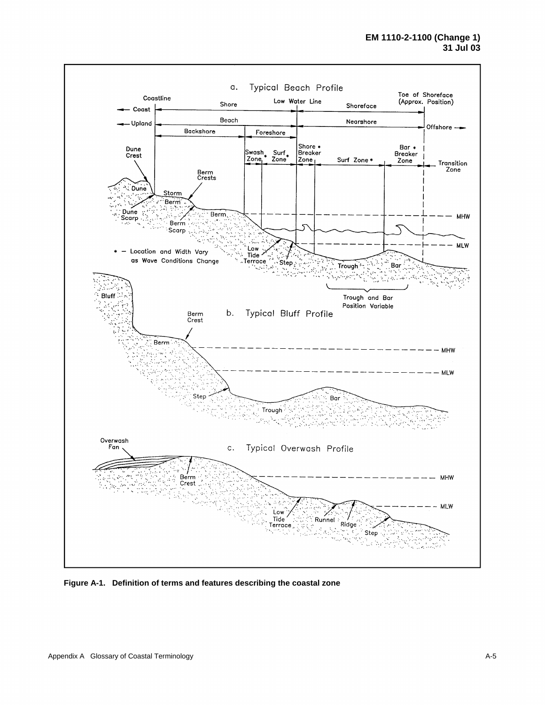

**Figure A-1. Definition of terms and features describing the coastal zone**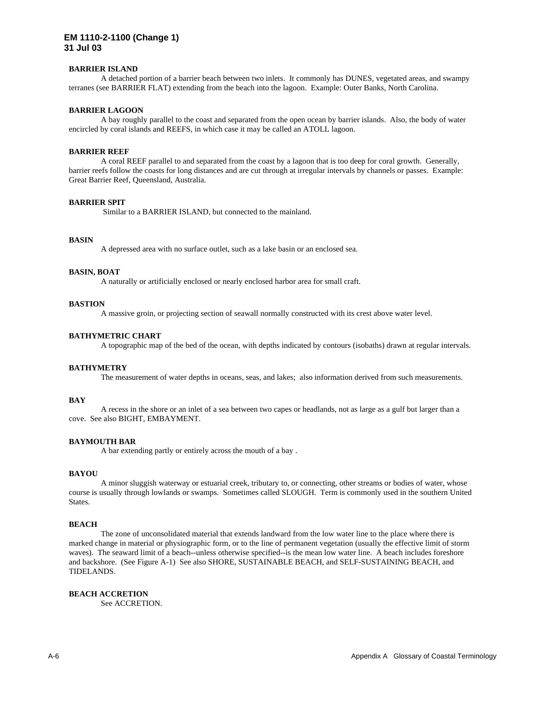## **BARRIER ISLAND**

A detached portion of a barrier beach between two inlets. It commonly has DUNES, vegetated areas, and swampy terranes (see BARRIER FLAT) extending from the beach into the lagoon. Example: Outer Banks, North Carolina.

## **BARRIER LAGOON**

A bay roughly parallel to the coast and separated from the open ocean by barrier islands. Also, the body of water encircled by coral islands and REEFS, in which case it may be called an ATOLL lagoon.

#### **BARRIER REEF**

A coral REEF parallel to and separated from the coast by a lagoon that is too deep for coral growth. Generally, barrier reefs follow the coasts for long distances and are cut through at irregular intervals by channels or passes. Example: Great Barrier Reef, Queensland, Australia.

#### **BARRIER SPIT**

Similar to a BARRIER ISLAND, but connected to the mainland.

#### **BASIN**

A depressed area with no surface outlet, such as a lake basin or an enclosed sea.

#### **BASIN, BOAT**

A naturally or artificially enclosed or nearly enclosed harbor area for small craft.

#### **BASTION**

A massive groin, or projecting section of seawall normally constructed with its crest above water level.

#### **BATHYMETRIC CHART**

A topographic map of the bed of the ocean, with depths indicated by contours (isobaths) drawn at regular intervals.

#### **BATHYMETRY**

The measurement of water depths in oceans, seas, and lakes; also information derived from such measurements.

## **BAY**

A recess in the shore or an inlet of a sea between two capes or headlands, not as large as a gulf but larger than a cove. See also BIGHT, EMBAYMENT.

#### **BAYMOUTH BAR**

A bar extending partly or entirely across the mouth of a bay .

## **BAYOU**

A minor sluggish waterway or estuarial creek, tributary to, or connecting, other streams or bodies of water, whose course is usually through lowlands or swamps. Sometimes called SLOUGH. Term is commonly used in the southern United **States**.

#### **BEACH**

The zone of unconsolidated material that extends landward from the low water line to the place where there is marked change in material or physiographic form, or to the line of permanent vegetation (usually the effective limit of storm waves). The seaward limit of a beach--unless otherwise specified--is the mean low water line. A beach includes foreshore and backshore. (See Figure A-1) See also SHORE, SUSTAINABLE BEACH, and SELF-SUSTAINING BEACH, and TIDELANDS.

## **BEACH ACCRETION**

See ACCRETION.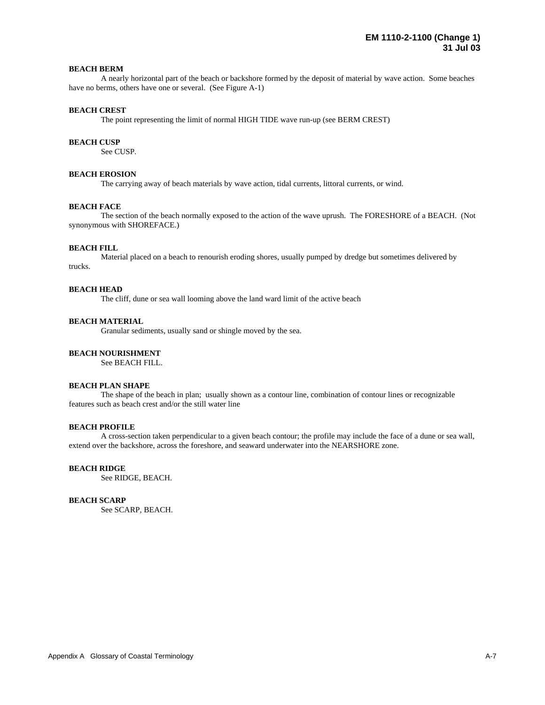# **BEACH BERM**

A nearly horizontal part of the beach or backshore formed by the deposit of material by wave action. Some beaches have no berms, others have one or several. (See Figure A-1)

## **BEACH CREST**

The point representing the limit of normal HIGH TIDE wave run-up (see BERM CREST)

# **BEACH CUSP**

See CUSP.

#### **BEACH EROSION**

The carrying away of beach materials by wave action, tidal currents, littoral currents, or wind.

#### **BEACH FACE**

The section of the beach normally exposed to the action of the wave uprush. The FORESHORE of a BEACH. (Not synonymous with SHOREFACE.)

#### **BEACH FILL**

Material placed on a beach to renourish eroding shores, usually pumped by dredge but sometimes delivered by trucks.

## **BEACH HEAD**

The cliff, dune or sea wall looming above the land ward limit of the active beach

#### **BEACH MATERIAL**

Granular sediments, usually sand or shingle moved by the sea.

# **BEACH NOURISHMENT**

See BEACH FILL.

## **BEACH PLAN SHAPE**

The shape of the beach in plan; usually shown as a contour line, combination of contour lines or recognizable features such as beach crest and/or the still water line

#### **BEACH PROFILE**

A cross-section taken perpendicular to a given beach contour; the profile may include the face of a dune or sea wall, extend over the backshore, across the foreshore, and seaward underwater into the NEARSHORE zone.

#### **BEACH RIDGE**

See RIDGE, BEACH.

## **BEACH SCARP**

See SCARP, BEACH.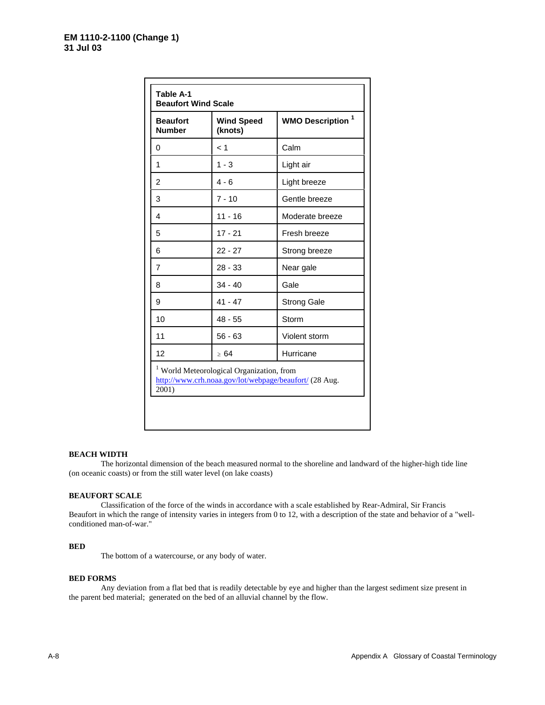| <b>Beaufort</b><br><b>Number</b> | <b>Wind Speed</b><br>(knots)                                                                                   | <b>WMO Description 1</b> |
|----------------------------------|----------------------------------------------------------------------------------------------------------------|--------------------------|
| 0                                | < 1                                                                                                            | Calm                     |
| 1                                | $1 - 3$                                                                                                        | Light air                |
| $\overline{2}$                   | $4 - 6$                                                                                                        | Light breeze             |
| 3                                | $7 - 10$                                                                                                       | Gentle breeze            |
| $\overline{\mathbf{4}}$          | $11 - 16$                                                                                                      | Moderate breeze          |
| 5                                | $17 - 21$                                                                                                      | Fresh breeze             |
| 6                                | $22 - 27$                                                                                                      | Strong breeze            |
| 7                                | $28 - 33$                                                                                                      | Near gale                |
| 8                                | $34 - 40$                                                                                                      | Gale                     |
| 9                                | $41 - 47$                                                                                                      | <b>Strong Gale</b>       |
| 10                               | $48 - 55$                                                                                                      | Storm                    |
| 11                               | $56 - 63$                                                                                                      | Violent storm            |
| 12                               | $\geq 64$                                                                                                      | Hurricane                |
| 2001)                            | <sup>1</sup> World Meteorological Organization, from<br>http://www.crh.noaa.gov/lot/webpage/beaufort/ (28 Aug. |                          |

# **BEACH WIDTH**

The horizontal dimension of the beach measured normal to the shoreline and landward of the higher-high tide line (on oceanic coasts) or from the still water level (on lake coasts)

# **BEAUFORT SCALE**

Classification of the force of the winds in accordance with a scale established by Rear-Admiral, Sir Francis Beaufort in which the range of intensity varies in integers from 0 to 12, with a description of the state and behavior of a "wellconditioned man-of-war."

# **BED**

The bottom of a watercourse, or any body of water.

# **BED FORMS**

Any deviation from a flat bed that is readily detectable by eye and higher than the largest sediment size present in the parent bed material; generated on the bed of an alluvial channel by the flow.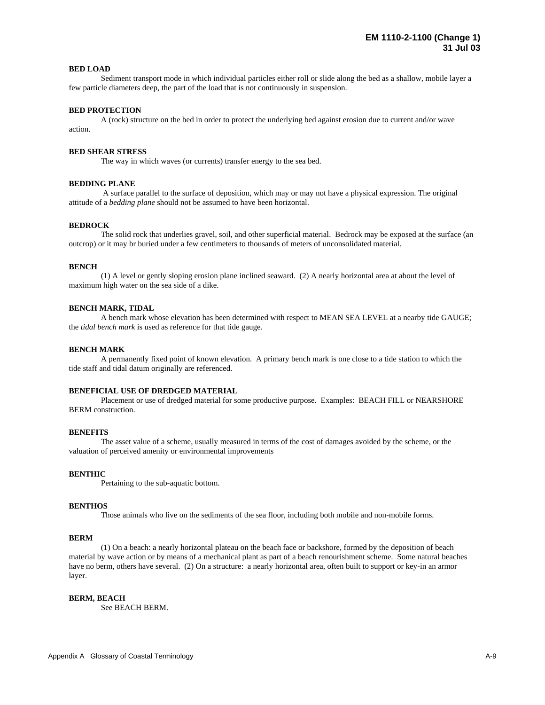# **BED LOAD**

Sediment transport mode in which individual particles either roll or slide along the bed as a shallow, mobile layer a few particle diameters deep, the part of the load that is not continuously in suspension.

#### **BED PROTECTION**

A (rock) structure on the bed in order to protect the underlying bed against erosion due to current and/or wave action.

## **BED SHEAR STRESS**

The way in which waves (or currents) transfer energy to the sea bed.

## **BEDDING PLANE**

 A surface parallel to the surface of deposition, which may or may not have a physical expression. The original attitude of a *bedding plane* should not be assumed to have been horizontal.

#### **BEDROCK**

The solid rock that underlies gravel, soil, and other superficial material. Bedrock may be exposed at the surface (an outcrop) or it may br buried under a few centimeters to thousands of meters of unconsolidated material.

#### **BENCH**

(1) A level or gently sloping erosion plane inclined seaward. (2) A nearly horizontal area at about the level of maximum high water on the sea side of a dike.

# **BENCH MARK, TIDAL**

A bench mark whose elevation has been determined with respect to MEAN SEA LEVEL at a nearby tide GAUGE; the *tidal bench mark* is used as reference for that tide gauge.

#### **BENCH MARK**

A permanently fixed point of known elevation. A primary bench mark is one close to a tide station to which the tide staff and tidal datum originally are referenced.

## **BENEFICIAL USE OF DREDGED MATERIAL**

Placement or use of dredged material for some productive purpose. Examples: BEACH FILL or NEARSHORE BERM construction.

## **BENEFITS**

The asset value of a scheme, usually measured in terms of the cost of damages avoided by the scheme, or the valuation of perceived amenity or environmental improvements

## **BENTHIC**

Pertaining to the sub-aquatic bottom.

#### **BENTHOS**

Those animals who live on the sediments of the sea floor, including both mobile and non-mobile forms.

### **BERM**

(1) On a beach: a nearly horizontal plateau on the beach face or backshore, formed by the deposition of beach material by wave action or by means of a mechanical plant as part of a beach renourishment scheme. Some natural beaches have no berm, others have several. (2) On a structure: a nearly horizontal area, often built to support or key-in an armor layer.

## **BERM, BEACH**

See BEACH BERM.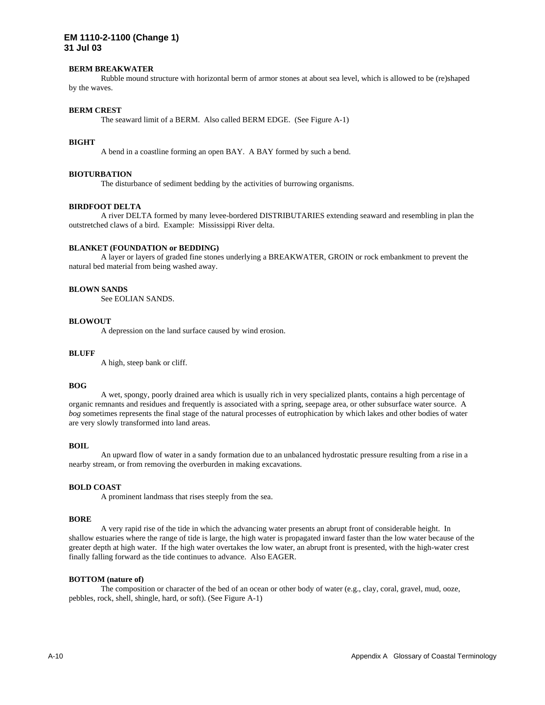# **BERM BREAKWATER**

Rubble mound structure with horizontal berm of armor stones at about sea level, which is allowed to be (re)shaped by the waves.

#### **BERM CREST**

The seaward limit of a BERM. Also called BERM EDGE. (See Figure A-1)

# **BIGHT**

A bend in a coastline forming an open BAY. A BAY formed by such a bend.

#### **BIOTURBATION**

The disturbance of sediment bedding by the activities of burrowing organisms.

## **BIRDFOOT DELTA**

A river DELTA formed by many levee-bordered DISTRIBUTARIES extending seaward and resembling in plan the outstretched claws of a bird. Example: Mississippi River delta.

# **BLANKET (FOUNDATION or BEDDING)**

A layer or layers of graded fine stones underlying a BREAKWATER, GROIN or rock embankment to prevent the natural bed material from being washed away.

#### **BLOWN SANDS**

See EOLIAN SANDS.

#### **BLOWOUT**

A depression on the land surface caused by wind erosion.

#### **BLUFF**

A high, steep bank or cliff.

#### **BOG**

A wet, spongy, poorly drained area which is usually rich in very specialized plants, contains a high percentage of organic remnants and residues and frequently is associated with a spring, seepage area, or other subsurface water source. A *bog* sometimes represents the final stage of the natural processes of eutrophication by which lakes and other bodies of water are very slowly transformed into land areas.

#### **BOIL**

An upward flow of water in a sandy formation due to an unbalanced hydrostatic pressure resulting from a rise in a nearby stream, or from removing the overburden in making excavations.

#### **BOLD COAST**

A prominent landmass that rises steeply from the sea.

#### **BORE**

A very rapid rise of the tide in which the advancing water presents an abrupt front of considerable height. In shallow estuaries where the range of tide is large, the high water is propagated inward faster than the low water because of the greater depth at high water. If the high water overtakes the low water, an abrupt front is presented, with the high-water crest finally falling forward as the tide continues to advance. Also EAGER.

#### **BOTTOM (nature of)**

The composition or character of the bed of an ocean or other body of water (e.g., clay, coral, gravel, mud, ooze, pebbles, rock, shell, shingle, hard, or soft). (See Figure A-1)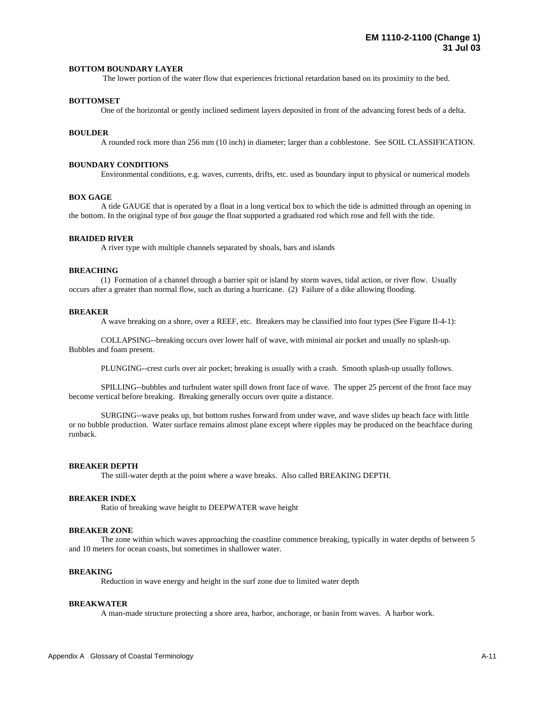## **BOTTOM BOUNDARY LAYER**

The lower portion of the water flow that experiences frictional retardation based on its proximity to the bed.

#### **BOTTOMSET**

One of the horizontal or gently inclined sediment layers deposited in front of the advancing forest beds of a delta.

#### **BOULDER**

A rounded rock more than 256 mm (10 inch) in diameter; larger than a cobblestone. See SOIL CLASSIFICATION.

## **BOUNDARY CONDITIONS**

Environmental conditions, e.g. waves, currents, drifts, etc. used as boundary input to physical or numerical models

# **BOX GAGE**

A tide GAUGE that is operated by a float in a long vertical box to which the tide is admitted through an opening in the bottom. In the original type of *box gauge* the float supported a graduated rod which rose and fell with the tide.

## **BRAIDED RIVER**

A river type with multiple channels separated by shoals, bars and islands

## **BREACHING**

(1) Formation of a channel through a barrier spit or island by storm waves, tidal action, or river flow. Usually occurs after a greater than normal flow, such as during a hurricane. (2) Failure of a dike allowing flooding.

#### **BREAKER**

A wave breaking on a shore, over a REEF, etc. Breakers may be classified into four types (See Figure II-4-1):

COLLAPSING--breaking occurs over lower half of wave, with minimal air pocket and usually no splash-up. Bubbles and foam present.

PLUNGING--crest curls over air pocket; breaking is usually with a crash. Smooth splash-up usually follows.

SPILLING--bubbles and turbulent water spill down front face of wave. The upper 25 percent of the front face may become vertical before breaking. Breaking generally occurs over quite a distance.

SURGING--wave peaks up, but bottom rushes forward from under wave, and wave slides up beach face with little or no bubble production. Water surface remains almost plane except where ripples may be produced on the beachface during runback.

#### **BREAKER DEPTH**

The still-water depth at the point where a wave breaks. Also called BREAKING DEPTH.

#### **BREAKER INDEX**

Ratio of breaking wave height to DEEPWATER wave height

# **BREAKER ZONE**

The zone within which waves approaching the coastline commence breaking, typically in water depths of between 5 and 10 meters for ocean coasts, but sometimes in shallower water.

# **BREAKING**

Reduction in wave energy and height in the surf zone due to limited water depth

### **BREAKWATER**

A man-made structure protecting a shore area, harbor, anchorage, or basin from waves. A harbor work.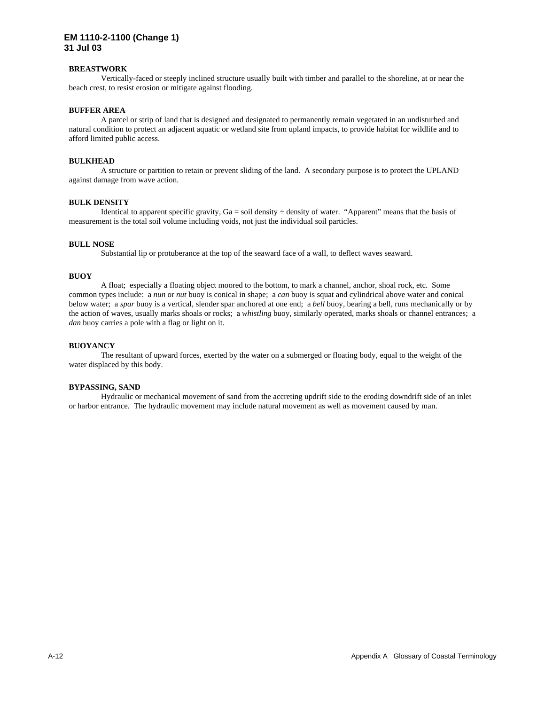# **BREASTWORK**

Vertically-faced or steeply inclined structure usually built with timber and parallel to the shoreline, at or near the beach crest, to resist erosion or mitigate against flooding.

## **BUFFER AREA**

A parcel or strip of land that is designed and designated to permanently remain vegetated in an undisturbed and natural condition to protect an adjacent aquatic or wetland site from upland impacts, to provide habitat for wildlife and to afford limited public access.

# **BULKHEAD**

A structure or partition to retain or prevent sliding of the land. A secondary purpose is to protect the UPLAND against damage from wave action.

#### **BULK DENSITY**

Identical to apparent specific gravity,  $Ga = soil$  density  $\div$  density of water. "Apparent" means that the basis of measurement is the total soil volume including voids, not just the individual soil particles.

#### **BULL NOSE**

Substantial lip or protuberance at the top of the seaward face of a wall, to deflect waves seaward.

## **BUOY**

A float; especially a floating object moored to the bottom, to mark a channel, anchor, shoal rock, etc. Some common types include: a *nun* or *nut* buoy is conical in shape; a *can* buoy is squat and cylindrical above water and conical below water; a *spar* buoy is a vertical, slender spar anchored at one end; a *bell* buoy, bearing a bell, runs mechanically or by the action of waves, usually marks shoals or rocks; a *whistling* buoy, similarly operated, marks shoals or channel entrances; a *dan* buoy carries a pole with a flag or light on it.

#### **BUOYANCY**

The resultant of upward forces, exerted by the water on a submerged or floating body, equal to the weight of the water displaced by this body.

## **BYPASSING, SAND**

Hydraulic or mechanical movement of sand from the accreting updrift side to the eroding downdrift side of an inlet or harbor entrance. The hydraulic movement may include natural movement as well as movement caused by man.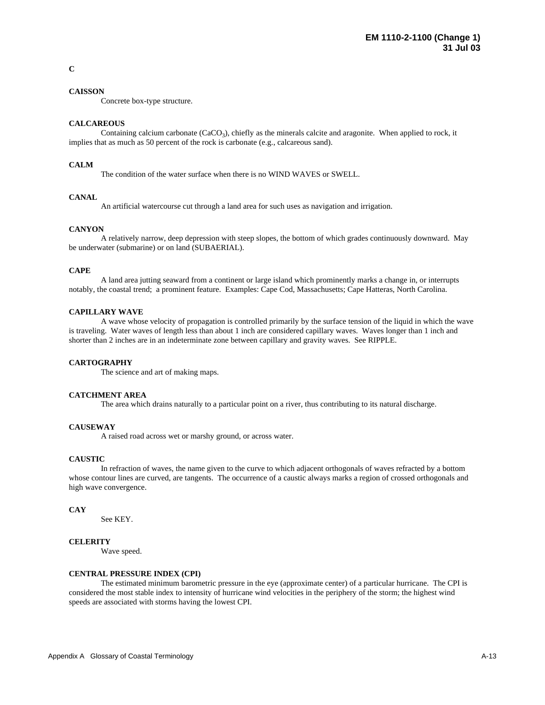# **C**

#### **CAISSON**

Concrete box-type structure.

# **CALCAREOUS**

Containing calcium carbonate  $(CaCO<sub>3</sub>)$ , chiefly as the minerals calcite and aragonite. When applied to rock, it implies that as much as 50 percent of the rock is carbonate (e.g., calcareous sand).

#### **CALM**

The condition of the water surface when there is no WIND WAVES or SWELL.

# **CANAL**

An artificial watercourse cut through a land area for such uses as navigation and irrigation.

#### **CANYON**

A relatively narrow, deep depression with steep slopes, the bottom of which grades continuously downward. May be underwater (submarine) or on land (SUBAERIAL).

#### **CAPE**

A land area jutting seaward from a continent or large island which prominently marks a change in, or interrupts notably, the coastal trend; a prominent feature. Examples: Cape Cod, Massachusetts; Cape Hatteras, North Carolina.

# **CAPILLARY WAVE**

A wave whose velocity of propagation is controlled primarily by the surface tension of the liquid in which the wave is traveling. Water waves of length less than about 1 inch are considered capillary waves. Waves longer than 1 inch and shorter than 2 inches are in an indeterminate zone between capillary and gravity waves. See RIPPLE.

# **CARTOGRAPHY**

The science and art of making maps.

### **CATCHMENT AREA**

The area which drains naturally to a particular point on a river, thus contributing to its natural discharge.

#### **CAUSEWAY**

A raised road across wet or marshy ground, or across water.

#### **CAUSTIC**

In refraction of waves, the name given to the curve to which adjacent orthogonals of waves refracted by a bottom whose contour lines are curved, are tangents. The occurrence of a caustic always marks a region of crossed orthogonals and high wave convergence.

## **CAY**

See KEY.

## **CELERITY**

Wave speed.

## **CENTRAL PRESSURE INDEX (CPI)**

The estimated minimum barometric pressure in the eye (approximate center) of a particular hurricane. The CPI is considered the most stable index to intensity of hurricane wind velocities in the periphery of the storm; the highest wind speeds are associated with storms having the lowest CPI.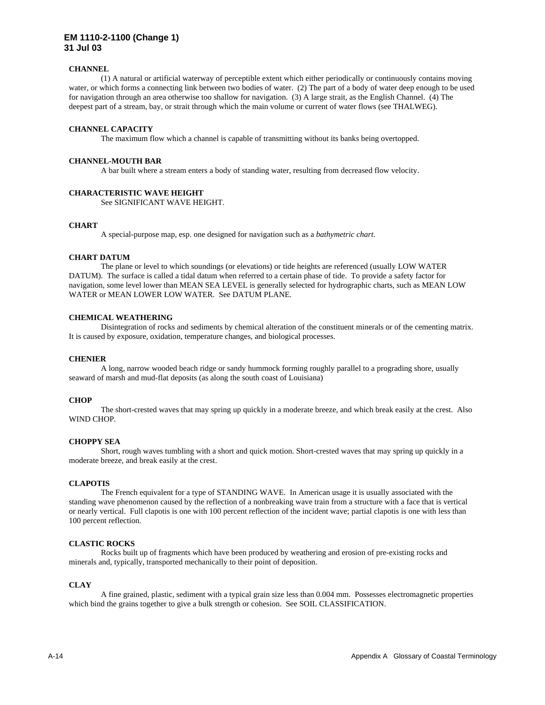# **CHANNEL**

(1) A natural or artificial waterway of perceptible extent which either periodically or continuously contains moving water, or which forms a connecting link between two bodies of water. (2) The part of a body of water deep enough to be used for navigation through an area otherwise too shallow for navigation. (3) A large strait, as the English Channel. (4) The deepest part of a stream, bay, or strait through which the main volume or current of water flows (see THALWEG).

## **CHANNEL CAPACITY**

The maximum flow which a channel is capable of transmitting without its banks being overtopped.

## **CHANNEL-MOUTH BAR**

A bar built where a stream enters a body of standing water, resulting from decreased flow velocity.

#### **CHARACTERISTIC WAVE HEIGHT**

See SIGNIFICANT WAVE HEIGHT.

## **CHART**

A special-purpose map, esp. one designed for navigation such as a *bathymetric chart*.

#### **CHART DATUM**

The plane or level to which soundings (or elevations) or tide heights are referenced (usually LOW WATER DATUM). The surface is called a tidal datum when referred to a certain phase of tide. To provide a safety factor for navigation, some level lower than MEAN SEA LEVEL is generally selected for hydrographic charts, such as MEAN LOW WATER or MEAN LOWER LOW WATER. See DATUM PLANE.

# **CHEMICAL WEATHERING**

Disintegration of rocks and sediments by chemical alteration of the constituent minerals or of the cementing matrix. It is caused by exposure, oxidation, temperature changes, and biological processes.

#### **CHENIER**

A long, narrow wooded beach ridge or sandy hummock forming roughly parallel to a prograding shore, usually seaward of marsh and mud-flat deposits (as along the south coast of Louisiana)

#### **CHOP**

The short-crested waves that may spring up quickly in a moderate breeze, and which break easily at the crest. Also WIND CHOP.

#### **CHOPPY SEA**

Short, rough waves tumbling with a short and quick motion. Short-crested waves that may spring up quickly in a moderate breeze, and break easily at the crest.

#### **CLAPOTIS**

The French equivalent for a type of STANDING WAVE. In American usage it is usually associated with the standing wave phenomenon caused by the reflection of a nonbreaking wave train from a structure with a face that is vertical or nearly vertical. Full clapotis is one with 100 percent reflection of the incident wave; partial clapotis is one with less than 100 percent reflection.

## **CLASTIC ROCKS**

Rocks built up of fragments which have been produced by weathering and erosion of pre-existing rocks and minerals and, typically, transported mechanically to their point of deposition.

#### **CLAY**

A fine grained, plastic, sediment with a typical grain size less than 0.004 mm. Possesses electromagnetic properties which bind the grains together to give a bulk strength or cohesion. See SOIL CLASSIFICATION.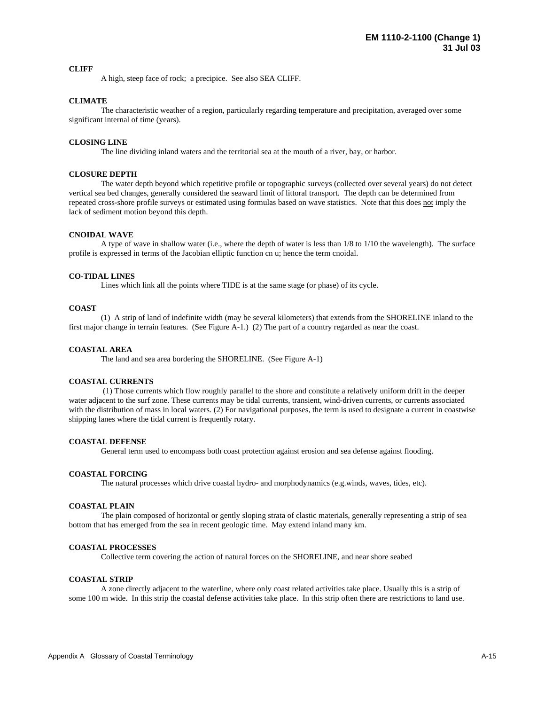# **CLIFF**

A high, steep face of rock; a precipice. See also SEA CLIFF.

## **CLIMATE**

The characteristic weather of a region, particularly regarding temperature and precipitation, averaged over some significant internal of time (years).

# **CLOSING LINE**

The line dividing inland waters and the territorial sea at the mouth of a river, bay, or harbor.

## **CLOSURE DEPTH**

The water depth beyond which repetitive profile or topographic surveys (collected over several years) do not detect vertical sea bed changes, generally considered the seaward limit of littoral transport. The depth can be determined from repeated cross-shore profile surveys or estimated using formulas based on wave statistics. Note that this does not imply the lack of sediment motion beyond this depth.

## **CNOIDAL WAVE**

A type of wave in shallow water (i.e., where the depth of water is less than 1/8 to 1/10 the wavelength). The surface profile is expressed in terms of the Jacobian elliptic function cn u; hence the term cnoidal.

#### **CO-TIDAL LINES**

Lines which link all the points where TIDE is at the same stage (or phase) of its cycle.

## **COAST**

(1) A strip of land of indefinite width (may be several kilometers) that extends from the SHORELINE inland to the first major change in terrain features. (See Figure A-1.) (2) The part of a country regarded as near the coast.

#### **COASTAL AREA**

The land and sea area bordering the SHORELINE. (See Figure A-1)

# **COASTAL CURRENTS**

 (1) Those currents which flow roughly parallel to the shore and constitute a relatively uniform drift in the deeper water adjacent to the surf zone. These currents may be tidal currents, transient, wind-driven currents, or currents associated with the distribution of mass in local waters. (2) For navigational purposes, the term is used to designate a current in coastwise shipping lanes where the tidal current is frequently rotary.

#### **COASTAL DEFENSE**

General term used to encompass both coast protection against erosion and sea defense against flooding.

## **COASTAL FORCING**

The natural processes which drive coastal hydro- and morphodynamics (e.g.winds, waves, tides, etc).

## **COASTAL PLAIN**

The plain composed of horizontal or gently sloping strata of clastic materials, generally representing a strip of sea bottom that has emerged from the sea in recent geologic time. May extend inland many km.

#### **COASTAL PROCESSES**

Collective term covering the action of natural forces on the SHORELINE, and near shore seabed

#### **COASTAL STRIP**

A zone directly adjacent to the waterline, where only coast related activities take place. Usually this is a strip of some 100 m wide. In this strip the coastal defense activities take place. In this strip often there are restrictions to land use.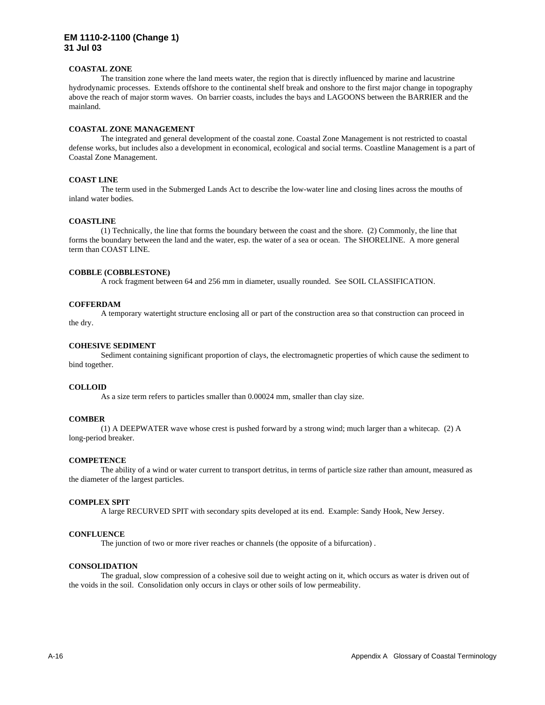# **COASTAL ZONE**

The transition zone where the land meets water, the region that is directly influenced by marine and lacustrine hydrodynamic processes. Extends offshore to the continental shelf break and onshore to the first major change in topography above the reach of major storm waves. On barrier coasts, includes the bays and LAGOONS between the BARRIER and the mainland.

## **COASTAL ZONE MANAGEMENT**

The integrated and general development of the coastal zone. Coastal Zone Management is not restricted to coastal defense works, but includes also a development in economical, ecological and social terms. Coastline Management is a part of Coastal Zone Management.

## **COAST LINE**

The term used in the Submerged Lands Act to describe the low-water line and closing lines across the mouths of inland water bodies.

## **COASTLINE**

(1) Technically, the line that forms the boundary between the coast and the shore. (2) Commonly, the line that forms the boundary between the land and the water, esp. the water of a sea or ocean. The SHORELINE. A more general term than COAST LINE.

## **COBBLE (COBBLESTONE)**

A rock fragment between 64 and 256 mm in diameter, usually rounded. See SOIL CLASSIFICATION.

## **COFFERDAM**

A temporary watertight structure enclosing all or part of the construction area so that construction can proceed in the dry.

## **COHESIVE SEDIMENT**

Sediment containing significant proportion of clays, the electromagnetic properties of which cause the sediment to bind together.

## **COLLOID**

As a size term refers to particles smaller than 0.00024 mm, smaller than clay size.

# **COMBER**

(1) A DEEPWATER wave whose crest is pushed forward by a strong wind; much larger than a whitecap. (2) A long-period breaker.

## **COMPETENCE**

The ability of a wind or water current to transport detritus, in terms of particle size rather than amount, measured as the diameter of the largest particles.

## **COMPLEX SPIT**

A large RECURVED SPIT with secondary spits developed at its end. Example: Sandy Hook, New Jersey.

# **CONFLUENCE**

The junction of two or more river reaches or channels (the opposite of a bifurcation) .

## **CONSOLIDATION**

The gradual, slow compression of a cohesive soil due to weight acting on it, which occurs as water is driven out of the voids in the soil. Consolidation only occurs in clays or other soils of low permeability.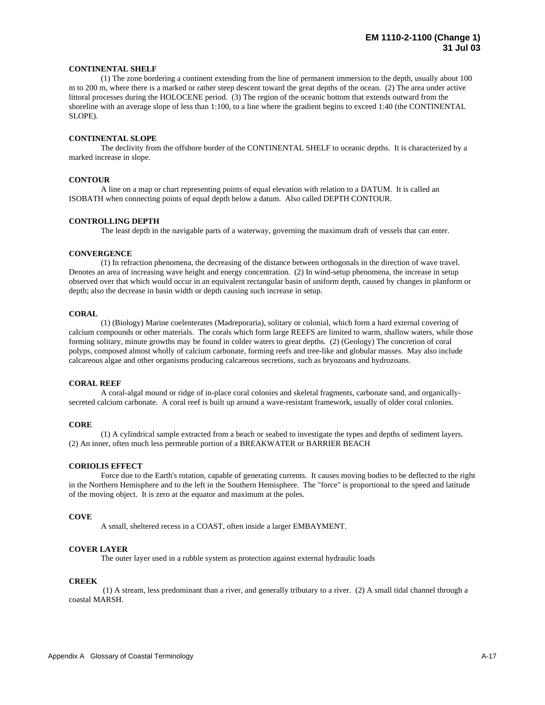# **CONTINENTAL SHELF**

(1) The zone bordering a continent extending from the line of permanent immersion to the depth, usually about 100 m to 200 m, where there is a marked or rather steep descent toward the great depths of the ocean. (2) The area under active littoral processes during the HOLOCENE period. (3) The region of the oceanic bottom that extends outward from the shoreline with an average slope of less than 1:100, to a line where the gradient begins to exceed 1:40 (the CONTINENTAL SLOPE).

#### **CONTINENTAL SLOPE**

The declivity from the offshore border of the CONTINENTAL SHELF to oceanic depths. It is characterized by a marked increase in slope.

## **CONTOUR**

A line on a map or chart representing points of equal elevation with relation to a DATUM. It is called an ISOBATH when connecting points of equal depth below a datum. Also called DEPTH CONTOUR.

#### **CONTROLLING DEPTH**

The least depth in the navigable parts of a waterway, governing the maximum draft of vessels that can enter.

#### **CONVERGENCE**

(1) In refraction phenomena, the decreasing of the distance between orthogonals in the direction of wave travel. Denotes an area of increasing wave height and energy concentration. (2) In wind-setup phenomena, the increase in setup observed over that which would occur in an equivalent rectangular basin of uniform depth, caused by changes in planform or depth; also the decrease in basin width or depth causing such increase in setup.

## **CORAL**

(1) (Biology) Marine coelenterates (Madreporaria), solitary or colonial, which form a hard external covering of calcium compounds or other materials. The corals which form large REEFS are limited to warm, shallow waters, while those forming solitary, minute growths may be found in colder waters to great depths. (2) (Geology) The concretion of coral polyps, composed almost wholly of calcium carbonate, forming reefs and tree-like and globular masses. May also include calcareous algae and other organisms producing calcareous secretions, such as bryozoans and hydrozoans.

## **CORAL REEF**

A coral-algal mound or ridge of in-place coral colonies and skeletal fragments, carbonate sand, and organicallysecreted calcium carbonate. A coral reef is built up around a wave-resistant framework, usually of older coral colonies.

## **CORE**

(1) A cylindrical sample extracted from a beach or seabed to investigate the types and depths of sediment layers. (2) An inner, often much less permeable portion of a BREAKWATER or BARRIER BEACH

## **CORIOLIS EFFECT**

Force due to the Earth's rotation, capable of generating currents. It causes moving bodies to be deflected to the right in the Northern Hemisphere and to the left in the Southern Hemisphere. The "force" is proportional to the speed and latitude of the moving object. It is zero at the equator and maximum at the poles.

#### **COVE**

A small, sheltered recess in a COAST, often inside a larger EMBAYMENT.

# **COVER LAYER**

The outer layer used in a rubble system as protection against external hydraulic loads

#### **CREEK**

 (1) A stream, less predominant than a river, and generally tributary to a river. (2) A small tidal channel through a coastal MARSH.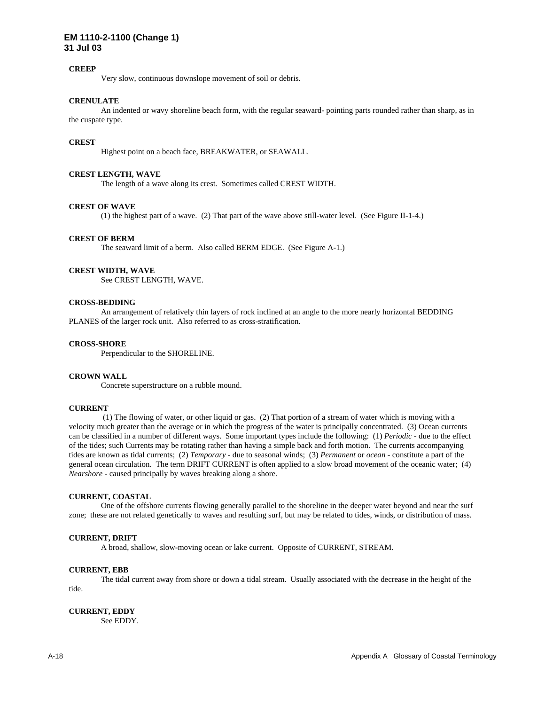# **CREEP**

Very slow, continuous downslope movement of soil or debris.

## **CRENULATE**

An indented or wavy shoreline beach form, with the regular seaward- pointing parts rounded rather than sharp, as in the cuspate type.

# **CREST**

Highest point on a beach face, BREAKWATER, or SEAWALL.

## **CREST LENGTH, WAVE**

The length of a wave along its crest. Sometimes called CREST WIDTH.

#### **CREST OF WAVE**

(1) the highest part of a wave. (2) That part of the wave above still-water level. (See Figure II-1-4.)

## **CREST OF BERM**

The seaward limit of a berm. Also called BERM EDGE. (See Figure A-1.)

#### **CREST WIDTH, WAVE**

See CREST LENGTH, WAVE.

#### **CROSS-BEDDING**

An arrangement of relatively thin layers of rock inclined at an angle to the more nearly horizontal BEDDING PLANES of the larger rock unit. Also referred to as cross-stratification.

## **CROSS-SHORE**

Perpendicular to the SHORELINE.

## **CROWN WALL**

Concrete superstructure on a rubble mound.

## **CURRENT**

 (1) The flowing of water, or other liquid or gas. (2) That portion of a stream of water which is moving with a velocity much greater than the average or in which the progress of the water is principally concentrated. (3) Ocean currents can be classified in a number of different ways. Some important types include the following: (1) *Periodic* - due to the effect of the tides; such Currents may be rotating rather than having a simple back and forth motion. The currents accompanying tides are known as tidal currents; (2) *Temporary* - due to seasonal winds; (3) *Permanent* or *ocean* - constitute a part of the general ocean circulation. The term DRIFT CURRENT is often applied to a slow broad movement of the oceanic water; (4) *Nearshore* - caused principally by waves breaking along a shore.

## **CURRENT, COASTAL**

One of the offshore currents flowing generally parallel to the shoreline in the deeper water beyond and near the surf zone; these are not related genetically to waves and resulting surf, but may be related to tides, winds, or distribution of mass.

## **CURRENT, DRIFT**

A broad, shallow, slow-moving ocean or lake current. Opposite of CURRENT, STREAM.

#### **CURRENT, EBB**

The tidal current away from shore or down a tidal stream. Usually associated with the decrease in the height of the tide.

# **CURRENT, EDDY**

See EDDY.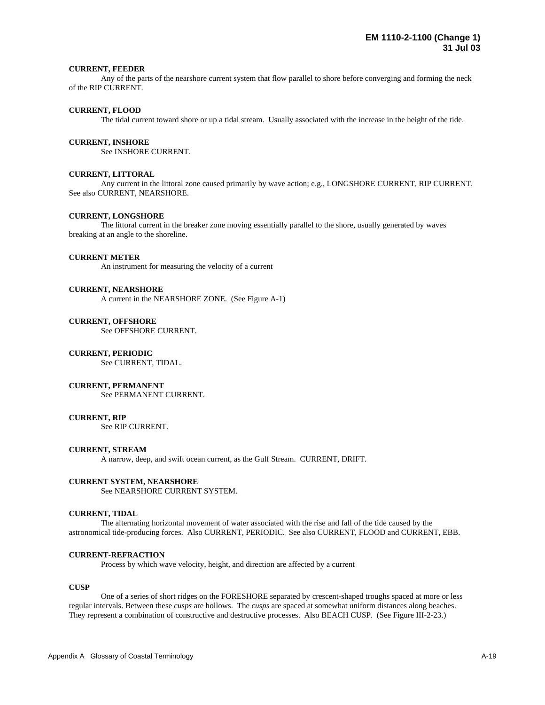## **CURRENT, FEEDER**

Any of the parts of the nearshore current system that flow parallel to shore before converging and forming the neck of the RIP CURRENT.

## **CURRENT, FLOOD**

The tidal current toward shore or up a tidal stream. Usually associated with the increase in the height of the tide.

## **CURRENT, INSHORE**

See INSHORE CURRENT.

## **CURRENT, LITTORAL**

Any current in the littoral zone caused primarily by wave action; e.g., LONGSHORE CURRENT, RIP CURRENT. See also CURRENT, NEARSHORE.

# **CURRENT, LONGSHORE**

The littoral current in the breaker zone moving essentially parallel to the shore, usually generated by waves breaking at an angle to the shoreline.

#### **CURRENT METER**

An instrument for measuring the velocity of a current

## **CURRENT, NEARSHORE**

A current in the NEARSHORE ZONE. (See Figure A-1)

**CURRENT, OFFSHORE**

See OFFSHORE CURRENT.

## **CURRENT, PERIODIC**

See CURRENT, TIDAL.

# **CURRENT, PERMANENT**

See PERMANENT CURRENT.

#### **CURRENT, RIP**

See RIP CURRENT.

# **CURRENT, STREAM**

A narrow, deep, and swift ocean current, as the Gulf Stream. CURRENT, DRIFT.

## **CURRENT SYSTEM, NEARSHORE**

See NEARSHORE CURRENT SYSTEM.

## **CURRENT, TIDAL**

The alternating horizontal movement of water associated with the rise and fall of the tide caused by the astronomical tide-producing forces. Also CURRENT, PERIODIC. See also CURRENT, FLOOD and CURRENT, EBB.

#### **CURRENT-REFRACTION**

Process by which wave velocity, height, and direction are affected by a current

## **CUSP**

One of a series of short ridges on the FORESHORE separated by crescent-shaped troughs spaced at more or less regular intervals. Between these *cusps* are hollows. The *cusps* are spaced at somewhat uniform distances along beaches. They represent a combination of constructive and destructive processes. Also BEACH CUSP. (See Figure III-2-23.)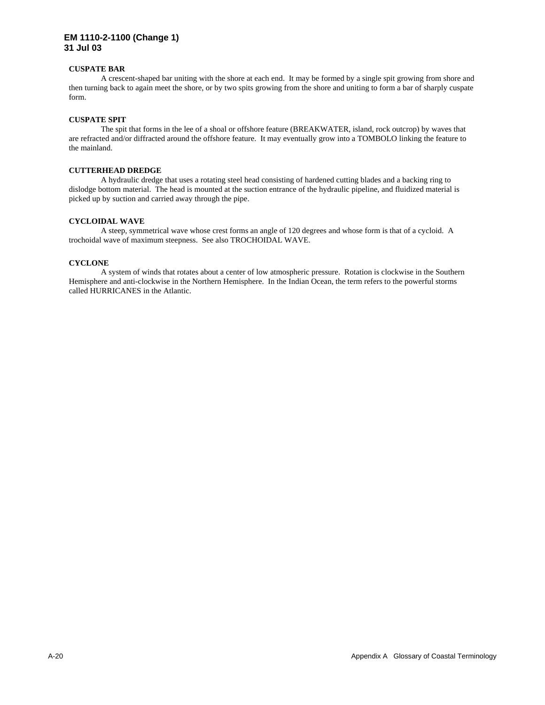# **CUSPATE BAR**

A crescent-shaped bar uniting with the shore at each end. It may be formed by a single spit growing from shore and then turning back to again meet the shore, or by two spits growing from the shore and uniting to form a bar of sharply cuspate form.

## **CUSPATE SPIT**

The spit that forms in the lee of a shoal or offshore feature (BREAKWATER, island, rock outcrop) by waves that are refracted and/or diffracted around the offshore feature. It may eventually grow into a TOMBOLO linking the feature to the mainland.

## **CUTTERHEAD DREDGE**

A hydraulic dredge that uses a rotating steel head consisting of hardened cutting blades and a backing ring to dislodge bottom material. The head is mounted at the suction entrance of the hydraulic pipeline, and fluidized material is picked up by suction and carried away through the pipe.

## **CYCLOIDAL WAVE**

A steep, symmetrical wave whose crest forms an angle of 120 degrees and whose form is that of a cycloid. A trochoidal wave of maximum steepness. See also TROCHOIDAL WAVE.

## **CYCLONE**

A system of winds that rotates about a center of low atmospheric pressure. Rotation is clockwise in the Southern Hemisphere and anti-clockwise in the Northern Hemisphere. In the Indian Ocean, the term refers to the powerful storms called HURRICANES in the Atlantic.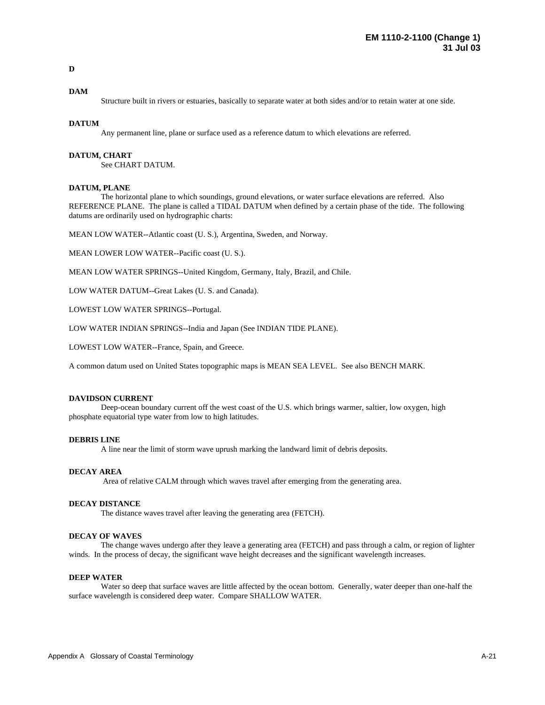# **D**

# **DAM**

Structure built in rivers or estuaries, basically to separate water at both sides and/or to retain water at one side.

## **DATUM**

Any permanent line, plane or surface used as a reference datum to which elevations are referred.

#### **DATUM, CHART**

See CHART DATUM.

# **DATUM, PLANE**

The horizontal plane to which soundings, ground elevations, or water surface elevations are referred. Also REFERENCE PLANE. The plane is called a TIDAL DATUM when defined by a certain phase of the tide. The following datums are ordinarily used on hydrographic charts:

MEAN LOW WATER--Atlantic coast (U. S.), Argentina, Sweden, and Norway.

MEAN LOWER LOW WATER--Pacific coast (U. S.).

MEAN LOW WATER SPRINGS--United Kingdom, Germany, Italy, Brazil, and Chile.

LOW WATER DATUM--Great Lakes (U. S. and Canada).

LOWEST LOW WATER SPRINGS--Portugal.

LOW WATER INDIAN SPRINGS--India and Japan (See INDIAN TIDE PLANE).

LOWEST LOW WATER--France, Spain, and Greece.

A common datum used on United States topographic maps is MEAN SEA LEVEL. See also BENCH MARK.

# **DAVIDSON CURRENT**

Deep-ocean boundary current off the west coast of the U.S. which brings warmer, saltier, low oxygen, high phosphate equatorial type water from low to high latitudes.

### **DEBRIS LINE**

A line near the limit of storm wave uprush marking the landward limit of debris deposits.

#### **DECAY AREA**

Area of relative CALM through which waves travel after emerging from the generating area.

# **DECAY DISTANCE**

The distance waves travel after leaving the generating area (FETCH).

## **DECAY OF WAVES**

The change waves undergo after they leave a generating area (FETCH) and pass through a calm, or region of lighter winds. In the process of decay, the significant wave height decreases and the significant wavelength increases.

#### **DEEP WATER**

Water so deep that surface waves are little affected by the ocean bottom. Generally, water deeper than one-half the surface wavelength is considered deep water. Compare SHALLOW WATER.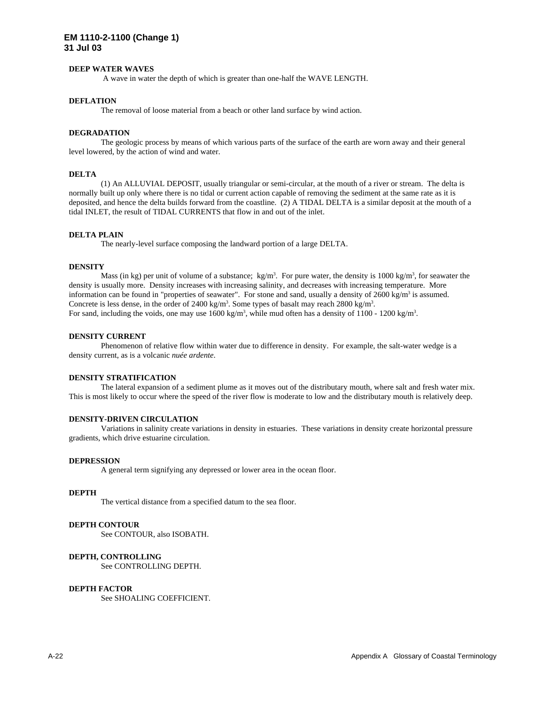# **DEEP WATER WAVES**

A wave in water the depth of which is greater than one-half the WAVE LENGTH.

#### **DEFLATION**

The removal of loose material from a beach or other land surface by wind action.

## **DEGRADATION**

The geologic process by means of which various parts of the surface of the earth are worn away and their general level lowered, by the action of wind and water.

## **DELTA**

(1) An ALLUVIAL DEPOSIT, usually triangular or semi-circular, at the mouth of a river or stream. The delta is normally built up only where there is no tidal or current action capable of removing the sediment at the same rate as it is deposited, and hence the delta builds forward from the coastline. (2) A TIDAL DELTA is a similar deposit at the mouth of a tidal INLET, the result of TIDAL CURRENTS that flow in and out of the inlet.

## **DELTA PLAIN**

The nearly-level surface composing the landward portion of a large DELTA.

#### **DENSITY**

Mass (in kg) per unit of volume of a substance;  $kg/m<sup>3</sup>$ . For pure water, the density is 1000 kg/m<sup>3</sup>, for seawater the density is usually more. Density increases with increasing salinity, and decreases with increasing temperature. More information can be found in "properties of seawater". For stone and sand, usually a density of  $2600 \text{ kg/m}^3$  is assumed. Concrete is less dense, in the order of 2400 kg/m<sup>3</sup>. Some types of basalt may reach 2800 kg/m<sup>3</sup>. For sand, including the voids, one may use  $1600 \text{ kg/m}^3$ , while mud often has a density of 1100 - 1200 kg/m<sup>3</sup>.

#### **DENSITY CURRENT**

Phenomenon of relative flow within water due to difference in density. For example, the salt-water wedge is a density current, as is a volcanic *nuée ardente*.

## **DENSITY STRATIFICATION**

The lateral expansion of a sediment plume as it moves out of the distributary mouth, where salt and fresh water mix. This is most likely to occur where the speed of the river flow is moderate to low and the distributary mouth is relatively deep.

## **DENSITY-DRIVEN CIRCULATION**

Variations in salinity create variations in density in estuaries. These variations in density create horizontal pressure gradients, which drive estuarine circulation.

#### **DEPRESSION**

A general term signifying any depressed or lower area in the ocean floor.

#### **DEPTH**

The vertical distance from a specified datum to the sea floor.

#### **DEPTH CONTOUR**

See CONTOUR, also ISOBATH.

## **DEPTH, CONTROLLING**

See CONTROLLING DEPTH.

# **DEPTH FACTOR**

See SHOALING COEFFICIENT.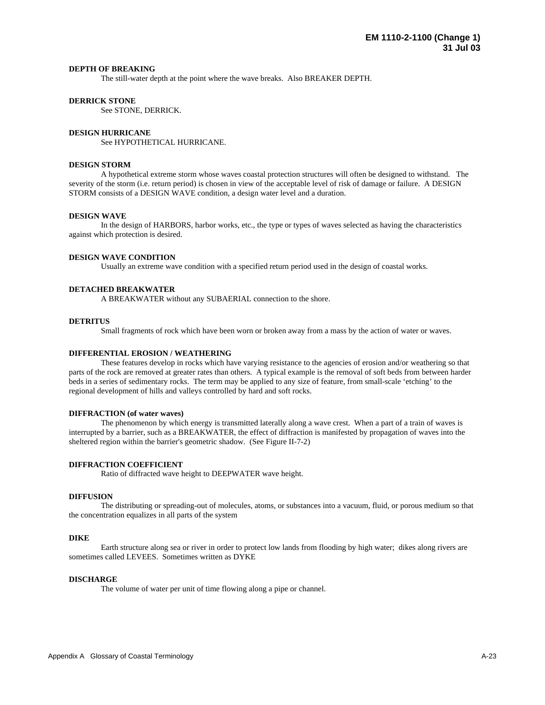# **DEPTH OF BREAKING**

The still-water depth at the point where the wave breaks. Also BREAKER DEPTH.

## **DERRICK STONE**

See STONE, DERRICK.

## **DESIGN HURRICANE**

See HYPOTHETICAL HURRICANE.

## **DESIGN STORM**

A hypothetical extreme storm whose waves coastal protection structures will often be designed to withstand. The severity of the storm (i.e. return period) is chosen in view of the acceptable level of risk of damage or failure. A DESIGN STORM consists of a DESIGN WAVE condition, a design water level and a duration.

## **DESIGN WAVE**

In the design of HARBORS, harbor works, etc., the type or types of waves selected as having the characteristics against which protection is desired.

### **DESIGN WAVE CONDITION**

Usually an extreme wave condition with a specified return period used in the design of coastal works.

# **DETACHED BREAKWATER**

A BREAKWATER without any SUBAERIAL connection to the shore.

#### **DETRITUS**

Small fragments of rock which have been worn or broken away from a mass by the action of water or waves.

## **DIFFERENTIAL EROSION / WEATHERING**

These features develop in rocks which have varying resistance to the agencies of erosion and/or weathering so that parts of the rock are removed at greater rates than others. A typical example is the removal of soft beds from between harder beds in a series of sedimentary rocks. The term may be applied to any size of feature, from small-scale 'etching' to the regional development of hills and valleys controlled by hard and soft rocks.

## **DIFFRACTION (of water waves)**

The phenomenon by which energy is transmitted laterally along a wave crest. When a part of a train of waves is interrupted by a barrier, such as a BREAKWATER, the effect of diffraction is manifested by propagation of waves into the sheltered region within the barrier's geometric shadow. (See Figure II-7-2)

#### **DIFFRACTION COEFFICIENT**

Ratio of diffracted wave height to DEEPWATER wave height.

## **DIFFUSION**

The distributing or spreading-out of molecules, atoms, or substances into a vacuum, fluid, or porous medium so that the concentration equalizes in all parts of the system

### **DIKE**

Earth structure along sea or river in order to protect low lands from flooding by high water; dikes along rivers are sometimes called LEVEES. Sometimes written as DYKE

## **DISCHARGE**

The volume of water per unit of time flowing along a pipe or channel.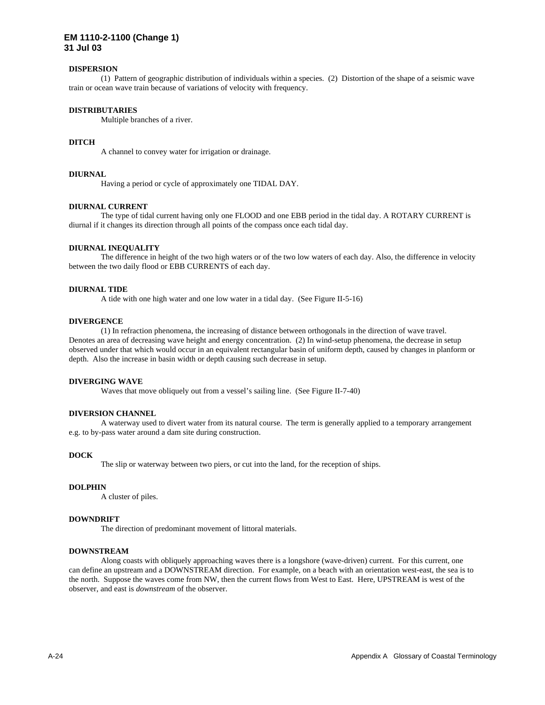# **DISPERSION**

(1) Pattern of geographic distribution of individuals within a species. (2) Distortion of the shape of a seismic wave train or ocean wave train because of variations of velocity with frequency.

#### **DISTRIBUTARIES**

Multiple branches of a river.

# **DITCH**

A channel to convey water for irrigation or drainage.

#### **DIURNAL**

Having a period or cycle of approximately one TIDAL DAY.

#### **DIURNAL CURRENT**

The type of tidal current having only one FLOOD and one EBB period in the tidal day. A ROTARY CURRENT is diurnal if it changes its direction through all points of the compass once each tidal day.

## **DIURNAL INEQUALITY**

The difference in height of the two high waters or of the two low waters of each day. Also, the difference in velocity between the two daily flood or EBB CURRENTS of each day.

# **DIURNAL TIDE**

A tide with one high water and one low water in a tidal day. (See Figure II-5-16)

#### **DIVERGENCE**

(1) In refraction phenomena, the increasing of distance between orthogonals in the direction of wave travel. Denotes an area of decreasing wave height and energy concentration. (2) In wind-setup phenomena, the decrease in setup observed under that which would occur in an equivalent rectangular basin of uniform depth, caused by changes in planform or depth. Also the increase in basin width or depth causing such decrease in setup.

#### **DIVERGING WAVE**

Waves that move obliquely out from a vessel's sailing line. (See Figure II-7-40)

## **DIVERSION CHANNEL**

A waterway used to divert water from its natural course. The term is generally applied to a temporary arrangement e.g. to by-pass water around a dam site during construction.

## **DOCK**

The slip or waterway between two piers, or cut into the land, for the reception of ships.

#### **DOLPHIN**

A cluster of piles.

## **DOWNDRIFT**

The direction of predominant movement of littoral materials.

## **DOWNSTREAM**

Along coasts with obliquely approaching waves there is a longshore (wave-driven) current. For this current, one can define an upstream and a DOWNSTREAM direction. For example, on a beach with an orientation west-east, the sea is to the north. Suppose the waves come from NW, then the current flows from West to East. Here, UPSTREAM is west of the observer, and east is *downstream* of the observer.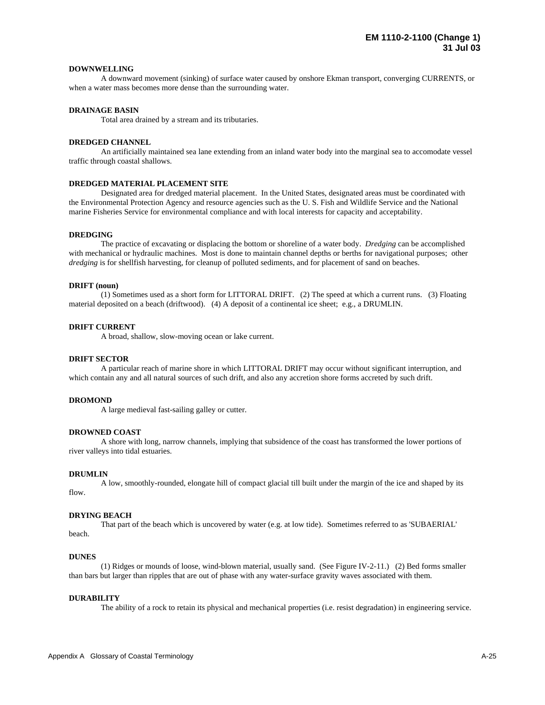# **DOWNWELLING**

A downward movement (sinking) of surface water caused by onshore Ekman transport, converging CURRENTS, or when a water mass becomes more dense than the surrounding water.

#### **DRAINAGE BASIN**

Total area drained by a stream and its tributaries.

# **DREDGED CHANNEL**

An artificially maintained sea lane extending from an inland water body into the marginal sea to accomodate vessel traffic through coastal shallows.

## **DREDGED MATERIAL PLACEMENT SITE**

Designated area for dredged material placement. In the United States, designated areas must be coordinated with the Environmental Protection Agency and resource agencies such as the U. S. Fish and Wildlife Service and the National marine Fisheries Service for environmental compliance and with local interests for capacity and acceptability.

## **DREDGING**

The practice of excavating or displacing the bottom or shoreline of a water body. *Dredging* can be accomplished with mechanical or hydraulic machines. Most is done to maintain channel depths or berths for navigational purposes; other *dredging* is for shellfish harvesting, for cleanup of polluted sediments, and for placement of sand on beaches.

## **DRIFT (noun)**

(1) Sometimes used as a short form for LITTORAL DRIFT. (2) The speed at which a current runs. (3) Floating material deposited on a beach (driftwood). (4) A deposit of a continental ice sheet; e.g., a DRUMLIN.

## **DRIFT CURRENT**

A broad, shallow, slow-moving ocean or lake current.

#### **DRIFT SECTOR**

A particular reach of marine shore in which LITTORAL DRIFT may occur without significant interruption, and which contain any and all natural sources of such drift, and also any accretion shore forms accreted by such drift.

#### **DROMOND**

A large medieval fast-sailing galley or cutter.

## **DROWNED COAST**

A shore with long, narrow channels, implying that subsidence of the coast has transformed the lower portions of river valleys into tidal estuaries.

#### **DRUMLIN**

A low, smoothly-rounded, elongate hill of compact glacial till built under the margin of the ice and shaped by its flow.

#### **DRYING BEACH**

That part of the beach which is uncovered by water (e.g. at low tide). Sometimes referred to as 'SUBAERIAL' beach.

#### **DUNES**

(1) Ridges or mounds of loose, wind-blown material, usually sand. (See Figure IV-2-11.) (2) Bed forms smaller than bars but larger than ripples that are out of phase with any water-surface gravity waves associated with them.

#### **DURABILITY**

The ability of a rock to retain its physical and mechanical properties (i.e. resist degradation) in engineering service.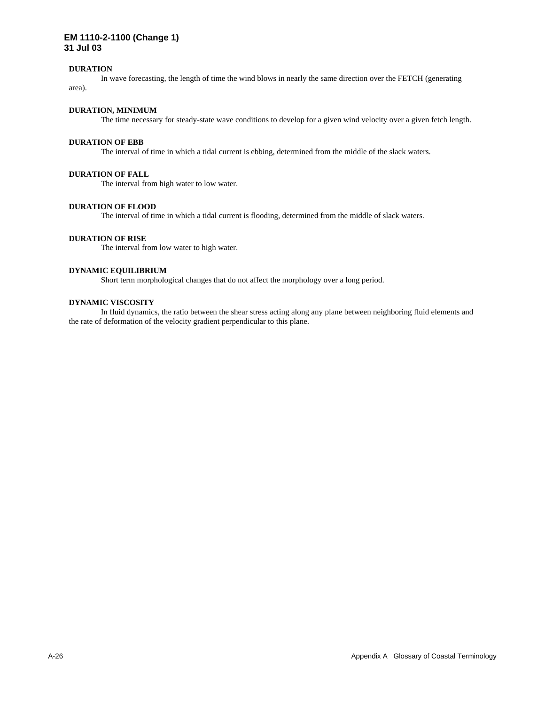# **DURATION**

In wave forecasting, the length of time the wind blows in nearly the same direction over the FETCH (generating area).

# **DURATION, MINIMUM**

The time necessary for steady-state wave conditions to develop for a given wind velocity over a given fetch length.

# **DURATION OF EBB**

The interval of time in which a tidal current is ebbing, determined from the middle of the slack waters.

## **DURATION OF FALL**

The interval from high water to low water.

# **DURATION OF FLOOD**

The interval of time in which a tidal current is flooding, determined from the middle of slack waters.

## **DURATION OF RISE**

The interval from low water to high water.

## **DYNAMIC EQUILIBRIUM**

Short term morphological changes that do not affect the morphology over a long period.

## **DYNAMIC VISCOSITY**

In fluid dynamics, the ratio between the shear stress acting along any plane between neighboring fluid elements and the rate of deformation of the velocity gradient perpendicular to this plane.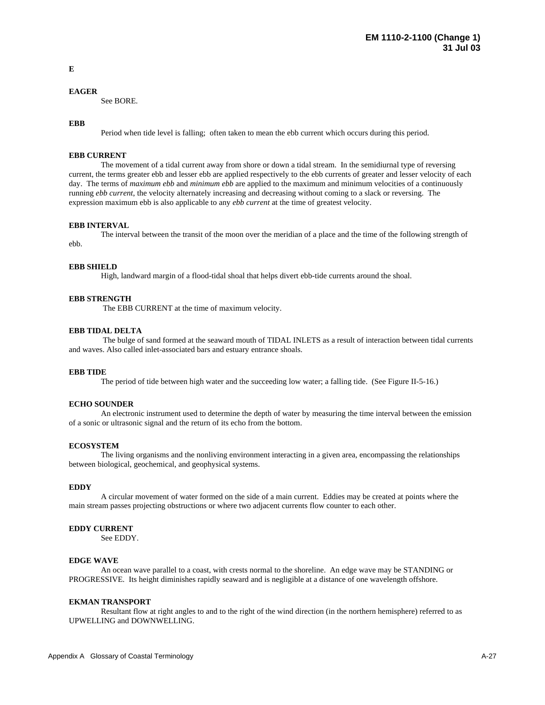## **EAGER**

See BORE.

# **EBB**

Period when tide level is falling; often taken to mean the ebb current which occurs during this period.

#### **EBB CURRENT**

The movement of a tidal current away from shore or down a tidal stream. In the semidiurnal type of reversing current, the terms greater ebb and lesser ebb are applied respectively to the ebb currents of greater and lesser velocity of each day. The terms of *maximum ebb* and *minimum ebb* are applied to the maximum and minimum velocities of a continuously running *ebb current*, the velocity alternately increasing and decreasing without coming to a slack or reversing. The expression maximum ebb is also applicable to any *ebb current* at the time of greatest velocity.

#### **EBB INTERVAL**

The interval between the transit of the moon over the meridian of a place and the time of the following strength of ebb.

#### **EBB SHIELD**

High, landward margin of a flood-tidal shoal that helps divert ebb-tide currents around the shoal.

## **EBB STRENGTH**

The EBB CURRENT at the time of maximum velocity.

#### **EBB TIDAL DELTA**

 The bulge of sand formed at the seaward mouth of TIDAL INLETS as a result of interaction between tidal currents and waves. Also called inlet-associated bars and estuary entrance shoals.

# **EBB TIDE**

The period of tide between high water and the succeeding low water; a falling tide. (See Figure II-5-16.)

#### **ECHO SOUNDER**

An electronic instrument used to determine the depth of water by measuring the time interval between the emission of a sonic or ultrasonic signal and the return of its echo from the bottom.

## **ECOSYSTEM**

The living organisms and the nonliving environment interacting in a given area, encompassing the relationships between biological, geochemical, and geophysical systems.

#### **EDDY**

A circular movement of water formed on the side of a main current. Eddies may be created at points where the main stream passes projecting obstructions or where two adjacent currents flow counter to each other.

## **EDDY CURRENT**

See EDDY.

## **EDGE WAVE**

An ocean wave parallel to a coast, with crests normal to the shoreline. An edge wave may be STANDING or PROGRESSIVE. Its height diminishes rapidly seaward and is negligible at a distance of one wavelength offshore.

#### **EKMAN TRANSPORT**

Resultant flow at right angles to and to the right of the wind direction (in the northern hemisphere) referred to as UPWELLING and DOWNWELLING.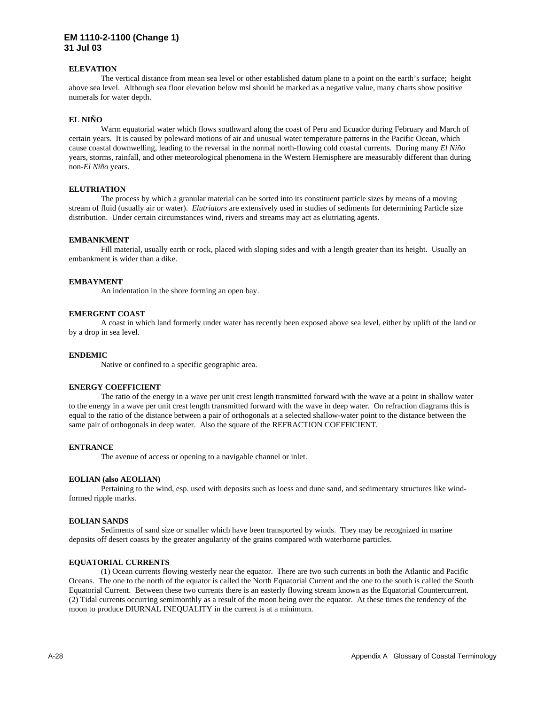# **ELEVATION**

The vertical distance from mean sea level or other established datum plane to a point on the earth's surface; height above sea level. Although sea floor elevation below msl should be marked as a negative value, many charts show positive numerals for water depth.

## **EL NIÑO**

Warm equatorial water which flows southward along the coast of Peru and Ecuador during February and March of certain years. It is caused by poleward motions of air and unusual water temperature patterns in the Pacific Ocean, which cause coastal downwelling, leading to the reversal in the normal north-flowing cold coastal currents. During many *El Niño* years, storms, rainfall, and other meteorological phenomena in the Western Hemisphere are measurably different than during non-*El Niño* years.

## **ELUTRIATION**

The process by which a granular material can be sorted into its constituent particle sizes by means of a moving stream of fluid (usually air or water). *Elutriators* are extensively used in studies of sediments for determining Particle size distribution. Under certain circumstances wind, rivers and streams may act as elutriating agents.

## **EMBANKMENT**

Fill material, usually earth or rock, placed with sloping sides and with a length greater than its height. Usually an embankment is wider than a dike.

#### **EMBAYMENT**

An indentation in the shore forming an open bay.

## **EMERGENT COAST**

A coast in which land formerly under water has recently been exposed above sea level, either by uplift of the land or by a drop in sea level.

#### **ENDEMIC**

Native or confined to a specific geographic area.

## **ENERGY COEFFICIENT**

The ratio of the energy in a wave per unit crest length transmitted forward with the wave at a point in shallow water to the energy in a wave per unit crest length transmitted forward with the wave in deep water. On refraction diagrams this is equal to the ratio of the distance between a pair of orthogonals at a selected shallow-water point to the distance between the same pair of orthogonals in deep water. Also the square of the REFRACTION COEFFICIENT.

## **ENTRANCE**

The avenue of access or opening to a navigable channel or inlet.

## **EOLIAN (also AEOLIAN)**

Pertaining to the wind, esp. used with deposits such as loess and dune sand, and sedimentary structures like windformed ripple marks.

## **EOLIAN SANDS**

Sediments of sand size or smaller which have been transported by winds. They may be recognized in marine deposits off desert coasts by the greater angularity of the grains compared with waterborne particles.

## **EQUATORIAL CURRENTS**

(1) Ocean currents flowing westerly near the equator. There are two such currents in both the Atlantic and Pacific Oceans. The one to the north of the equator is called the North Equatorial Current and the one to the south is called the South Equatorial Current. Between these two currents there is an easterly flowing stream known as the Equatorial Countercurrent. (2) Tidal currents occurring semimonthly as a result of the moon being over the equator. At these times the tendency of the moon to produce DIURNAL INEQUALITY in the current is at a minimum.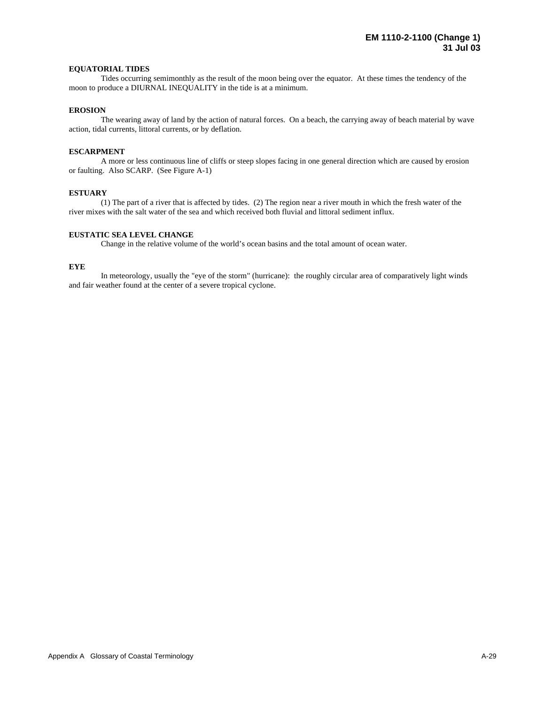# **EQUATORIAL TIDES**

Tides occurring semimonthly as the result of the moon being over the equator. At these times the tendency of the moon to produce a DIURNAL INEQUALITY in the tide is at a minimum.

#### **EROSION**

The wearing away of land by the action of natural forces. On a beach, the carrying away of beach material by wave action, tidal currents, littoral currents, or by deflation.

## **ESCARPMENT**

A more or less continuous line of cliffs or steep slopes facing in one general direction which are caused by erosion or faulting. Also SCARP. (See Figure A-1)

## **ESTUARY**

(1) The part of a river that is affected by tides. (2) The region near a river mouth in which the fresh water of the river mixes with the salt water of the sea and which received both fluvial and littoral sediment influx.

## **EUSTATIC SEA LEVEL CHANGE**

Change in the relative volume of the world's ocean basins and the total amount of ocean water.

# **EYE**

In meteorology, usually the "eye of the storm" (hurricane): the roughly circular area of comparatively light winds and fair weather found at the center of a severe tropical cyclone.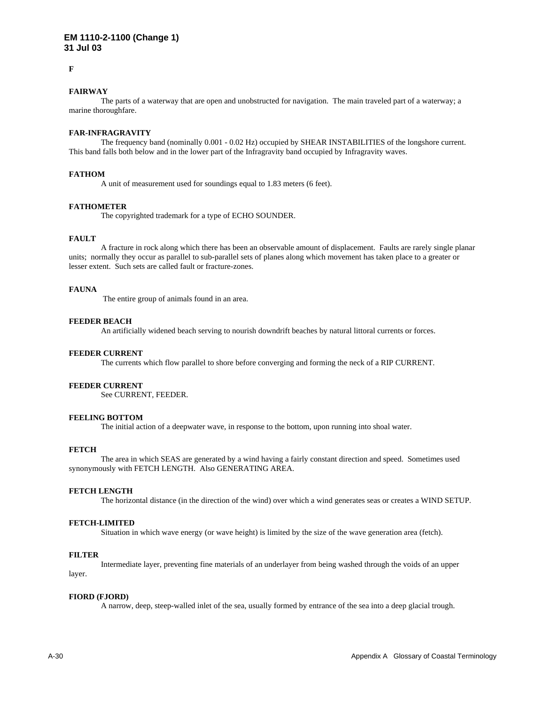# **F**

## **FAIRWAY**

The parts of a waterway that are open and unobstructed for navigation. The main traveled part of a waterway; a marine thoroughfare.

#### **FAR-INFRAGRAVITY**

The frequency band (nominally 0.001 - 0.02 Hz) occupied by SHEAR INSTABILITIES of the longshore current. This band falls both below and in the lower part of the Infragravity band occupied by Infragravity waves.

## **FATHOM**

A unit of measurement used for soundings equal to 1.83 meters (6 feet).

## **FATHOMETER**

The copyrighted trademark for a type of ECHO SOUNDER.

## **FAULT**

A fracture in rock along which there has been an observable amount of displacement. Faults are rarely single planar units; normally they occur as parallel to sub-parallel sets of planes along which movement has taken place to a greater or lesser extent. Such sets are called fault or fracture-zones.

## **FAUNA**

The entire group of animals found in an area.

#### **FEEDER BEACH**

An artificially widened beach serving to nourish downdrift beaches by natural littoral currents or forces.

#### **FEEDER CURRENT**

The currents which flow parallel to shore before converging and forming the neck of a RIP CURRENT.

#### **FEEDER CURRENT**

See CURRENT, FEEDER.

## **FEELING BOTTOM**

The initial action of a deepwater wave, in response to the bottom, upon running into shoal water.

#### **FETCH**

The area in which SEAS are generated by a wind having a fairly constant direction and speed. Sometimes used synonymously with FETCH LENGTH. Also GENERATING AREA.

#### **FETCH LENGTH**

The horizontal distance (in the direction of the wind) over which a wind generates seas or creates a WIND SETUP.

#### **FETCH-LIMITED**

Situation in which wave energy (or wave height) is limited by the size of the wave generation area (fetch).

#### **FILTER**

Intermediate layer, preventing fine materials of an underlayer from being washed through the voids of an upper layer.

#### **FIORD (FJORD)**

A narrow, deep, steep-walled inlet of the sea, usually formed by entrance of the sea into a deep glacial trough.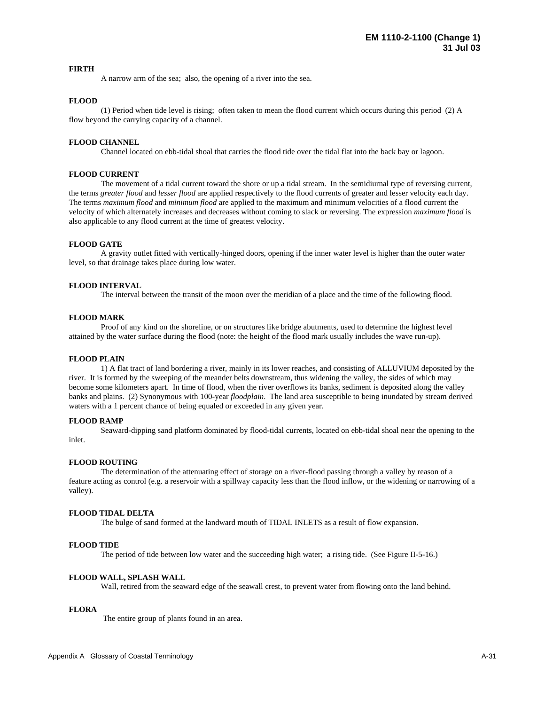# **FIRTH**

A narrow arm of the sea; also, the opening of a river into the sea.

#### **FLOOD**

(1) Period when tide level is rising; often taken to mean the flood current which occurs during this period (2) A flow beyond the carrying capacity of a channel.

# **FLOOD CHANNEL**

Channel located on ebb-tidal shoal that carries the flood tide over the tidal flat into the back bay or lagoon.

## **FLOOD CURRENT**

The movement of a tidal current toward the shore or up a tidal stream. In the semidiurnal type of reversing current, the terms *greater flood* and *lesser flood* are applied respectively to the flood currents of greater and lesser velocity each day. The terms *maximum flood* and *minimum flood* are applied to the maximum and minimum velocities of a flood current the velocity of which alternately increases and decreases without coming to slack or reversing. The expression *maximum flood* is also applicable to any flood current at the time of greatest velocity.

#### **FLOOD GATE**

A gravity outlet fitted with vertically-hinged doors, opening if the inner water level is higher than the outer water level, so that drainage takes place during low water.

## **FLOOD INTERVAL**

The interval between the transit of the moon over the meridian of a place and the time of the following flood.

#### **FLOOD MARK**

Proof of any kind on the shoreline, or on structures like bridge abutments, used to determine the highest level attained by the water surface during the flood (note: the height of the flood mark usually includes the wave run-up).

#### **FLOOD PLAIN**

1) A flat tract of land bordering a river, mainly in its lower reaches, and consisting of ALLUVIUM deposited by the river. It is formed by the sweeping of the meander belts downstream, thus widening the valley, the sides of which may become some kilometers apart. In time of flood, when the river overflows its banks, sediment is deposited along the valley banks and plains. (2) Synonymous with 100-year *floodplain*. The land area susceptible to being inundated by stream derived waters with a 1 percent chance of being equaled or exceeded in any given year.

## **FLOOD RAMP**

Seaward-dipping sand platform dominated by flood-tidal currents, located on ebb-tidal shoal near the opening to the inlet.

#### **FLOOD ROUTING**

The determination of the attenuating effect of storage on a river-flood passing through a valley by reason of a feature acting as control (e.g. a reservoir with a spillway capacity less than the flood inflow, or the widening or narrowing of a valley).

## **FLOOD TIDAL DELTA**

The bulge of sand formed at the landward mouth of TIDAL INLETS as a result of flow expansion.

#### **FLOOD TIDE**

The period of tide between low water and the succeeding high water; a rising tide. (See Figure II-5-16.)

#### **FLOOD WALL, SPLASH WALL**

Wall, retired from the seaward edge of the seawall crest, to prevent water from flowing onto the land behind.

## **FLORA**

The entire group of plants found in an area.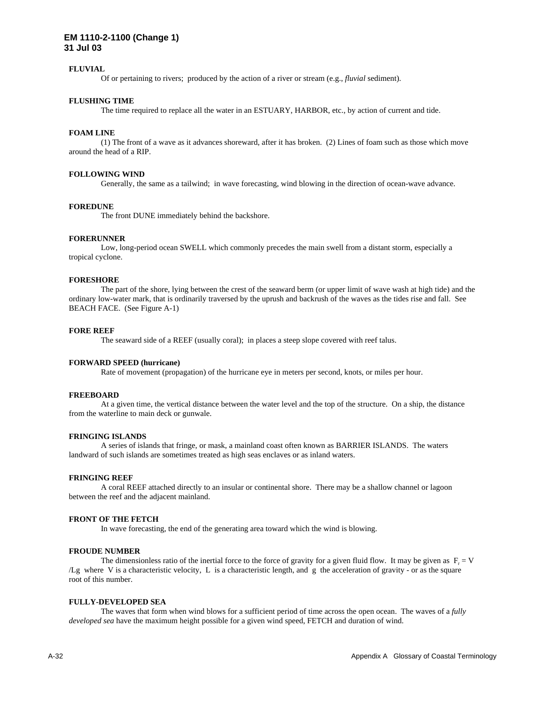# **FLUVIAL**

Of or pertaining to rivers; produced by the action of a river or stream (e.g., *fluvial* sediment).

#### **FLUSHING TIME**

The time required to replace all the water in an ESTUARY, HARBOR, etc., by action of current and tide.

## **FOAM LINE**

(1) The front of a wave as it advances shoreward, after it has broken. (2) Lines of foam such as those which move around the head of a RIP.

#### **FOLLOWING WIND**

Generally, the same as a tailwind; in wave forecasting, wind blowing in the direction of ocean-wave advance.

#### **FOREDUNE**

The front DUNE immediately behind the backshore.

## **FORERUNNER**

Low, long-period ocean SWELL which commonly precedes the main swell from a distant storm, especially a tropical cyclone.

#### **FORESHORE**

The part of the shore, lying between the crest of the seaward berm (or upper limit of wave wash at high tide) and the ordinary low-water mark, that is ordinarily traversed by the uprush and backrush of the waves as the tides rise and fall. See BEACH FACE. (See Figure A-1)

#### **FORE REEF**

The seaward side of a REEF (usually coral); in places a steep slope covered with reef talus.

#### **FORWARD SPEED (hurricane)**

Rate of movement (propagation) of the hurricane eye in meters per second, knots, or miles per hour.

### **FREEBOARD**

At a given time, the vertical distance between the water level and the top of the structure. On a ship, the distance from the waterline to main deck or gunwale.

#### **FRINGING ISLANDS**

A series of islands that fringe, or mask, a mainland coast often known as BARRIER ISLANDS. The waters landward of such islands are sometimes treated as high seas enclaves or as inland waters.

#### **FRINGING REEF**

A coral REEF attached directly to an insular or continental shore. There may be a shallow channel or lagoon between the reef and the adjacent mainland.

## **FRONT OF THE FETCH**

In wave forecasting, the end of the generating area toward which the wind is blowing.

## **FROUDE NUMBER**

The dimensionless ratio of the inertial force to the force of gravity for a given fluid flow. It may be given as  $F_r = V$ /Lg where V is a characteristic velocity, L is a characteristic length, and g the acceleration of gravity - or as the square root of this number.

# **FULLY-DEVELOPED SEA**

The waves that form when wind blows for a sufficient period of time across the open ocean. The waves of a *fully developed sea* have the maximum height possible for a given wind speed, FETCH and duration of wind.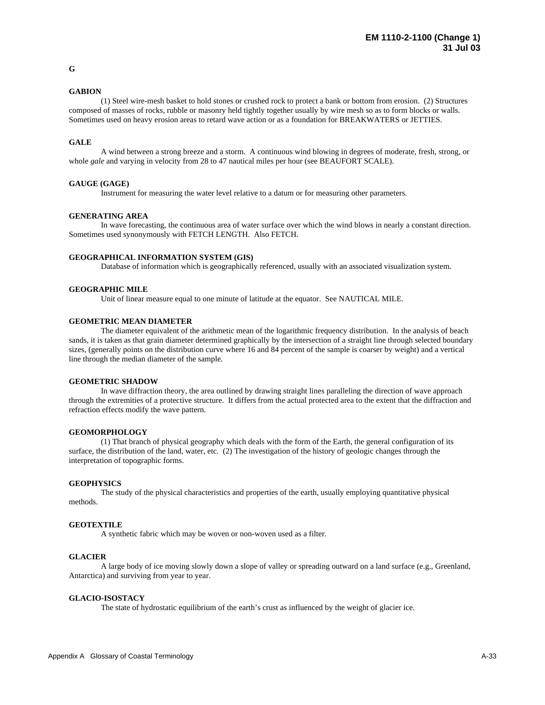# **GABION**

(1) Steel wire-mesh basket to hold stones or crushed rock to protect a bank or bottom from erosion. (2) Structures composed of masses of rocks, rubble or masonry held tightly together usually by wire mesh so as to form blocks or walls. Sometimes used on heavy erosion areas to retard wave action or as a foundation for BREAKWATERS or JETTIES.

# **GALE**

A wind between a strong breeze and a storm. A continuous wind blowing in degrees of moderate, fresh, strong, or whole *gale* and varying in velocity from 28 to 47 nautical miles per hour (see BEAUFORT SCALE).

#### **GAUGE (GAGE)**

Instrument for measuring the water level relative to a datum or for measuring other parameters.

## **GENERATING AREA**

In wave forecasting, the continuous area of water surface over which the wind blows in nearly a constant direction. Sometimes used synonymously with FETCH LENGTH. Also FETCH.

### **GEOGRAPHICAL INFORMATION SYSTEM (GIS)**

Database of information which is geographically referenced, usually with an associated visualization system.

## **GEOGRAPHIC MILE**

Unit of linear measure equal to one minute of latitude at the equator. See NAUTICAL MILE.

#### **GEOMETRIC MEAN DIAMETER**

The diameter equivalent of the arithmetic mean of the logarithmic frequency distribution. In the analysis of beach sands, it is taken as that grain diameter determined graphically by the intersection of a straight line through selected boundary sizes, (generally points on the distribution curve where 16 and 84 percent of the sample is coarser by weight) and a vertical line through the median diameter of the sample.

# **GEOMETRIC SHADOW**

In wave diffraction theory, the area outlined by drawing straight lines paralleling the direction of wave approach through the extremities of a protective structure. It differs from the actual protected area to the extent that the diffraction and refraction effects modify the wave pattern.

## **GEOMORPHOLOGY**

(1) That branch of physical geography which deals with the form of the Earth, the general configuration of its surface, the distribution of the land, water, etc. (2) The investigation of the history of geologic changes through the interpretation of topographic forms.

### **GEOPHYSICS**

The study of the physical characteristics and properties of the earth, usually employing quantitative physical methods.

#### **GEOTEXTILE**

A synthetic fabric which may be woven or non-woven used as a filter.

#### **GLACIER**

A large body of ice moving slowly down a slope of valley or spreading outward on a land surface (e.g., Greenland, Antarctica) and surviving from year to year.

## **GLACIO-ISOSTACY**

The state of hydrostatic equilibrium of the earth's crust as influenced by the weight of glacier ice.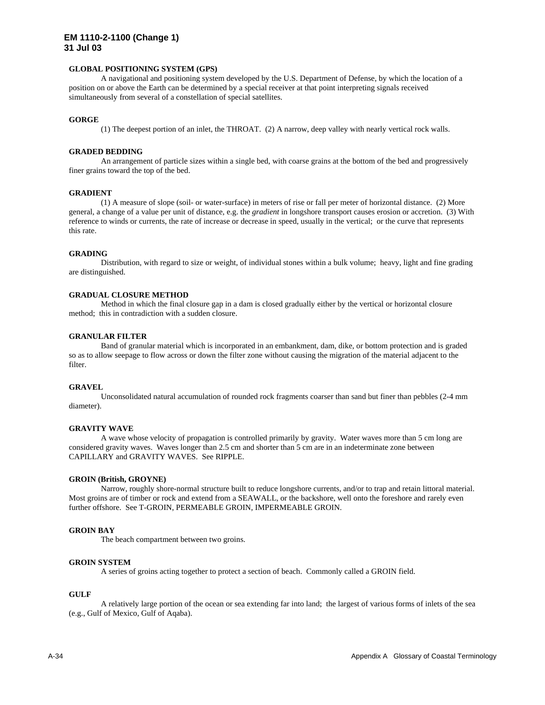## **GLOBAL POSITIONING SYSTEM (GPS)**

A navigational and positioning system developed by the U.S. Department of Defense, by which the location of a position on or above the Earth can be determined by a special receiver at that point interpreting signals received simultaneously from several of a constellation of special satellites.

## **GORGE**

(1) The deepest portion of an inlet, the THROAT. (2) A narrow, deep valley with nearly vertical rock walls.

#### **GRADED BEDDING**

An arrangement of particle sizes within a single bed, with coarse grains at the bottom of the bed and progressively finer grains toward the top of the bed.

## **GRADIENT**

(1) A measure of slope (soil- or water-surface) in meters of rise or fall per meter of horizontal distance. (2) More general, a change of a value per unit of distance, e.g. the *gradient* in longshore transport causes erosion or accretion. (3) With reference to winds or currents, the rate of increase or decrease in speed, usually in the vertical; or the curve that represents this rate.

#### **GRADING**

Distribution, with regard to size or weight, of individual stones within a bulk volume; heavy, light and fine grading are distinguished.

## **GRADUAL CLOSURE METHOD**

Method in which the final closure gap in a dam is closed gradually either by the vertical or horizontal closure method; this in contradiction with a sudden closure.

## **GRANULAR FILTER**

Band of granular material which is incorporated in an embankment, dam, dike, or bottom protection and is graded so as to allow seepage to flow across or down the filter zone without causing the migration of the material adjacent to the filter.

# **GRAVEL**

Unconsolidated natural accumulation of rounded rock fragments coarser than sand but finer than pebbles (2-4 mm diameter).

## **GRAVITY WAVE**

A wave whose velocity of propagation is controlled primarily by gravity. Water waves more than 5 cm long are considered gravity waves. Waves longer than 2.5 cm and shorter than 5 cm are in an indeterminate zone between CAPILLARY and GRAVITY WAVES. See RIPPLE.

#### **GROIN (British, GROYNE)**

Narrow, roughly shore-normal structure built to reduce longshore currents, and/or to trap and retain littoral material. Most groins are of timber or rock and extend from a SEAWALL, or the backshore, well onto the foreshore and rarely even further offshore. See T-GROIN, PERMEABLE GROIN, IMPERMEABLE GROIN.

# **GROIN BAY**

The beach compartment between two groins.

#### **GROIN SYSTEM**

A series of groins acting together to protect a section of beach. Commonly called a GROIN field.

## **GULF**

A relatively large portion of the ocean or sea extending far into land; the largest of various forms of inlets of the sea (e.g., Gulf of Mexico, Gulf of Aqaba).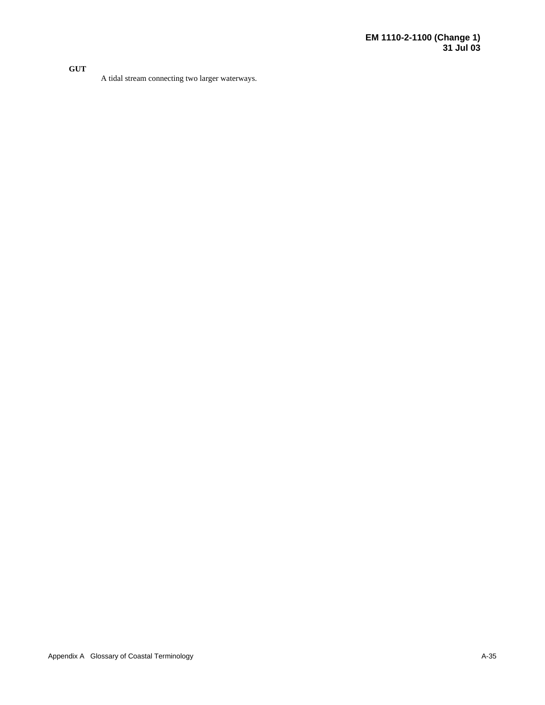# **GUT**

A tidal stream connecting two larger waterways.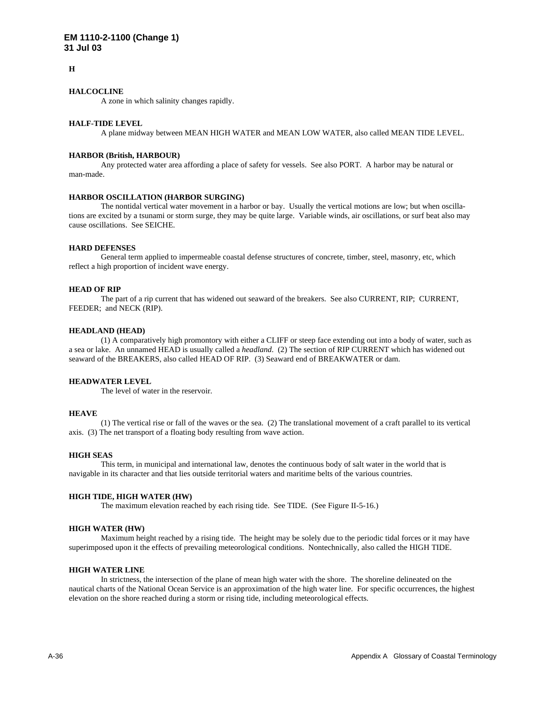# **H**

## **HALCOCLINE**

A zone in which salinity changes rapidly.

## **HALF-TIDE LEVEL**

A plane midway between MEAN HIGH WATER and MEAN LOW WATER, also called MEAN TIDE LEVEL.

## **HARBOR (British, HARBOUR)**

Any protected water area affording a place of safety for vessels. See also PORT. A harbor may be natural or man-made.

## **HARBOR OSCILLATION (HARBOR SURGING)**

The nontidal vertical water movement in a harbor or bay. Usually the vertical motions are low; but when oscillations are excited by a tsunami or storm surge, they may be quite large. Variable winds, air oscillations, or surf beat also may cause oscillations. See SEICHE.

#### **HARD DEFENSES**

General term applied to impermeable coastal defense structures of concrete, timber, steel, masonry, etc, which reflect a high proportion of incident wave energy.

## **HEAD OF RIP**

The part of a rip current that has widened out seaward of the breakers. See also CURRENT, RIP; CURRENT, FEEDER; and NECK (RIP).

#### **HEADLAND (HEAD)**

(1) A comparatively high promontory with either a CLIFF or steep face extending out into a body of water, such as a sea or lake. An unnamed HEAD is usually called a *headland*. (2) The section of RIP CURRENT which has widened out seaward of the BREAKERS, also called HEAD OF RIP. (3) Seaward end of BREAKWATER or dam.

# **HEADWATER LEVEL**

The level of water in the reservoir.

### **HEAVE**

(1) The vertical rise or fall of the waves or the sea. (2) The translational movement of a craft parallel to its vertical axis. (3) The net transport of a floating body resulting from wave action.

# **HIGH SEAS**

This term, in municipal and international law, denotes the continuous body of salt water in the world that is navigable in its character and that lies outside territorial waters and maritime belts of the various countries.

## **HIGH TIDE, HIGH WATER (HW)**

The maximum elevation reached by each rising tide. See TIDE. (See Figure II-5-16.)

## **HIGH WATER (HW)**

Maximum height reached by a rising tide. The height may be solely due to the periodic tidal forces or it may have superimposed upon it the effects of prevailing meteorological conditions. Nontechnically, also called the HIGH TIDE.

#### **HIGH WATER LINE**

In strictness, the intersection of the plane of mean high water with the shore. The shoreline delineated on the nautical charts of the National Ocean Service is an approximation of the high water line. For specific occurrences, the highest elevation on the shore reached during a storm or rising tide, including meteorological effects.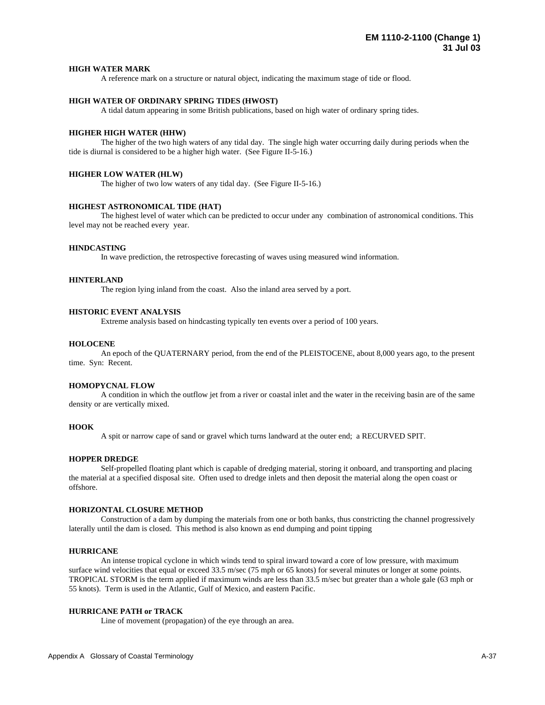# **HIGH WATER MARK**

A reference mark on a structure or natural object, indicating the maximum stage of tide or flood.

## **HIGH WATER OF ORDINARY SPRING TIDES (HWOST)**

A tidal datum appearing in some British publications, based on high water of ordinary spring tides.

## **HIGHER HIGH WATER (HHW)**

The higher of the two high waters of any tidal day. The single high water occurring daily during periods when the tide is diurnal is considered to be a higher high water. (See Figure II-5-16.)

#### **HIGHER LOW WATER (HLW)**

The higher of two low waters of any tidal day. (See Figure II-5-16.)

## **HIGHEST ASTRONOMICAL TIDE (HAT)**

The highest level of water which can be predicted to occur under any combination of astronomical conditions. This level may not be reached every year.

#### **HINDCASTING**

In wave prediction, the retrospective forecasting of waves using measured wind information.

#### **HINTERLAND**

The region lying inland from the coast. Also the inland area served by a port.

## **HISTORIC EVENT ANALYSIS**

Extreme analysis based on hindcasting typically ten events over a period of 100 years.

## **HOLOCENE**

An epoch of the QUATERNARY period, from the end of the PLEISTOCENE, about 8,000 years ago, to the present time. Syn: Recent.

#### **HOMOPYCNAL FLOW**

A condition in which the outflow jet from a river or coastal inlet and the water in the receiving basin are of the same density or are vertically mixed.

#### **HOOK**

A spit or narrow cape of sand or gravel which turns landward at the outer end; a RECURVED SPIT.

### **HOPPER DREDGE**

Self-propelled floating plant which is capable of dredging material, storing it onboard, and transporting and placing the material at a specified disposal site. Often used to dredge inlets and then deposit the material along the open coast or offshore.

#### **HORIZONTAL CLOSURE METHOD**

Construction of a dam by dumping the materials from one or both banks, thus constricting the channel progressively laterally until the dam is closed. This method is also known as end dumping and point tipping

## **HURRICANE**

An intense tropical cyclone in which winds tend to spiral inward toward a core of low pressure, with maximum surface wind velocities that equal or exceed 33.5 m/sec (75 mph or 65 knots) for several minutes or longer at some points. TROPICAL STORM is the term applied if maximum winds are less than 33.5 m/sec but greater than a whole gale (63 mph or 55 knots). Term is used in the Atlantic, Gulf of Mexico, and eastern Pacific.

# **HURRICANE PATH or TRACK**

Line of movement (propagation) of the eye through an area.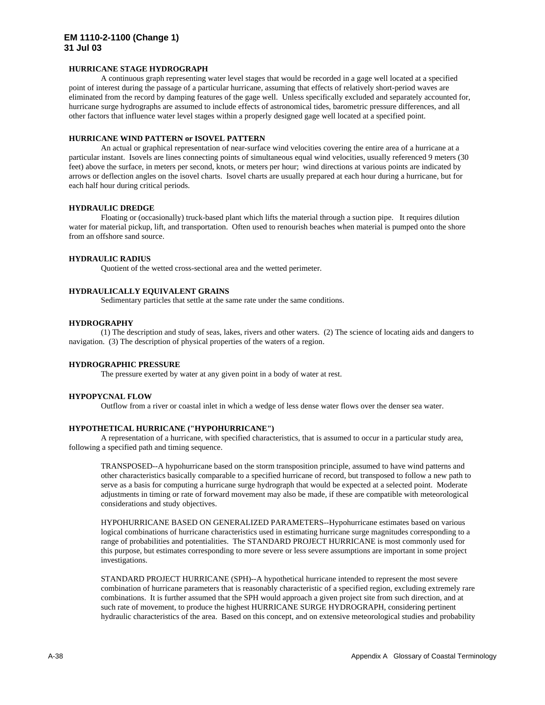## **HURRICANE STAGE HYDROGRAPH**

A continuous graph representing water level stages that would be recorded in a gage well located at a specified point of interest during the passage of a particular hurricane, assuming that effects of relatively short-period waves are eliminated from the record by damping features of the gage well. Unless specifically excluded and separately accounted for, hurricane surge hydrographs are assumed to include effects of astronomical tides, barometric pressure differences, and all other factors that influence water level stages within a properly designed gage well located at a specified point.

#### **HURRICANE WIND PATTERN or ISOVEL PATTERN**

An actual or graphical representation of near-surface wind velocities covering the entire area of a hurricane at a particular instant. Isovels are lines connecting points of simultaneous equal wind velocities, usually referenced 9 meters (30 feet) above the surface, in meters per second, knots, or meters per hour; wind directions at various points are indicated by arrows or deflection angles on the isovel charts. Isovel charts are usually prepared at each hour during a hurricane, but for each half hour during critical periods.

### **HYDRAULIC DREDGE**

Floating or (occasionally) truck-based plant which lifts the material through a suction pipe. It requires dilution water for material pickup, lift, and transportation. Often used to renourish beaches when material is pumped onto the shore from an offshore sand source.

### **HYDRAULIC RADIUS**

Quotient of the wetted cross-sectional area and the wetted perimeter.

#### **HYDRAULICALLY EQUIVALENT GRAINS**

Sedimentary particles that settle at the same rate under the same conditions.

## **HYDROGRAPHY**

(1) The description and study of seas, lakes, rivers and other waters. (2) The science of locating aids and dangers to navigation. (3) The description of physical properties of the waters of a region.

## **HYDROGRAPHIC PRESSURE**

The pressure exerted by water at any given point in a body of water at rest.

## **HYPOPYCNAL FLOW**

Outflow from a river or coastal inlet in which a wedge of less dense water flows over the denser sea water.

#### **HYPOTHETICAL HURRICANE ("HYPOHURRICANE")**

A representation of a hurricane, with specified characteristics, that is assumed to occur in a particular study area, following a specified path and timing sequence.

TRANSPOSED--A hypohurricane based on the storm transposition principle, assumed to have wind patterns and other characteristics basically comparable to a specified hurricane of record, but transposed to follow a new path to serve as a basis for computing a hurricane surge hydrograph that would be expected at a selected point. Moderate adjustments in timing or rate of forward movement may also be made, if these are compatible with meteorological considerations and study objectives.

HYPOHURRICANE BASED ON GENERALIZED PARAMETERS--Hypohurricane estimates based on various logical combinations of hurricane characteristics used in estimating hurricane surge magnitudes corresponding to a range of probabilities and potentialities. The STANDARD PROJECT HURRICANE is most commonly used for this purpose, but estimates corresponding to more severe or less severe assumptions are important in some project investigations.

STANDARD PROJECT HURRICANE (SPH)--A hypothetical hurricane intended to represent the most severe combination of hurricane parameters that is reasonably characteristic of a specified region, excluding extremely rare combinations. It is further assumed that the SPH would approach a given project site from such direction, and at such rate of movement, to produce the highest HURRICANE SURGE HYDROGRAPH, considering pertinent hydraulic characteristics of the area. Based on this concept, and on extensive meteorological studies and probability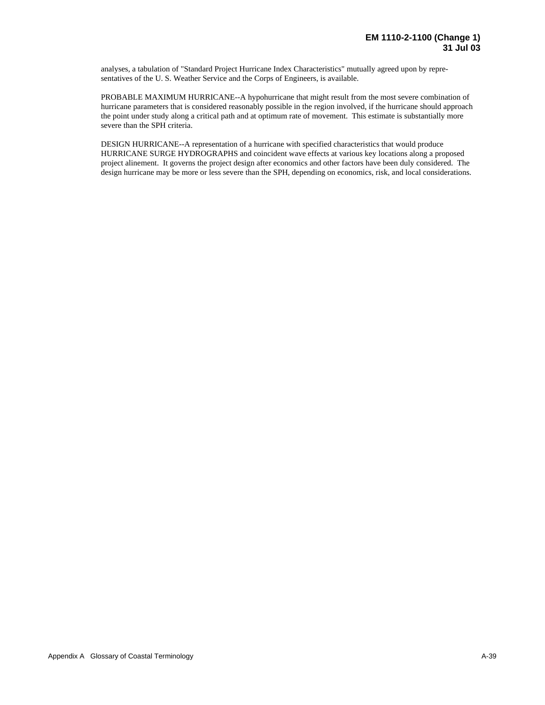analyses, a tabulation of "Standard Project Hurricane Index Characteristics" mutually agreed upon by representatives of the U. S. Weather Service and the Corps of Engineers, is available.

PROBABLE MAXIMUM HURRICANE--A hypohurricane that might result from the most severe combination of hurricane parameters that is considered reasonably possible in the region involved, if the hurricane should approach the point under study along a critical path and at optimum rate of movement. This estimate is substantially more severe than the SPH criteria.

DESIGN HURRICANE--A representation of a hurricane with specified characteristics that would produce HURRICANE SURGE HYDROGRAPHS and coincident wave effects at various key locations along a proposed project alinement. It governs the project design after economics and other factors have been duly considered. The design hurricane may be more or less severe than the SPH, depending on economics, risk, and local considerations.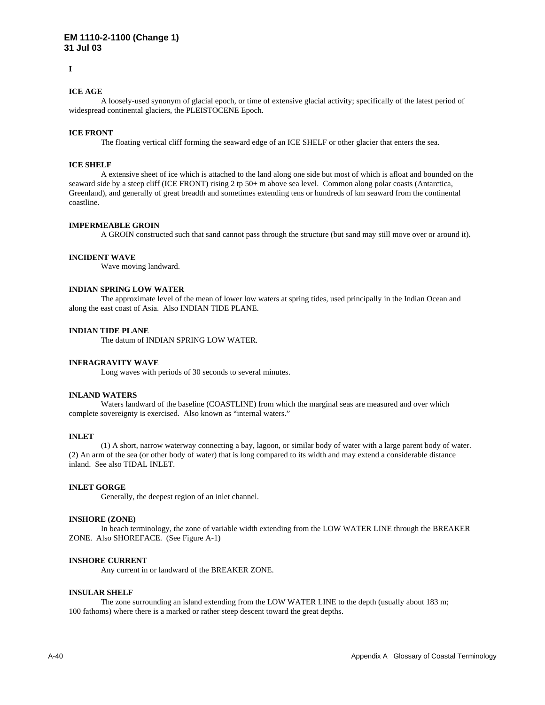# **I**

#### **ICE AGE**

A loosely-used synonym of glacial epoch, or time of extensive glacial activity; specifically of the latest period of widespread continental glaciers, the PLEISTOCENE Epoch.

### **ICE FRONT**

The floating vertical cliff forming the seaward edge of an ICE SHELF or other glacier that enters the sea.

## **ICE SHELF**

A extensive sheet of ice which is attached to the land along one side but most of which is afloat and bounded on the seaward side by a steep cliff (ICE FRONT) rising 2 tp 50+ m above sea level. Common along polar coasts (Antarctica, Greenland), and generally of great breadth and sometimes extending tens or hundreds of km seaward from the continental coastline.

### **IMPERMEABLE GROIN**

A GROIN constructed such that sand cannot pass through the structure (but sand may still move over or around it).

#### **INCIDENT WAVE**

Wave moving landward.

# **INDIAN SPRING LOW WATER**

The approximate level of the mean of lower low waters at spring tides, used principally in the Indian Ocean and along the east coast of Asia. Also INDIAN TIDE PLANE.

### **INDIAN TIDE PLANE**

The datum of INDIAN SPRING LOW WATER.

#### **INFRAGRAVITY WAVE**

Long waves with periods of 30 seconds to several minutes.

#### **INLAND WATERS**

Waters landward of the baseline (COASTLINE) from which the marginal seas are measured and over which complete sovereignty is exercised. Also known as "internal waters."

### **INLET**

(1) A short, narrow waterway connecting a bay, lagoon, or similar body of water with a large parent body of water. (2) An arm of the sea (or other body of water) that is long compared to its width and may extend a considerable distance inland. See also TIDAL INLET.

## **INLET GORGE**

Generally, the deepest region of an inlet channel.

## **INSHORE (ZONE)**

In beach terminology, the zone of variable width extending from the LOW WATER LINE through the BREAKER ZONE. Also SHOREFACE. (See Figure A-1)

#### **INSHORE CURRENT**

Any current in or landward of the BREAKER ZONE.

#### **INSULAR SHELF**

The zone surrounding an island extending from the LOW WATER LINE to the depth (usually about 183 m; 100 fathoms) where there is a marked or rather steep descent toward the great depths.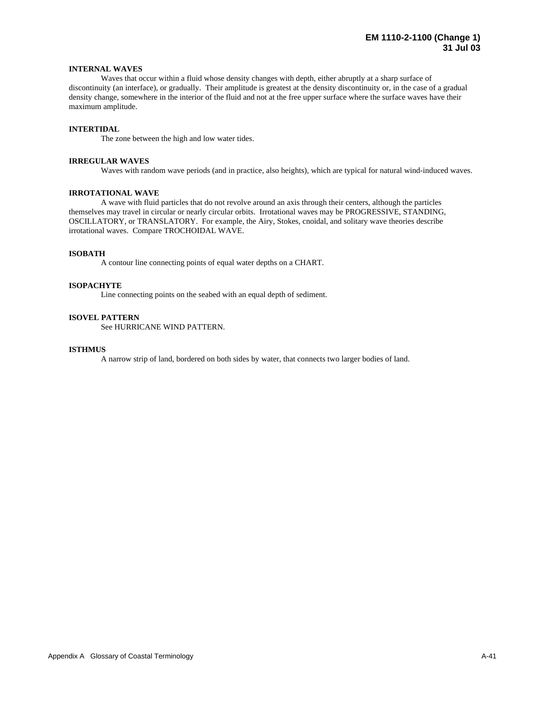# **INTERNAL WAVES**

Waves that occur within a fluid whose density changes with depth, either abruptly at a sharp surface of discontinuity (an interface), or gradually. Their amplitude is greatest at the density discontinuity or, in the case of a gradual density change, somewhere in the interior of the fluid and not at the free upper surface where the surface waves have their maximum amplitude.

### **INTERTIDAL**

The zone between the high and low water tides.

## **IRREGULAR WAVES**

Waves with random wave periods (and in practice, also heights), which are typical for natural wind-induced waves.

#### **IRROTATIONAL WAVE**

A wave with fluid particles that do not revolve around an axis through their centers, although the particles themselves may travel in circular or nearly circular orbits. Irrotational waves may be PROGRESSIVE, STANDING, OSCILLATORY, or TRANSLATORY. For example, the Airy, Stokes, cnoidal, and solitary wave theories describe irrotational waves. Compare TROCHOIDAL WAVE.

## **ISOBATH**

A contour line connecting points of equal water depths on a CHART.

## **ISOPACHYTE**

Line connecting points on the seabed with an equal depth of sediment.

# **ISOVEL PATTERN**

See HURRICANE WIND PATTERN.

### **ISTHMUS**

A narrow strip of land, bordered on both sides by water, that connects two larger bodies of land.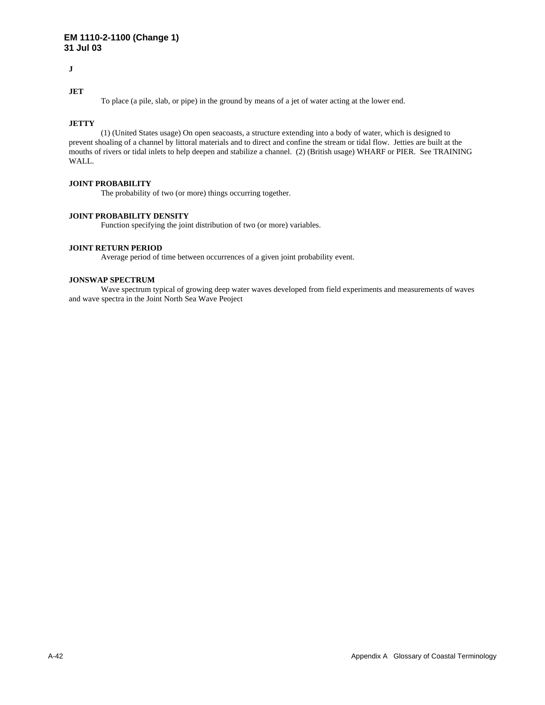# **J**

# **JET**

To place (a pile, slab, or pipe) in the ground by means of a jet of water acting at the lower end.

# **JETTY**

(1) (United States usage) On open seacoasts, a structure extending into a body of water, which is designed to prevent shoaling of a channel by littoral materials and to direct and confine the stream or tidal flow. Jetties are built at the mouths of rivers or tidal inlets to help deepen and stabilize a channel. (2) (British usage) WHARF or PIER. See TRAINING WALL.

## **JOINT PROBABILITY**

The probability of two (or more) things occurring together.

# **JOINT PROBABILITY DENSITY**

Function specifying the joint distribution of two (or more) variables.

## **JOINT RETURN PERIOD**

Average period of time between occurrences of a given joint probability event.

# **JONSWAP SPECTRUM**

Wave spectrum typical of growing deep water waves developed from field experiments and measurements of waves and wave spectra in the Joint North Sea Wave Peoject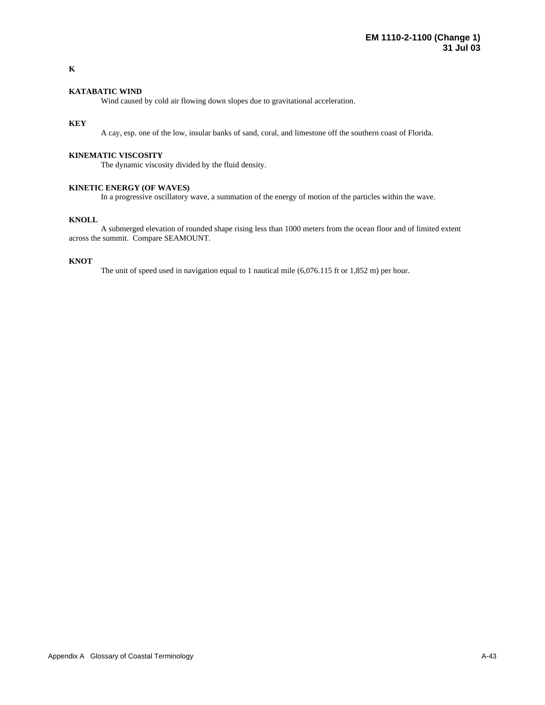## **KATABATIC WIND**

Wind caused by cold air flowing down slopes due to gravitational acceleration.

# **KEY**

A cay, esp. one of the low, insular banks of sand, coral, and limestone off the southern coast of Florida.

### **KINEMATIC VISCOSITY**

The dynamic viscosity divided by the fluid density.

# **KINETIC ENERGY (OF WAVES)**

In a progressive oscillatory wave, a summation of the energy of motion of the particles within the wave.

# **KNOLL**

A submerged elevation of rounded shape rising less than 1000 meters from the ocean floor and of limited extent across the summit. Compare SEAMOUNT.

#### **KNOT**

The unit of speed used in navigation equal to 1 nautical mile  $(6,076.115 \text{ ft or } 1,852 \text{ m})$  per hour.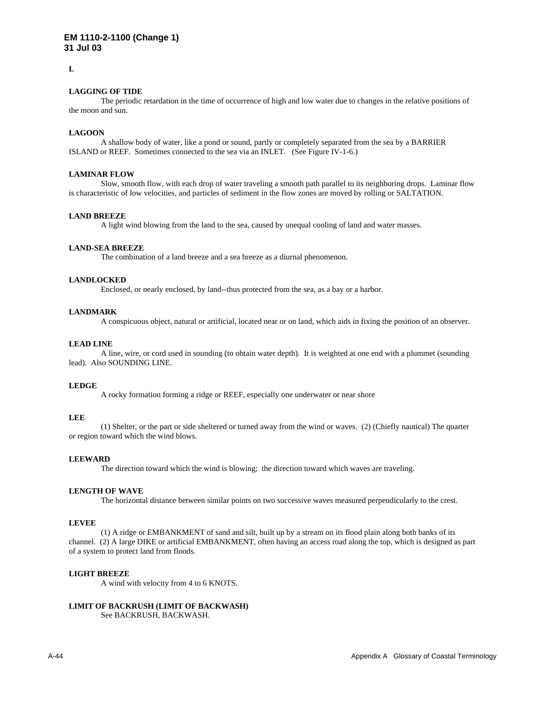# **L**

## **LAGGING OF TIDE**

The periodic retardation in the time of occurrence of high and low water due to changes in the relative positions of the moon and sun.

## **LAGOON**

A shallow body of water, like a pond or sound, partly or completely separated from the sea by a BARRIER ISLAND or REEF. Sometimes connected to the sea via an INLET. (See Figure IV-1-6.)

## **LAMINAR FLOW**

Slow, smooth flow, with each drop of water traveling a smooth path parallel to its neighboring drops. Laminar flow is characteristic of low velocities, and particles of sediment in the flow zones are moved by rolling or SALTATION.

## **LAND BREEZE**

A light wind blowing from the land to the sea, caused by unequal cooling of land and water masses.

## **LAND-SEA BREEZE**

The combination of a land breeze and a sea breeze as a diurnal phenomenon.

## **LANDLOCKED**

Enclosed, or nearly enclosed, by land--thus protected from the sea, as a bay or a harbor.

## **LANDMARK**

A conspicuous object, natural or artificial, located near or on land, which aids in fixing the position of an observer.

## **LEAD LINE**

A line, wire, or cord used in sounding (to obtain water depth). It is weighted at one end with a plummet (sounding lead). Also SOUNDING LINE.

## **LEDGE**

A rocky formation forming a ridge or REEF, especially one underwater or near shore

## **LEE**

(1) Shelter, or the part or side sheltered or turned away from the wind or waves. (2) (Chiefly nautical) The quarter or region toward which the wind blows.

## **LEEWARD**

The direction toward which the wind is blowing; the direction toward which waves are traveling.

## **LENGTH OF WAVE**

The horizontal distance between similar points on two successive waves measured perpendicularly to the crest.

## **LEVEE**

(1) A ridge or EMBANKMENT of sand and silt, built up by a stream on its flood plain along both banks of its channel. (2) A large DIKE or artificial EMBANKMENT, often having an access road along the top, which is designed as part of a system to protect land from floods.

## **LIGHT BREEZE**

A wind with velocity from 4 to 6 KNOTS.

## **LIMIT OF BACKRUSH (LIMIT OF BACKWASH)** See BACKRUSH, BACKWASH.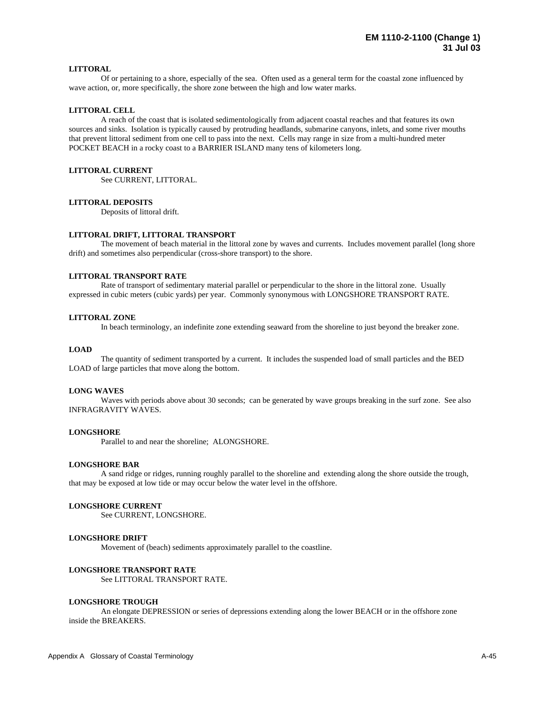# **LITTORAL**

Of or pertaining to a shore, especially of the sea. Often used as a general term for the coastal zone influenced by wave action, or, more specifically, the shore zone between the high and low water marks.

### **LITTORAL CELL**

A reach of the coast that is isolated sedimentologically from adjacent coastal reaches and that features its own sources and sinks. Isolation is typically caused by protruding headlands, submarine canyons, inlets, and some river mouths that prevent littoral sediment from one cell to pass into the next. Cells may range in size from a multi-hundred meter POCKET BEACH in a rocky coast to a BARRIER ISLAND many tens of kilometers long.

# **LITTORAL CURRENT**

See CURRENT, LITTORAL.

#### **LITTORAL DEPOSITS**

Deposits of littoral drift.

## **LITTORAL DRIFT, LITTORAL TRANSPORT**

The movement of beach material in the littoral zone by waves and currents. Includes movement parallel (long shore drift) and sometimes also perpendicular (cross-shore transport) to the shore.

# **LITTORAL TRANSPORT RATE**

Rate of transport of sedimentary material parallel or perpendicular to the shore in the littoral zone. Usually expressed in cubic meters (cubic yards) per year. Commonly synonymous with LONGSHORE TRANSPORT RATE.

#### **LITTORAL ZONE**

In beach terminology, an indefinite zone extending seaward from the shoreline to just beyond the breaker zone.

#### **LOAD**

The quantity of sediment transported by a current. It includes the suspended load of small particles and the BED LOAD of large particles that move along the bottom.

## **LONG WAVES**

Waves with periods above about 30 seconds; can be generated by wave groups breaking in the surf zone. See also INFRAGRAVITY WAVES.

## **LONGSHORE**

Parallel to and near the shoreline; ALONGSHORE.

## **LONGSHORE BAR**

A sand ridge or ridges, running roughly parallel to the shoreline and extending along the shore outside the trough, that may be exposed at low tide or may occur below the water level in the offshore.

# **LONGSHORE CURRENT**

See CURRENT, LONGSHORE.

#### **LONGSHORE DRIFT**

Movement of (beach) sediments approximately parallel to the coastline.

## **LONGSHORE TRANSPORT RATE**

See LITTORAL TRANSPORT RATE.

## **LONGSHORE TROUGH**

An elongate DEPRESSION or series of depressions extending along the lower BEACH or in the offshore zone inside the BREAKERS.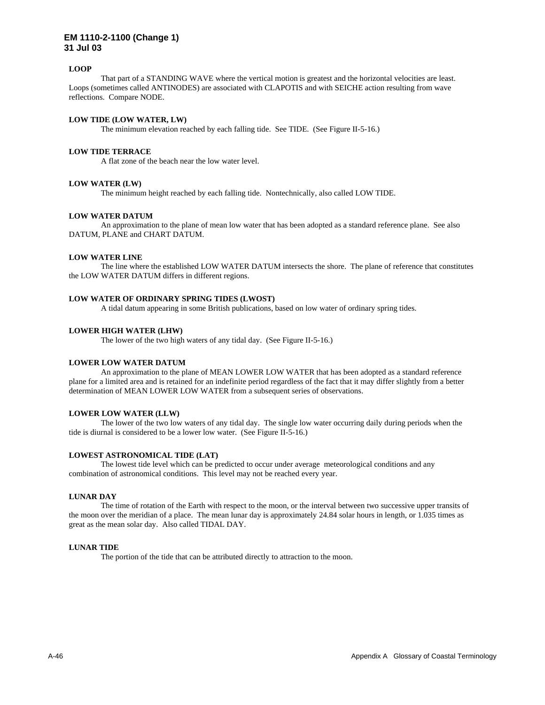# **LOOP**

That part of a STANDING WAVE where the vertical motion is greatest and the horizontal velocities are least. Loops (sometimes called ANTINODES) are associated with CLAPOTIS and with SEICHE action resulting from wave reflections. Compare NODE.

## **LOW TIDE (LOW WATER, LW)**

The minimum elevation reached by each falling tide. See TIDE. (See Figure II-5-16.)

# **LOW TIDE TERRACE**

A flat zone of the beach near the low water level.

# **LOW WATER (LW)**

The minimum height reached by each falling tide. Nontechnically, also called LOW TIDE.

# **LOW WATER DATUM**

An approximation to the plane of mean low water that has been adopted as a standard reference plane. See also DATUM, PLANE and CHART DATUM.

## **LOW WATER LINE**

The line where the established LOW WATER DATUM intersects the shore. The plane of reference that constitutes the LOW WATER DATUM differs in different regions.

# **LOW WATER OF ORDINARY SPRING TIDES (LWOST)**

A tidal datum appearing in some British publications, based on low water of ordinary spring tides.

# **LOWER HIGH WATER (LHW)**

The lower of the two high waters of any tidal day. (See Figure II-5-16.)

## **LOWER LOW WATER DATUM**

An approximation to the plane of MEAN LOWER LOW WATER that has been adopted as a standard reference plane for a limited area and is retained for an indefinite period regardless of the fact that it may differ slightly from a better determination of MEAN LOWER LOW WATER from a subsequent series of observations.

## **LOWER LOW WATER (LLW)**

The lower of the two low waters of any tidal day. The single low water occurring daily during periods when the tide is diurnal is considered to be a lower low water. (See Figure II-5-16.)

## **LOWEST ASTRONOMICAL TIDE (LAT)**

The lowest tide level which can be predicted to occur under average meteorological conditions and any combination of astronomical conditions. This level may not be reached every year.

## **LUNAR DAY**

The time of rotation of the Earth with respect to the moon, or the interval between two successive upper transits of the moon over the meridian of a place. The mean lunar day is approximately 24.84 solar hours in length, or 1.035 times as great as the mean solar day. Also called TIDAL DAY.

## **LUNAR TIDE**

The portion of the tide that can be attributed directly to attraction to the moon.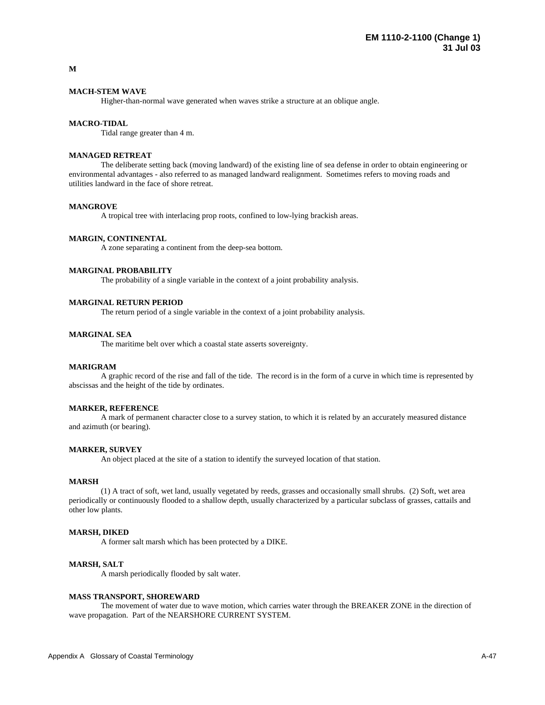## **MACH-STEM WAVE**

Higher-than-normal wave generated when waves strike a structure at an oblique angle.

## **MACRO-TIDAL**

Tidal range greater than 4 m.

## **MANAGED RETREAT**

The deliberate setting back (moving landward) of the existing line of sea defense in order to obtain engineering or environmental advantages - also referred to as managed landward realignment. Sometimes refers to moving roads and utilities landward in the face of shore retreat.

### **MANGROVE**

A tropical tree with interlacing prop roots, confined to low-lying brackish areas.

# **MARGIN, CONTINENTAL**

A zone separating a continent from the deep-sea bottom.

## **MARGINAL PROBABILITY**

The probability of a single variable in the context of a joint probability analysis.

### **MARGINAL RETURN PERIOD**

The return period of a single variable in the context of a joint probability analysis.

#### **MARGINAL SEA**

The maritime belt over which a coastal state asserts sovereignty.

## **MARIGRAM**

A graphic record of the rise and fall of the tide. The record is in the form of a curve in which time is represented by abscissas and the height of the tide by ordinates.

# **MARKER, REFERENCE**

A mark of permanent character close to a survey station, to which it is related by an accurately measured distance and azimuth (or bearing).

### **MARKER, SURVEY**

An object placed at the site of a station to identify the surveyed location of that station.

#### **MARSH**

(1) A tract of soft, wet land, usually vegetated by reeds, grasses and occasionally small shrubs. (2) Soft, wet area periodically or continuously flooded to a shallow depth, usually characterized by a particular subclass of grasses, cattails and other low plants.

## **MARSH, DIKED**

A former salt marsh which has been protected by a DIKE.

#### **MARSH, SALT**

A marsh periodically flooded by salt water.

## **MASS TRANSPORT, SHOREWARD**

The movement of water due to wave motion, which carries water through the BREAKER ZONE in the direction of wave propagation. Part of the NEARSHORE CURRENT SYSTEM.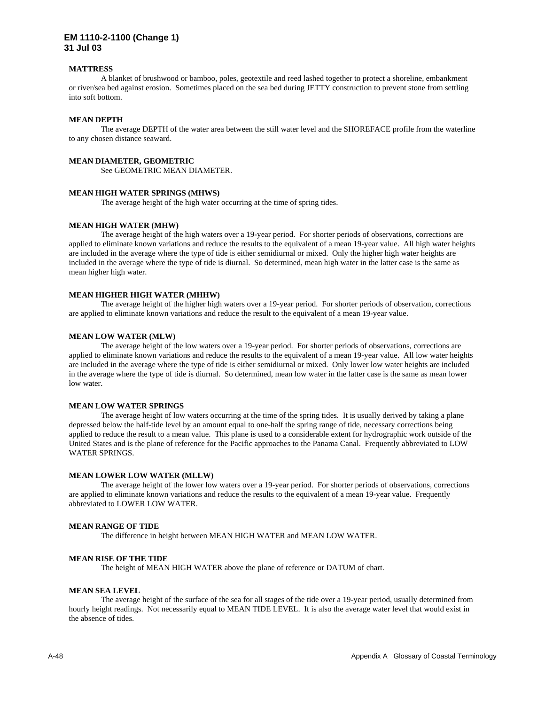# **MATTRESS**

A blanket of brushwood or bamboo, poles, geotextile and reed lashed together to protect a shoreline, embankment or river/sea bed against erosion. Sometimes placed on the sea bed during JETTY construction to prevent stone from settling into soft bottom.

### **MEAN DEPTH**

The average DEPTH of the water area between the still water level and the SHOREFACE profile from the waterline to any chosen distance seaward.

#### **MEAN DIAMETER, GEOMETRIC**

See GEOMETRIC MEAN DIAMETER.

## **MEAN HIGH WATER SPRINGS (MHWS)**

The average height of the high water occurring at the time of spring tides.

### **MEAN HIGH WATER (MHW)**

The average height of the high waters over a 19-year period. For shorter periods of observations, corrections are applied to eliminate known variations and reduce the results to the equivalent of a mean 19-year value. All high water heights are included in the average where the type of tide is either semidiurnal or mixed. Only the higher high water heights are included in the average where the type of tide is diurnal. So determined, mean high water in the latter case is the same as mean higher high water.

### **MEAN HIGHER HIGH WATER (MHHW)**

The average height of the higher high waters over a 19-year period. For shorter periods of observation, corrections are applied to eliminate known variations and reduce the result to the equivalent of a mean 19-year value.

### **MEAN LOW WATER (MLW)**

The average height of the low waters over a 19-year period. For shorter periods of observations, corrections are applied to eliminate known variations and reduce the results to the equivalent of a mean 19-year value. All low water heights are included in the average where the type of tide is either semidiurnal or mixed. Only lower low water heights are included in the average where the type of tide is diurnal. So determined, mean low water in the latter case is the same as mean lower low water.

#### **MEAN LOW WATER SPRINGS**

The average height of low waters occurring at the time of the spring tides. It is usually derived by taking a plane depressed below the half-tide level by an amount equal to one-half the spring range of tide, necessary corrections being applied to reduce the result to a mean value. This plane is used to a considerable extent for hydrographic work outside of the United States and is the plane of reference for the Pacific approaches to the Panama Canal. Frequently abbreviated to LOW WATER SPRINGS.

#### **MEAN LOWER LOW WATER (MLLW)**

The average height of the lower low waters over a 19-year period. For shorter periods of observations, corrections are applied to eliminate known variations and reduce the results to the equivalent of a mean 19-year value. Frequently abbreviated to LOWER LOW WATER.

#### **MEAN RANGE OF TIDE**

The difference in height between MEAN HIGH WATER and MEAN LOW WATER.

#### **MEAN RISE OF THE TIDE**

The height of MEAN HIGH WATER above the plane of reference or DATUM of chart.

# **MEAN SEA LEVEL**

The average height of the surface of the sea for all stages of the tide over a 19-year period, usually determined from hourly height readings. Not necessarily equal to MEAN TIDE LEVEL. It is also the average water level that would exist in the absence of tides.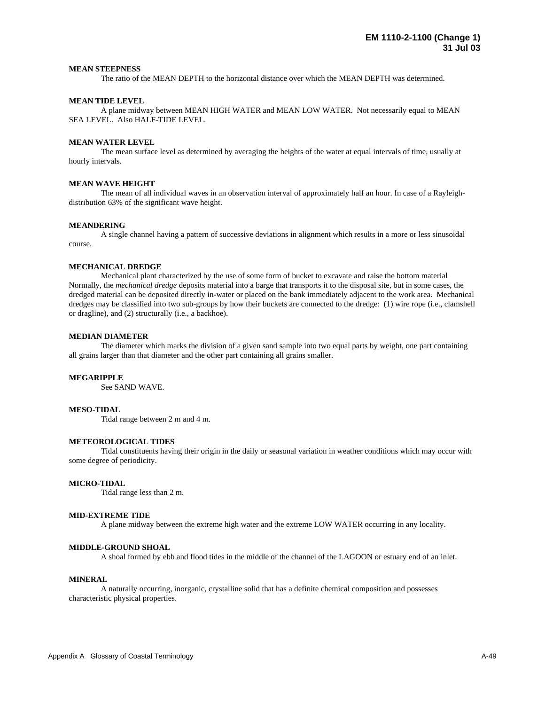## **MEAN STEEPNESS**

The ratio of the MEAN DEPTH to the horizontal distance over which the MEAN DEPTH was determined.

#### **MEAN TIDE LEVEL**

A plane midway between MEAN HIGH WATER and MEAN LOW WATER. Not necessarily equal to MEAN SEA LEVEL. Also HALF-TIDE LEVEL.

# **MEAN WATER LEVEL**

The mean surface level as determined by averaging the heights of the water at equal intervals of time, usually at hourly intervals.

## **MEAN WAVE HEIGHT**

The mean of all individual waves in an observation interval of approximately half an hour. In case of a Rayleighdistribution 63% of the significant wave height.

### **MEANDERING**

A single channel having a pattern of successive deviations in alignment which results in a more or less sinusoidal course.

## **MECHANICAL DREDGE**

Mechanical plant characterized by the use of some form of bucket to excavate and raise the bottom material Normally, the *mechanical dredge* deposits material into a barge that transports it to the disposal site, but in some cases, the dredged material can be deposited directly in-water or placed on the bank immediately adjacent to the work area. Mechanical dredges may be classified into two sub-groups by how their buckets are connected to the dredge: (1) wire rope (i.e., clamshell or dragline), and (2) structurally (i.e., a backhoe).

### **MEDIAN DIAMETER**

The diameter which marks the division of a given sand sample into two equal parts by weight, one part containing all grains larger than that diameter and the other part containing all grains smaller.

## **MEGARIPPLE**

See SAND WAVE.

#### **MESO-TIDAL**

Tidal range between 2 m and 4 m.

## **METEOROLOGICAL TIDES**

Tidal constituents having their origin in the daily or seasonal variation in weather conditions which may occur with some degree of periodicity.

## **MICRO-TIDAL**

Tidal range less than 2 m.

#### **MID-EXTREME TIDE**

A plane midway between the extreme high water and the extreme LOW WATER occurring in any locality.

### **MIDDLE-GROUND SHOAL**

A shoal formed by ebb and flood tides in the middle of the channel of the LAGOON or estuary end of an inlet.

# **MINERAL**

A naturally occurring, inorganic, crystalline solid that has a definite chemical composition and possesses characteristic physical properties.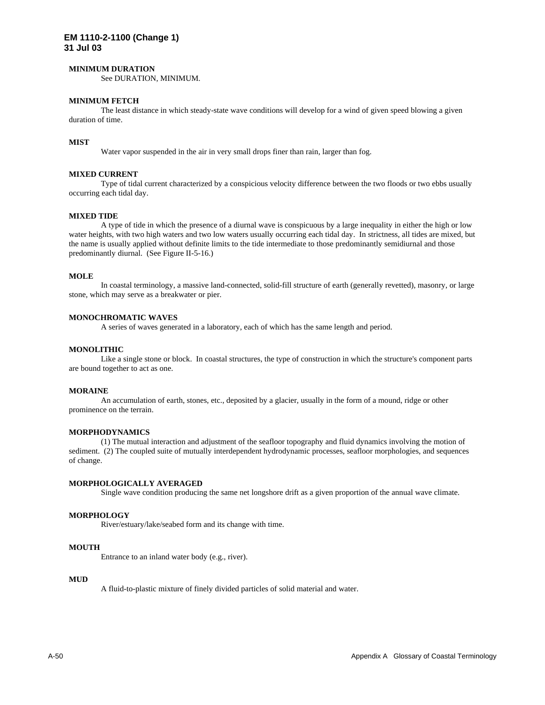# **MINIMUM DURATION**

See DURATION, MINIMUM.

#### **MINIMUM FETCH**

The least distance in which steady-state wave conditions will develop for a wind of given speed blowing a given duration of time.

## **MIST**

Water vapor suspended in the air in very small drops finer than rain, larger than fog.

#### **MIXED CURRENT**

Type of tidal current characterized by a conspicious velocity difference between the two floods or two ebbs usually occurring each tidal day.

# **MIXED TIDE**

A type of tide in which the presence of a diurnal wave is conspicuous by a large inequality in either the high or low water heights, with two high waters and two low waters usually occurring each tidal day. In strictness, all tides are mixed, but the name is usually applied without definite limits to the tide intermediate to those predominantly semidiurnal and those predominantly diurnal. (See Figure II-5-16.)

#### **MOLE**

In coastal terminology, a massive land-connected, solid-fill structure of earth (generally revetted), masonry, or large stone, which may serve as a breakwater or pier.

## **MONOCHROMATIC WAVES**

A series of waves generated in a laboratory, each of which has the same length and period.

#### **MONOLITHIC**

Like a single stone or block. In coastal structures, the type of construction in which the structure's component parts are bound together to act as one.

#### **MORAINE**

An accumulation of earth, stones, etc., deposited by a glacier, usually in the form of a mound, ridge or other prominence on the terrain.

## **MORPHODYNAMICS**

(1) The mutual interaction and adjustment of the seafloor topography and fluid dynamics involving the motion of sediment. (2) The coupled suite of mutually interdependent hydrodynamic processes, seafloor morphologies, and sequences of change.

### **MORPHOLOGICALLY AVERAGED**

Single wave condition producing the same net longshore drift as a given proportion of the annual wave climate.

# **MORPHOLOGY**

River/estuary/lake/seabed form and its change with time.

## **MOUTH**

Entrance to an inland water body (e.g., river).

# **MUD**

A fluid-to-plastic mixture of finely divided particles of solid material and water.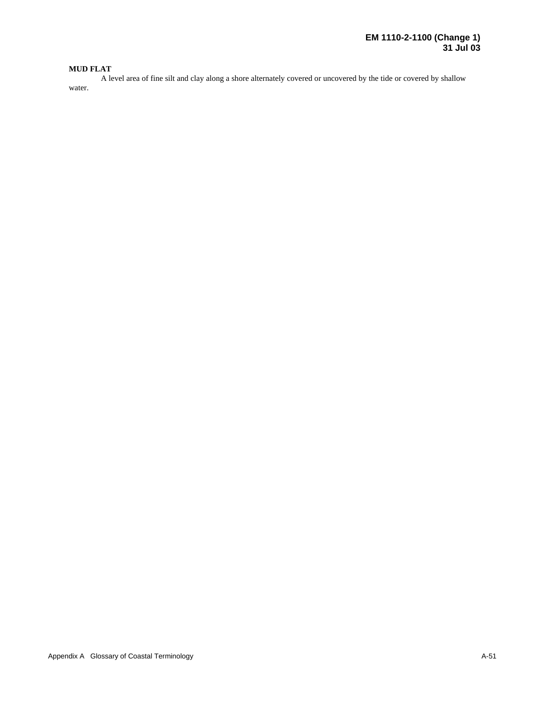# **MUD FLAT**

A level area of fine silt and clay along a shore alternately covered or uncovered by the tide or covered by shallow water.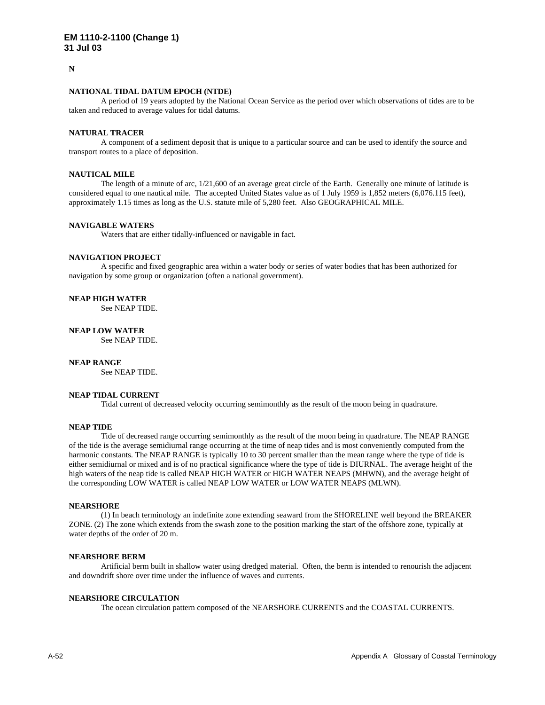**N**

#### **NATIONAL TIDAL DATUM EPOCH (NTDE)**

A period of 19 years adopted by the National Ocean Service as the period over which observations of tides are to be taken and reduced to average values for tidal datums.

### **NATURAL TRACER**

A component of a sediment deposit that is unique to a particular source and can be used to identify the source and transport routes to a place of deposition.

## **NAUTICAL MILE**

The length of a minute of arc, 1/21,600 of an average great circle of the Earth. Generally one minute of latitude is considered equal to one nautical mile. The accepted United States value as of 1 July 1959 is 1,852 meters (6,076.115 feet), approximately 1.15 times as long as the U.S. statute mile of 5,280 feet. Also GEOGRAPHICAL MILE.

## **NAVIGABLE WATERS**

Waters that are either tidally-influenced or navigable in fact.

## **NAVIGATION PROJECT**

A specific and fixed geographic area within a water body or series of water bodies that has been authorized for navigation by some group or organization (often a national government).

## **NEAP HIGH WATER**

See NEAP TIDE.

**NEAP LOW WATER** See NEAP TIDE.

**NEAP RANGE**

See NEAP TIDE.

#### **NEAP TIDAL CURRENT**

Tidal current of decreased velocity occurring semimonthly as the result of the moon being in quadrature.

### **NEAP TIDE**

Tide of decreased range occurring semimonthly as the result of the moon being in quadrature. The NEAP RANGE of the tide is the average semidiurnal range occurring at the time of neap tides and is most conveniently computed from the harmonic constants. The NEAP RANGE is typically 10 to 30 percent smaller than the mean range where the type of tide is either semidiurnal or mixed and is of no practical significance where the type of tide is DIURNAL. The average height of the high waters of the neap tide is called NEAP HIGH WATER or HIGH WATER NEAPS (MHWN), and the average height of the corresponding LOW WATER is called NEAP LOW WATER or LOW WATER NEAPS (MLWN).

#### **NEARSHORE**

(1) In beach terminology an indefinite zone extending seaward from the SHORELINE well beyond the BREAKER ZONE. (2) The zone which extends from the swash zone to the position marking the start of the offshore zone, typically at water depths of the order of 20 m.

## **NEARSHORE BERM**

Artificial berm built in shallow water using dredged material. Often, the berm is intended to renourish the adjacent and downdrift shore over time under the influence of waves and currents.

#### **NEARSHORE CIRCULATION**

The ocean circulation pattern composed of the NEARSHORE CURRENTS and the COASTAL CURRENTS.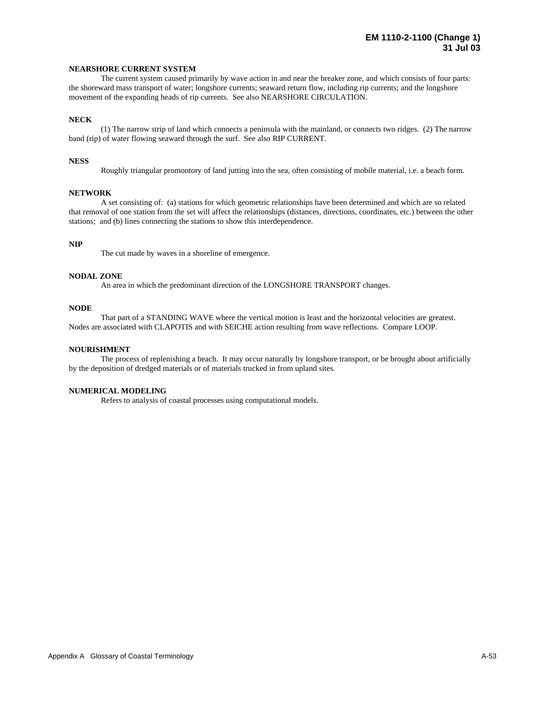# **NEARSHORE CURRENT SYSTEM**

The current system caused primarily by wave action in and near the breaker zone, and which consists of four parts: the shoreward mass transport of water; longshore currents; seaward return flow, including rip currents; and the longshore movement of the expanding heads of rip currents. See also NEARSHORE CIRCULATION.

### **NECK**

(1) The narrow strip of land which connects a peninsula with the mainland, or connects two ridges. (2) The narrow band (rip) of water flowing seaward through the surf. See also RIP CURRENT.

## **NESS**

Roughly triangular promontory of land jutting into the sea, often consisting of mobile material, i.e. a beach form.

# **NETWORK**

A set consisting of: (a) stations for which geometric relationships have been determined and which are so related that removal of one station from the set will affect the relationships (distances, directions, coordinates, etc.) between the other stations; and (b) lines connecting the stations to show this interdependence.

#### **NIP**

The cut made by waves in a shoreline of emergence.

### **NODAL ZONE**

An area in which the predominant direction of the LONGSHORE TRANSPORT changes.

### **NODE**

That part of a STANDING WAVE where the vertical motion is least and the horizontal velocities are greatest. Nodes are associated with CLAPOTIS and with SEICHE action resulting from wave reflections. Compare LOOP.

## **NOURISHMENT**

The process of replenishing a beach. It may occur naturally by longshore transport, or be brought about artificially by the deposition of dredged materials or of materials trucked in from upland sites.

## **NUMERICAL MODELING**

Refers to analysis of coastal processes using computational models.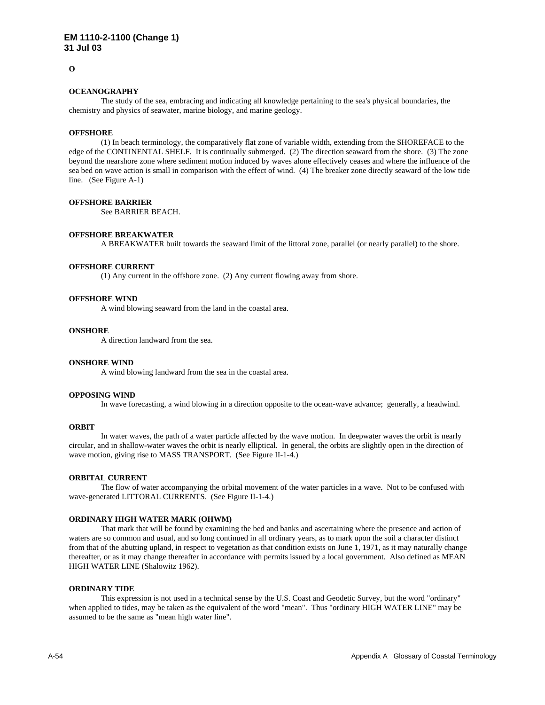# **O**

## **OCEANOGRAPHY**

The study of the sea, embracing and indicating all knowledge pertaining to the sea's physical boundaries, the chemistry and physics of seawater, marine biology, and marine geology.

## **OFFSHORE**

(1) In beach terminology, the comparatively flat zone of variable width, extending from the SHOREFACE to the edge of the CONTINENTAL SHELF. It is continually submerged. (2) The direction seaward from the shore. (3) The zone beyond the nearshore zone where sediment motion induced by waves alone effectively ceases and where the influence of the sea bed on wave action is small in comparison with the effect of wind. (4) The breaker zone directly seaward of the low tide line. (See Figure A-1)

### **OFFSHORE BARRIER**

See BARRIER BEACH.

## **OFFSHORE BREAKWATER**

A BREAKWATER built towards the seaward limit of the littoral zone, parallel (or nearly parallel) to the shore.

#### **OFFSHORE CURRENT**

(1) Any current in the offshore zone. (2) Any current flowing away from shore.

## **OFFSHORE WIND**

A wind blowing seaward from the land in the coastal area.

#### **ONSHORE**

A direction landward from the sea.

#### **ONSHORE WIND**

A wind blowing landward from the sea in the coastal area.

#### **OPPOSING WIND**

In wave forecasting, a wind blowing in a direction opposite to the ocean-wave advance; generally, a headwind.

#### **ORBIT**

In water waves, the path of a water particle affected by the wave motion. In deepwater waves the orbit is nearly circular, and in shallow-water waves the orbit is nearly elliptical. In general, the orbits are slightly open in the direction of wave motion, giving rise to MASS TRANSPORT. (See Figure II-1-4.)

## **ORBITAL CURRENT**

The flow of water accompanying the orbital movement of the water particles in a wave. Not to be confused with wave-generated LITTORAL CURRENTS. (See Figure II-1-4.)

## **ORDINARY HIGH WATER MARK (OHWM)**

That mark that will be found by examining the bed and banks and ascertaining where the presence and action of waters are so common and usual, and so long continued in all ordinary years, as to mark upon the soil a character distinct from that of the abutting upland, in respect to vegetation as that condition exists on June 1, 1971, as it may naturally change thereafter, or as it may change thereafter in accordance with permits issued by a local government. Also defined as MEAN HIGH WATER LINE (Shalowitz 1962).

### **ORDINARY TIDE**

This expression is not used in a technical sense by the U.S. Coast and Geodetic Survey, but the word "ordinary" when applied to tides, may be taken as the equivalent of the word "mean". Thus "ordinary HIGH WATER LINE" may be assumed to be the same as "mean high water line".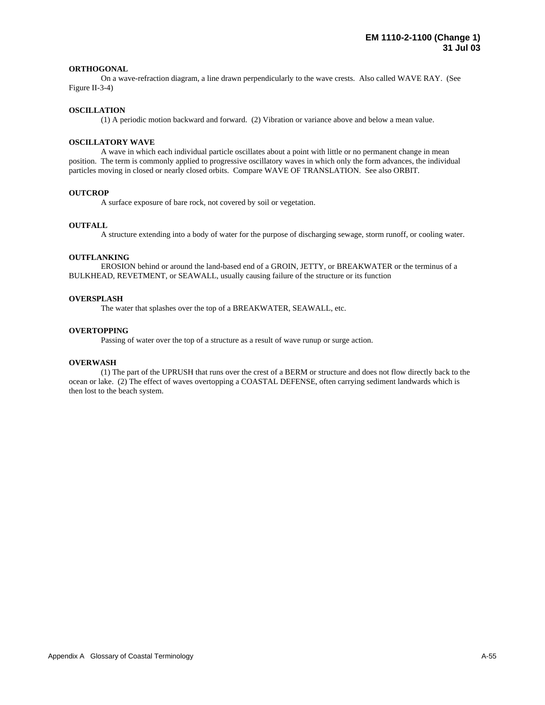# **ORTHOGONAL**

On a wave-refraction diagram, a line drawn perpendicularly to the wave crests. Also called WAVE RAY. (See Figure II-3-4)

## **OSCILLATION**

(1) A periodic motion backward and forward. (2) Vibration or variance above and below a mean value.

## **OSCILLATORY WAVE**

A wave in which each individual particle oscillates about a point with little or no permanent change in mean position. The term is commonly applied to progressive oscillatory waves in which only the form advances, the individual particles moving in closed or nearly closed orbits. Compare WAVE OF TRANSLATION. See also ORBIT.

## **OUTCROP**

A surface exposure of bare rock, not covered by soil or vegetation.

### **OUTFALL**

A structure extending into a body of water for the purpose of discharging sewage, storm runoff, or cooling water.

#### **OUTFLANKING**

EROSION behind or around the land-based end of a GROIN, JETTY, or BREAKWATER or the terminus of a BULKHEAD, REVETMENT, or SEAWALL, usually causing failure of the structure or its function

### **OVERSPLASH**

The water that splashes over the top of a BREAKWATER, SEAWALL, etc.

#### **OVERTOPPING**

Passing of water over the top of a structure as a result of wave runup or surge action.

## **OVERWASH**

(1) The part of the UPRUSH that runs over the crest of a BERM or structure and does not flow directly back to the ocean or lake. (2) The effect of waves overtopping a COASTAL DEFENSE, often carrying sediment landwards which is then lost to the beach system.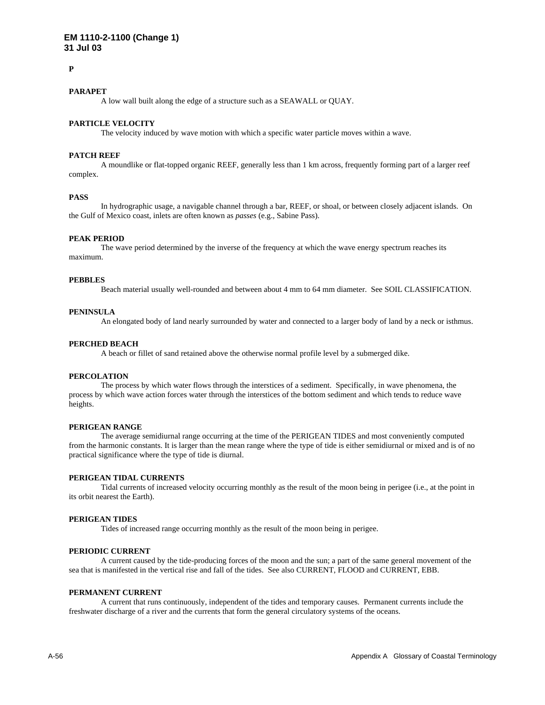## **P**

## **PARAPET**

A low wall built along the edge of a structure such as a SEAWALL or QUAY.

# **PARTICLE VELOCITY**

The velocity induced by wave motion with which a specific water particle moves within a wave.

### **PATCH REEF**

A moundlike or flat-topped organic REEF, generally less than 1 km across, frequently forming part of a larger reef complex.

# **PASS**

In hydrographic usage, a navigable channel through a bar, REEF, or shoal, or between closely adjacent islands. On the Gulf of Mexico coast, inlets are often known as *passes* (e.g., Sabine Pass).

## **PEAK PERIOD**

The wave period determined by the inverse of the frequency at which the wave energy spectrum reaches its maximum.

#### **PEBBLES**

Beach material usually well-rounded and between about 4 mm to 64 mm diameter. See SOIL CLASSIFICATION.

#### **PENINSULA**

An elongated body of land nearly surrounded by water and connected to a larger body of land by a neck or isthmus.

### **PERCHED BEACH**

A beach or fillet of sand retained above the otherwise normal profile level by a submerged dike.

#### **PERCOLATION**

The process by which water flows through the interstices of a sediment. Specifically, in wave phenomena, the process by which wave action forces water through the interstices of the bottom sediment and which tends to reduce wave heights.

#### **PERIGEAN RANGE**

The average semidiurnal range occurring at the time of the PERIGEAN TIDES and most conveniently computed from the harmonic constants. It is larger than the mean range where the type of tide is either semidiurnal or mixed and is of no practical significance where the type of tide is diurnal.

## **PERIGEAN TIDAL CURRENTS**

Tidal currents of increased velocity occurring monthly as the result of the moon being in perigee (i.e., at the point in its orbit nearest the Earth).

## **PERIGEAN TIDES**

Tides of increased range occurring monthly as the result of the moon being in perigee.

## **PERIODIC CURRENT**

A current caused by the tide-producing forces of the moon and the sun; a part of the same general movement of the sea that is manifested in the vertical rise and fall of the tides. See also CURRENT, FLOOD and CURRENT, EBB.

## **PERMANENT CURRENT**

A current that runs continuously, independent of the tides and temporary causes. Permanent currents include the freshwater discharge of a river and the currents that form the general circulatory systems of the oceans.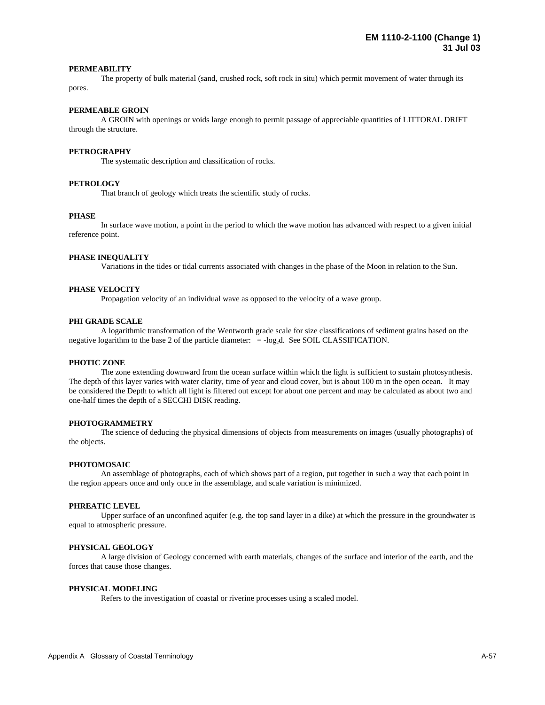## **PERMEABILITY**

The property of bulk material (sand, crushed rock, soft rock in situ) which permit movement of water through its pores.

#### **PERMEABLE GROIN**

A GROIN with openings or voids large enough to permit passage of appreciable quantities of LITTORAL DRIFT through the structure.

# **PETROGRAPHY**

The systematic description and classification of rocks.

# **PETROLOGY**

That branch of geology which treats the scientific study of rocks.

## **PHASE**

In surface wave motion, a point in the period to which the wave motion has advanced with respect to a given initial reference point.

#### **PHASE INEQUALITY**

Variations in the tides or tidal currents associated with changes in the phase of the Moon in relation to the Sun.

# **PHASE VELOCITY**

Propagation velocity of an individual wave as opposed to the velocity of a wave group.

#### **PHI GRADE SCALE**

A logarithmic transformation of the Wentworth grade scale for size classifications of sediment grains based on the negative logarithm to the base 2 of the particle diameter:  $=$  -log<sub>2</sub>d. See SOIL CLASSIFICATION.

## **PHOTIC ZONE**

The zone extending downward from the ocean surface within which the light is sufficient to sustain photosynthesis. The depth of this layer varies with water clarity, time of year and cloud cover, but is about 100 m in the open ocean. It may be considered the Depth to which all light is filtered out except for about one percent and may be calculated as about two and one-half times the depth of a SECCHI DISK reading.

## **PHOTOGRAMMETRY**

The science of deducing the physical dimensions of objects from measurements on images (usually photographs) of the objects.

#### **PHOTOMOSAIC**

An assemblage of photographs, each of which shows part of a region, put together in such a way that each point in the region appears once and only once in the assemblage, and scale variation is minimized.

#### **PHREATIC LEVEL**

Upper surface of an unconfined aquifer (e.g. the top sand layer in a dike) at which the pressure in the groundwater is equal to atmospheric pressure.

### **PHYSICAL GEOLOGY**

A large division of Geology concerned with earth materials, changes of the surface and interior of the earth, and the forces that cause those changes.

## **PHYSICAL MODELING**

Refers to the investigation of coastal or riverine processes using a scaled model.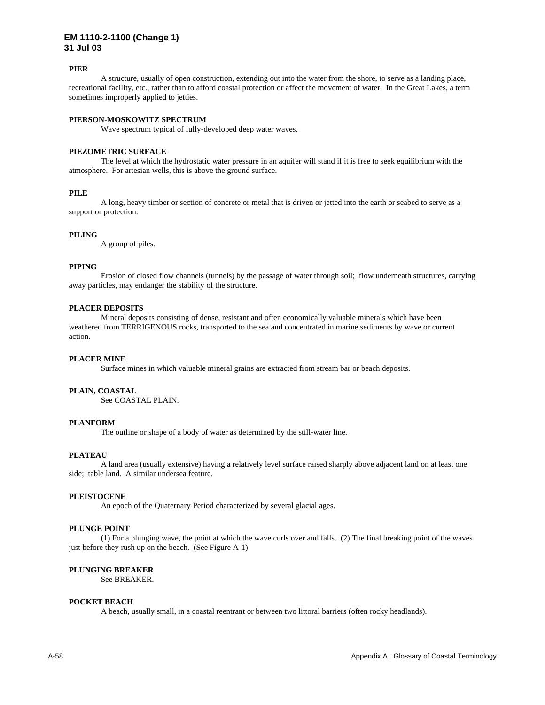# **PIER**

A structure, usually of open construction, extending out into the water from the shore, to serve as a landing place, recreational facility, etc., rather than to afford coastal protection or affect the movement of water. In the Great Lakes, a term sometimes improperly applied to jetties.

## **PIERSON-MOSKOWITZ SPECTRUM**

Wave spectrum typical of fully-developed deep water waves.

# **PIEZOMETRIC SURFACE**

The level at which the hydrostatic water pressure in an aquifer will stand if it is free to seek equilibrium with the atmosphere. For artesian wells, this is above the ground surface.

## **PILE**

A long, heavy timber or section of concrete or metal that is driven or jetted into the earth or seabed to serve as a support or protection.

## **PILING**

A group of piles.

## **PIPING**

Erosion of closed flow channels (tunnels) by the passage of water through soil; flow underneath structures, carrying away particles, may endanger the stability of the structure.

## **PLACER DEPOSITS**

Mineral deposits consisting of dense, resistant and often economically valuable minerals which have been weathered from TERRIGENOUS rocks, transported to the sea and concentrated in marine sediments by wave or current action.

## **PLACER MINE**

Surface mines in which valuable mineral grains are extracted from stream bar or beach deposits.

## **PLAIN, COASTAL**

See COASTAL PLAIN.

#### **PLANFORM**

The outline or shape of a body of water as determined by the still-water line.

## **PLATEAU**

A land area (usually extensive) having a relatively level surface raised sharply above adjacent land on at least one side; table land. A similar undersea feature.

#### **PLEISTOCENE**

An epoch of the Quaternary Period characterized by several glacial ages.

## **PLUNGE POINT**

(1) For a plunging wave, the point at which the wave curls over and falls. (2) The final breaking point of the waves just before they rush up on the beach. (See Figure A-1)

## **PLUNGING BREAKER**

See BREAKER.

# **POCKET BEACH**

A beach, usually small, in a coastal reentrant or between two littoral barriers (often rocky headlands).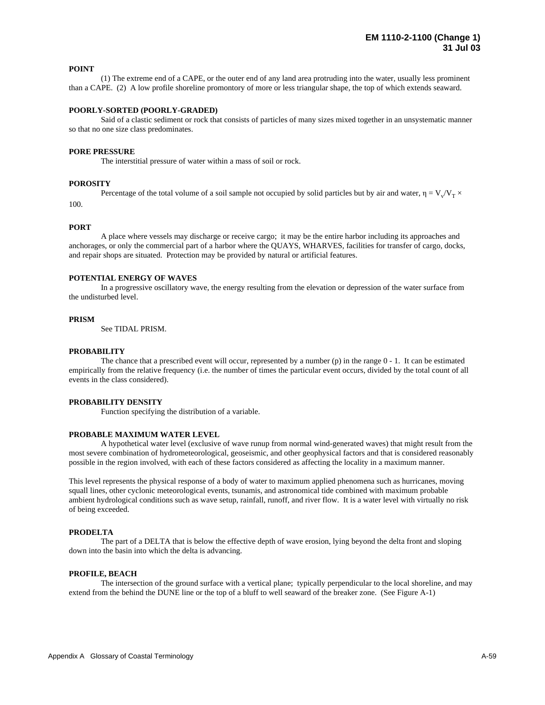# **POINT**

(1) The extreme end of a CAPE, or the outer end of any land area protruding into the water, usually less prominent than a CAPE. (2) A low profile shoreline promontory of more or less triangular shape, the top of which extends seaward.

#### **POORLY-SORTED (POORLY-GRADED)**

Said of a clastic sediment or rock that consists of particles of many sizes mixed together in an unsystematic manner so that no one size class predominates.

## **PORE PRESSURE**

The interstitial pressure of water within a mass of soil or rock.

## **POROSITY**

Percentage of the total volume of a soil sample not occupied by solid particles but by air and water,  $\eta = V_{\nu}/V_{\tau} \times$ 

100.

# **PORT**

A place where vessels may discharge or receive cargo; it may be the entire harbor including its approaches and anchorages, or only the commercial part of a harbor where the QUAYS, WHARVES, facilities for transfer of cargo, docks, and repair shops are situated. Protection may be provided by natural or artificial features.

## **POTENTIAL ENERGY OF WAVES**

In a progressive oscillatory wave, the energy resulting from the elevation or depression of the water surface from the undisturbed level.

#### **PRISM**

See TIDAL PRISM.

# **PROBABILITY**

The chance that a prescribed event will occur, represented by a number (p) in the range 0 - 1. It can be estimated empirically from the relative frequency (i.e. the number of times the particular event occurs, divided by the total count of all events in the class considered).

## **PROBABILITY DENSITY**

Function specifying the distribution of a variable.

### **PROBABLE MAXIMUM WATER LEVEL**

A hypothetical water level (exclusive of wave runup from normal wind-generated waves) that might result from the most severe combination of hydrometeorological, geoseismic, and other geophysical factors and that is considered reasonably possible in the region involved, with each of these factors considered as affecting the locality in a maximum manner.

This level represents the physical response of a body of water to maximum applied phenomena such as hurricanes, moving squall lines, other cyclonic meteorological events, tsunamis, and astronomical tide combined with maximum probable ambient hydrological conditions such as wave setup, rainfall, runoff, and river flow. It is a water level with virtually no risk of being exceeded.

# **PRODELTA**

The part of a DELTA that is below the effective depth of wave erosion, lying beyond the delta front and sloping down into the basin into which the delta is advancing.

## **PROFILE, BEACH**

The intersection of the ground surface with a vertical plane; typically perpendicular to the local shoreline, and may extend from the behind the DUNE line or the top of a bluff to well seaward of the breaker zone. (See Figure A-1)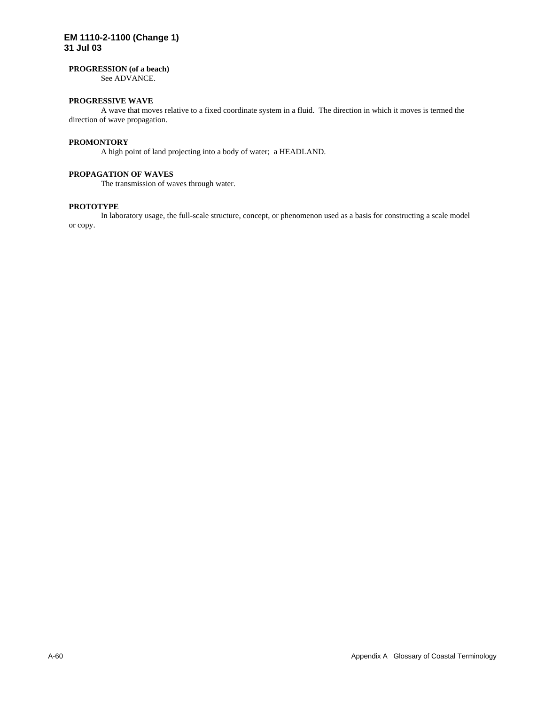# **PROGRESSION (of a beach)**

See ADVANCE.

# **PROGRESSIVE WAVE**

A wave that moves relative to a fixed coordinate system in a fluid. The direction in which it moves is termed the direction of wave propagation.

# **PROMONTORY**

A high point of land projecting into a body of water; a HEADLAND.

# **PROPAGATION OF WAVES**

The transmission of waves through water.

# **PROTOTYPE**

In laboratory usage, the full-scale structure, concept, or phenomenon used as a basis for constructing a scale model or copy.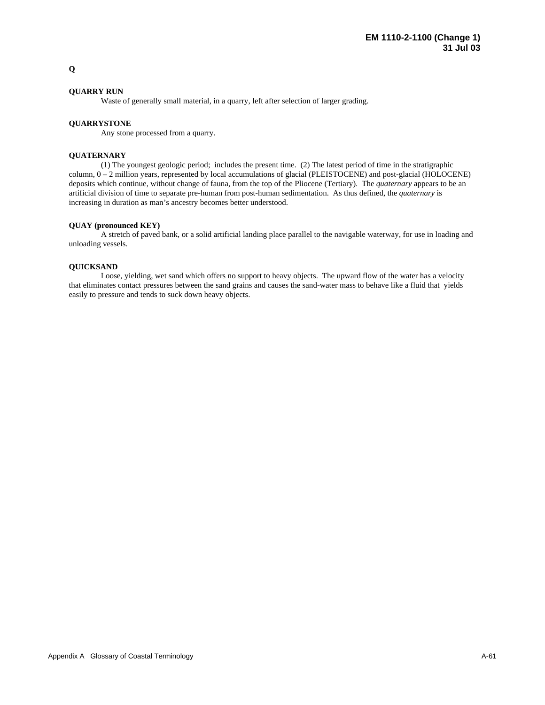## **QUARRY RUN**

Waste of generally small material, in a quarry, left after selection of larger grading.

# **QUARRYSTONE**

Any stone processed from a quarry.

## **QUATERNARY**

(1) The youngest geologic period; includes the present time. (2) The latest period of time in the stratigraphic column, 0 – 2 million years, represented by local accumulations of glacial (PLEISTOCENE) and post-glacial (HOLOCENE) deposits which continue, without change of fauna, from the top of the Pliocene (Tertiary). The *quaternary* appears to be an artificial division of time to separate pre-human from post-human sedimentation. As thus defined, the *quaternary* is increasing in duration as man's ancestry becomes better understood.

## **QUAY (pronounced KEY)**

A stretch of paved bank, or a solid artificial landing place parallel to the navigable waterway, for use in loading and unloading vessels.

# **QUICKSAND**

Loose, yielding, wet sand which offers no support to heavy objects. The upward flow of the water has a velocity that eliminates contact pressures between the sand grains and causes the sand-water mass to behave like a fluid that yields easily to pressure and tends to suck down heavy objects.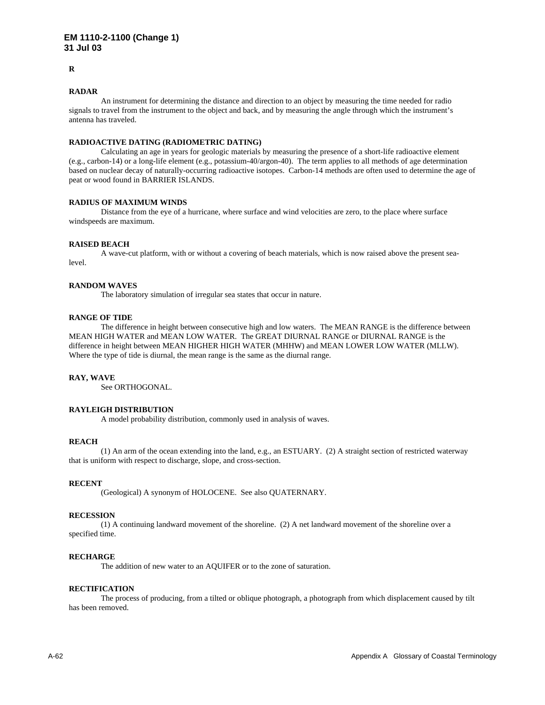## **R**

#### **RADAR**

An instrument for determining the distance and direction to an object by measuring the time needed for radio signals to travel from the instrument to the object and back, and by measuring the angle through which the instrument's antenna has traveled.

# **RADIOACTIVE DATING (RADIOMETRIC DATING)**

Calculating an age in years for geologic materials by measuring the presence of a short-life radioactive element (e.g., carbon-14) or a long-life element (e.g., potassium-40/argon-40). The term applies to all methods of age determination based on nuclear decay of naturally-occurring radioactive isotopes. Carbon-14 methods are often used to determine the age of peat or wood found in BARRIER ISLANDS.

## **RADIUS OF MAXIMUM WINDS**

Distance from the eye of a hurricane, where surface and wind velocities are zero, to the place where surface windspeeds are maximum.

## **RAISED BEACH**

A wave-cut platform, with or without a covering of beach materials, which is now raised above the present sealevel.

## **RANDOM WAVES**

The laboratory simulation of irregular sea states that occur in nature.

# **RANGE OF TIDE**

The difference in height between consecutive high and low waters. The MEAN RANGE is the difference between MEAN HIGH WATER and MEAN LOW WATER. The GREAT DIURNAL RANGE or DIURNAL RANGE is the difference in height between MEAN HIGHER HIGH WATER (MHHW) and MEAN LOWER LOW WATER (MLLW). Where the type of tide is diurnal, the mean range is the same as the diurnal range.

#### **RAY, WAVE**

See ORTHOGONAL.

## **RAYLEIGH DISTRIBUTION**

A model probability distribution, commonly used in analysis of waves.

#### **REACH**

(1) An arm of the ocean extending into the land, e.g., an ESTUARY. (2) A straight section of restricted waterway that is uniform with respect to discharge, slope, and cross-section.

#### **RECENT**

(Geological) A synonym of HOLOCENE. See also QUATERNARY.

#### **RECESSION**

(1) A continuing landward movement of the shoreline. (2) A net landward movement of the shoreline over a specified time.

#### **RECHARGE**

The addition of new water to an AQUIFER or to the zone of saturation.

### **RECTIFICATION**

The process of producing, from a tilted or oblique photograph, a photograph from which displacement caused by tilt has been removed.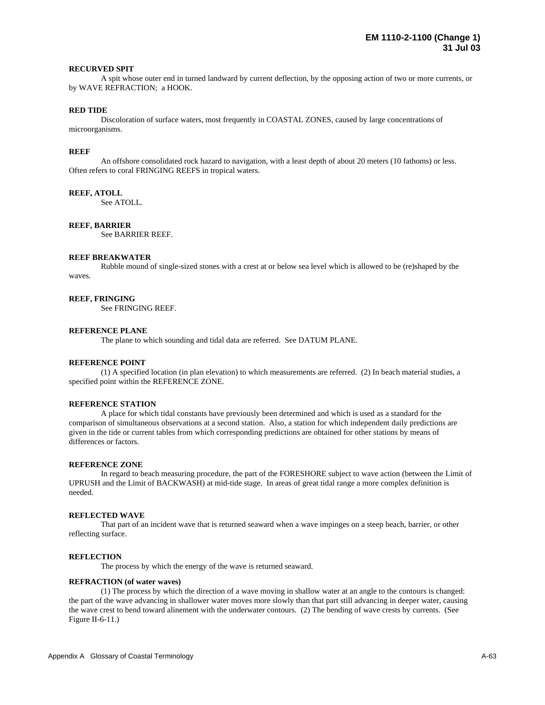# **RECURVED SPIT**

A spit whose outer end in turned landward by current deflection, by the opposing action of two or more currents, or by WAVE REFRACTION; a HOOK.

### **RED TIDE**

Discoloration of surface waters, most frequently in COASTAL ZONES, caused by large concentrations of microorganisms.

## **REEF**

An offshore consolidated rock hazard to navigation, with a least depth of about 20 meters (10 fathoms) or less. Often refers to coral FRINGING REEFS in tropical waters.

#### **REEF, ATOLL**

See ATOLL.

#### **REEF, BARRIER**

See BARRIER REEF.

#### **REEF BREAKWATER**

Rubble mound of single-sized stones with a crest at or below sea level which is allowed to be (re)shaped by the waves.

## **REEF, FRINGING**

See FRINGING REEF.

#### **REFERENCE PLANE**

The plane to which sounding and tidal data are referred. See DATUM PLANE.

# **REFERENCE POINT**

(1) A specified location (in plan elevation) to which measurements are referred. (2) In beach material studies, a specified point within the REFERENCE ZONE.

## **REFERENCE STATION**

A place for which tidal constants have previously been determined and which is used as a standard for the comparison of simultaneous observations at a second station. Also, a station for which independent daily predictions are given in the tide or current tables from which corresponding predictions are obtained for other stations by means of differences or factors.

## **REFERENCE ZONE**

In regard to beach measuring procedure, the part of the FORESHORE subject to wave action (between the Limit of UPRUSH and the Limit of BACKWASH) at mid-tide stage. In areas of great tidal range a more complex definition is needed.

#### **REFLECTED WAVE**

That part of an incident wave that is returned seaward when a wave impinges on a steep beach, barrier, or other reflecting surface.

#### **REFLECTION**

The process by which the energy of the wave is returned seaward.

## **REFRACTION (of water waves)**

(1) The process by which the direction of a wave moving in shallow water at an angle to the contours is changed: the part of the wave advancing in shallower water moves more slowly than that part still advancing in deeper water, causing the wave crest to bend toward alinement with the underwater contours. (2) The bending of wave crests by currents. (See Figure II-6-11.)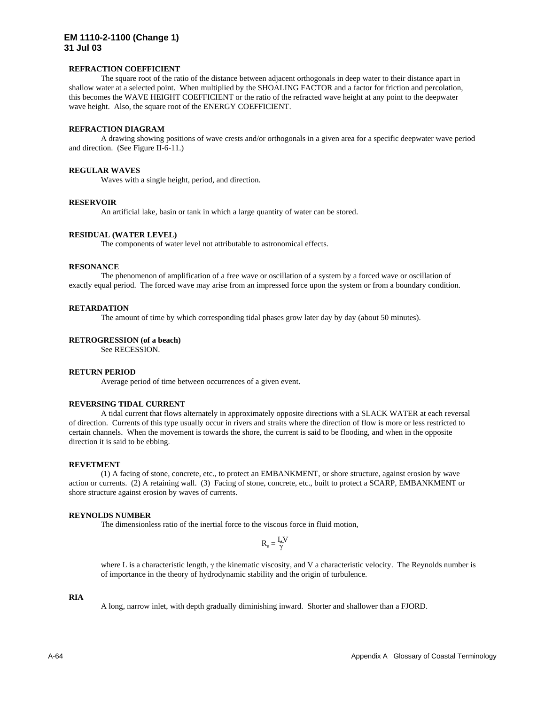# **REFRACTION COEFFICIENT**

The square root of the ratio of the distance between adjacent orthogonals in deep water to their distance apart in shallow water at a selected point. When multiplied by the SHOALING FACTOR and a factor for friction and percolation, this becomes the WAVE HEIGHT COEFFICIENT or the ratio of the refracted wave height at any point to the deepwater wave height. Also, the square root of the ENERGY COEFFICIENT.

## **REFRACTION DIAGRAM**

A drawing showing positions of wave crests and/or orthogonals in a given area for a specific deepwater wave period and direction. (See Figure II-6-11.)

### **REGULAR WAVES**

Waves with a single height, period, and direction.

#### **RESERVOIR**

An artificial lake, basin or tank in which a large quantity of water can be stored.

## **RESIDUAL (WATER LEVEL)**

The components of water level not attributable to astronomical effects.

## **RESONANCE**

The phenomenon of amplification of a free wave or oscillation of a system by a forced wave or oscillation of exactly equal period. The forced wave may arise from an impressed force upon the system or from a boundary condition.

## **RETARDATION**

The amount of time by which corresponding tidal phases grow later day by day (about 50 minutes).

#### **RETROGRESSION (of a beach)**

See RECESSION.

# **RETURN PERIOD**

Average period of time between occurrences of a given event.

## **REVERSING TIDAL CURRENT**

A tidal current that flows alternately in approximately opposite directions with a SLACK WATER at each reversal of direction. Currents of this type usually occur in rivers and straits where the direction of flow is more or less restricted to certain channels. When the movement is towards the shore, the current is said to be flooding, and when in the opposite direction it is said to be ebbing.

#### **REVETMENT**

(1) A facing of stone, concrete, etc., to protect an EMBANKMENT, or shore structure, against erosion by wave action or currents. (2) A retaining wall. (3) Facing of stone, concrete, etc., built to protect a SCARP, EMBANKMENT or shore structure against erosion by waves of currents.

### **REYNOLDS NUMBER**

The dimensionless ratio of the inertial force to the viscous force in fluid motion,

$$
R_{\rm e} = \frac{LV}{\gamma}
$$

where L is a characteristic length, γ the kinematic viscosity, and V a characteristic velocity. The Reynolds number is of importance in the theory of hydrodynamic stability and the origin of turbulence.

#### **RIA**

A long, narrow inlet, with depth gradually diminishing inward. Shorter and shallower than a FJORD.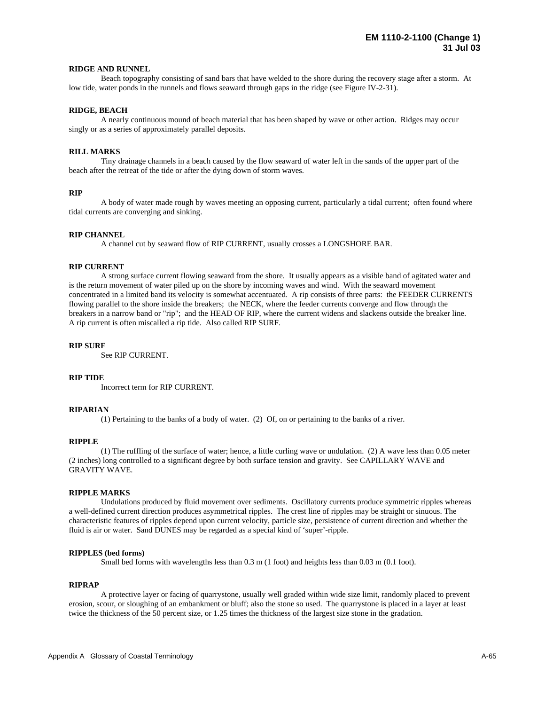## **RIDGE AND RUNNEL**

Beach topography consisting of sand bars that have welded to the shore during the recovery stage after a storm. At low tide, water ponds in the runnels and flows seaward through gaps in the ridge (see Figure IV-2-31).

#### **RIDGE, BEACH**

A nearly continuous mound of beach material that has been shaped by wave or other action. Ridges may occur singly or as a series of approximately parallel deposits.

### **RILL MARKS**

Tiny drainage channels in a beach caused by the flow seaward of water left in the sands of the upper part of the beach after the retreat of the tide or after the dying down of storm waves.

#### **RIP**

A body of water made rough by waves meeting an opposing current, particularly a tidal current; often found where tidal currents are converging and sinking.

#### **RIP CHANNEL**

A channel cut by seaward flow of RIP CURRENT, usually crosses a LONGSHORE BAR.

#### **RIP CURRENT**

A strong surface current flowing seaward from the shore. It usually appears as a visible band of agitated water and is the return movement of water piled up on the shore by incoming waves and wind. With the seaward movement concentrated in a limited band its velocity is somewhat accentuated. A rip consists of three parts: the FEEDER CURRENTS flowing parallel to the shore inside the breakers; the NECK, where the feeder currents converge and flow through the breakers in a narrow band or "rip"; and the HEAD OF RIP, where the current widens and slackens outside the breaker line. A rip current is often miscalled a rip tide. Also called RIP SURF.

## **RIP SURF**

See RIP CURRENT.

## **RIP TIDE**

Incorrect term for RIP CURRENT.

## **RIPARIAN**

(1) Pertaining to the banks of a body of water. (2) Of, on or pertaining to the banks of a river.

#### **RIPPLE**

(1) The ruffling of the surface of water; hence, a little curling wave or undulation. (2) A wave less than 0.05 meter (2 inches) long controlled to a significant degree by both surface tension and gravity. See CAPILLARY WAVE and GRAVITY WAVE.

### **RIPPLE MARKS**

Undulations produced by fluid movement over sediments. Oscillatory currents produce symmetric ripples whereas a well-defined current direction produces asymmetrical ripples. The crest line of ripples may be straight or sinuous. The characteristic features of ripples depend upon current velocity, particle size, persistence of current direction and whether the fluid is air or water. Sand DUNES may be regarded as a special kind of 'super'-ripple.

## **RIPPLES (bed forms)**

Small bed forms with wavelengths less than 0.3 m (1 foot) and heights less than 0.03 m (0.1 foot).

## **RIPRAP**

A protective layer or facing of quarrystone, usually well graded within wide size limit, randomly placed to prevent erosion, scour, or sloughing of an embankment or bluff; also the stone so used. The quarrystone is placed in a layer at least twice the thickness of the 50 percent size, or 1.25 times the thickness of the largest size stone in the gradation.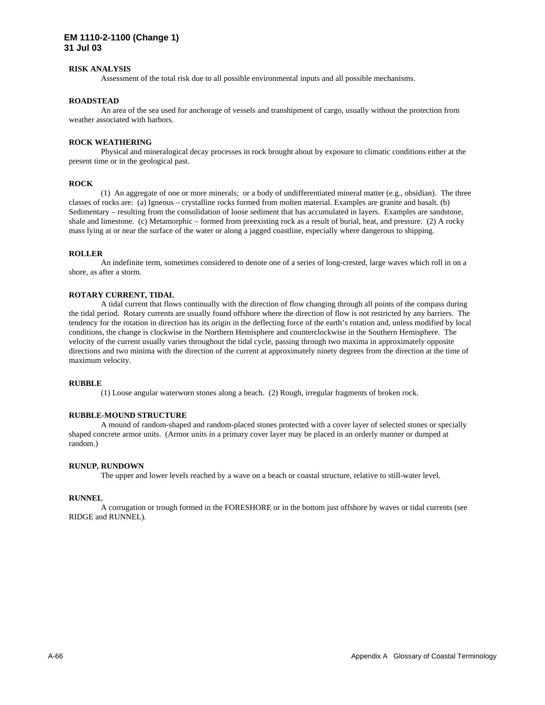# **RISK ANALYSIS**

Assessment of the total risk due to all possible environmental inputs and all possible mechanisms.

#### **ROADSTEAD**

An area of the sea used for anchorage of vessels and transhipment of cargo, usually without the protection from weather associated with harbors.

# **ROCK WEATHERING**

Physical and mineralogical decay processes in rock brought about by exposure to climatic conditions either at the present time or in the geological past.

#### **ROCK**

(1) An aggregate of one or more minerals; or a body of undifferentiated mineral matter (e.g., obsidian). The three classes of rocks are: (a) Igneous – crystalline rocks formed from molten material. Examples are granite and basalt. (b) Sedimentary – resulting from the consolidation of loose sediment that has accumulated in layers. Examples are sandstone, shale and limestone. (c) Metamorphic – formed from preexisting rock as a result of burial, heat, and pressure. (2) A rocky mass lying at or near the surface of the water or along a jagged coastline, especially where dangerous to shipping.

#### **ROLLER**

An indefinite term, sometimes considered to denote one of a series of long-crested, large waves which roll in on a shore, as after a storm.

## **ROTARY CURRENT, TIDAL**

A tidal current that flows continually with the direction of flow changing through all points of the compass during the tidal period. Rotary currents are usually found offshore where the direction of flow is not restricted by any barriers. The tendency for the rotation in direction has its origin in the deflecting force of the earth's rotation and, unless modified by local conditions, the change is clockwise in the Northern Hemisphere and counterclockwise in the Southern Hemisphere. The velocity of the current usually varies throughout the tidal cycle, passing through two maxima in approximately opposite directions and two minima with the direction of the current at approximately ninety degrees from the direction at the time of maximum velocity.

#### **RUBBLE**

(1) Loose angular waterworn stones along a beach. (2) Rough, irregular fragments of broken rock.

### **RUBBLE-MOUND STRUCTURE**

A mound of random-shaped and random-placed stones protected with a cover layer of selected stones or specially shaped concrete armor units. (Armor units in a primary cover layer may be placed in an orderly manner or dumped at random.)

#### **RUNUP, RUNDOWN**

The upper and lower levels reached by a wave on a beach or coastal structure, relative to still-water level.

#### **RUNNEL**

A corrugation or trough formed in the FORESHORE or in the bottom just offshore by waves or tidal currents (see RIDGE and RUNNEL).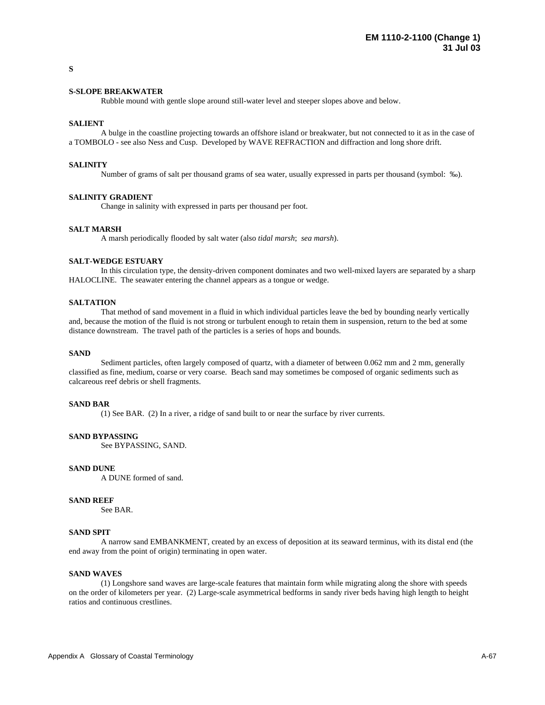#### **S-SLOPE BREAKWATER**

Rubble mound with gentle slope around still-water level and steeper slopes above and below.

## **SALIENT**

A bulge in the coastline projecting towards an offshore island or breakwater, but not connected to it as in the case of a TOMBOLO - see also Ness and Cusp. Developed by WAVE REFRACTION and diffraction and long shore drift.

### **SALINITY**

Number of grams of salt per thousand grams of sea water, usually expressed in parts per thousand (symbol: ‰).

# **SALINITY GRADIENT**

Change in salinity with expressed in parts per thousand per foot.

#### **SALT MARSH**

A marsh periodically flooded by salt water (also *tidal marsh*; *sea marsh*).

## **SALT-WEDGE ESTUARY**

In this circulation type, the density-driven component dominates and two well-mixed layers are separated by a sharp HALOCLINE. The seawater entering the channel appears as a tongue or wedge.

### **SALTATION**

That method of sand movement in a fluid in which individual particles leave the bed by bounding nearly vertically and, because the motion of the fluid is not strong or turbulent enough to retain them in suspension, return to the bed at some distance downstream. The travel path of the particles is a series of hops and bounds.

## **SAND**

Sediment particles, often largely composed of quartz, with a diameter of between 0.062 mm and 2 mm, generally classified as fine, medium, coarse or very coarse. Beach sand may sometimes be composed of organic sediments such as calcareous reef debris or shell fragments.

### **SAND BAR**

(1) See BAR. (2) In a river, a ridge of sand built to or near the surface by river currents.

### **SAND BYPASSING**

See BYPASSING, SAND.

#### **SAND DUNE**

A DUNE formed of sand.

#### **SAND REEF**

See BAR.

#### **SAND SPIT**

A narrow sand EMBANKMENT, created by an excess of deposition at its seaward terminus, with its distal end (the end away from the point of origin) terminating in open water.

# **SAND WAVES**

(1) Longshore sand waves are large-scale features that maintain form while migrating along the shore with speeds on the order of kilometers per year. (2) Large-scale asymmetrical bedforms in sandy river beds having high length to height ratios and continuous crestlines.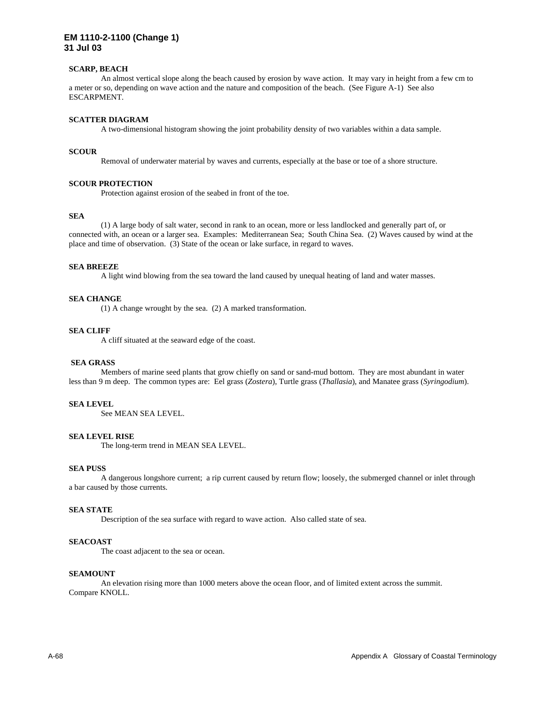# **SCARP, BEACH**

An almost vertical slope along the beach caused by erosion by wave action. It may vary in height from a few cm to a meter or so, depending on wave action and the nature and composition of the beach. (See Figure A-1) See also ESCARPMENT.

#### **SCATTER DIAGRAM**

A two-dimensional histogram showing the joint probability density of two variables within a data sample.

# **SCOUR**

Removal of underwater material by waves and currents, especially at the base or toe of a shore structure.

# **SCOUR PROTECTION**

Protection against erosion of the seabed in front of the toe.

# **SEA**

(1) A large body of salt water, second in rank to an ocean, more or less landlocked and generally part of, or connected with, an ocean or a larger sea. Examples: Mediterranean Sea; South China Sea. (2) Waves caused by wind at the place and time of observation. (3) State of the ocean or lake surface, in regard to waves.

#### **SEA BREEZE**

A light wind blowing from the sea toward the land caused by unequal heating of land and water masses.

## **SEA CHANGE**

(1) A change wrought by the sea. (2) A marked transformation.

#### **SEA CLIFF**

A cliff situated at the seaward edge of the coast.

# **SEA GRASS**

Members of marine seed plants that grow chiefly on sand or sand-mud bottom. They are most abundant in water less than 9 m deep. The common types are: Eel grass (*Zostera*), Turtle grass (*Thallasia*), and Manatee grass (*Syringodium*).

### **SEA LEVEL**

See MEAN SEA LEVEL.

### **SEA LEVEL RISE**

The long-term trend in MEAN SEA LEVEL.

### **SEA PUSS**

A dangerous longshore current; a rip current caused by return flow; loosely, the submerged channel or inlet through a bar caused by those currents.

#### **SEA STATE**

Description of the sea surface with regard to wave action. Also called state of sea.

## **SEACOAST**

The coast adjacent to the sea or ocean.

## **SEAMOUNT**

An elevation rising more than 1000 meters above the ocean floor, and of limited extent across the summit. Compare KNOLL.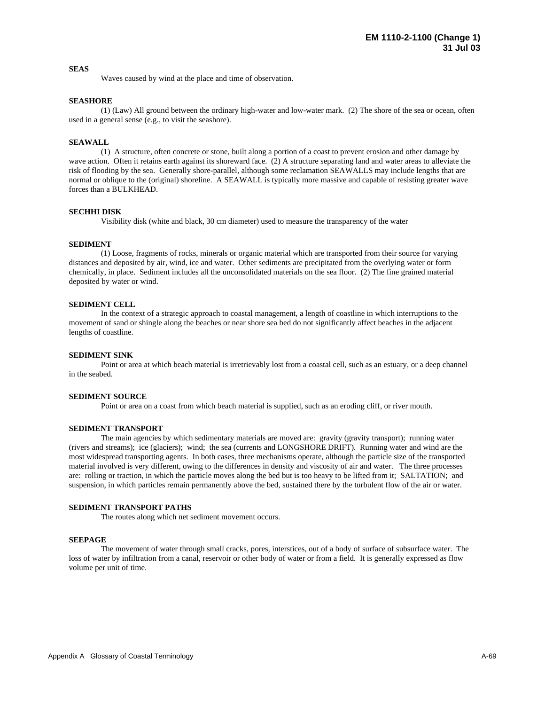## **SEAS**

Waves caused by wind at the place and time of observation.

#### **SEASHORE**

(1) (Law) All ground between the ordinary high-water and low-water mark. (2) The shore of the sea or ocean, often used in a general sense (e.g., to visit the seashore).

# **SEAWALL**

(1) A structure, often concrete or stone, built along a portion of a coast to prevent erosion and other damage by wave action. Often it retains earth against its shoreward face. (2) A structure separating land and water areas to alleviate the risk of flooding by the sea. Generally shore-parallel, although some reclamation SEAWALLS may include lengths that are normal or oblique to the (original) shoreline. A SEAWALL is typically more massive and capable of resisting greater wave forces than a BULKHEAD.

#### **SECHHI DISK**

Visibility disk (white and black, 30 cm diameter) used to measure the transparency of the water

#### **SEDIMENT**

(1) Loose, fragments of rocks, minerals or organic material which are transported from their source for varying distances and deposited by air, wind, ice and water. Other sediments are precipitated from the overlying water or form chemically, in place. Sediment includes all the unconsolidated materials on the sea floor. (2) The fine grained material deposited by water or wind.

# **SEDIMENT CELL**

In the context of a strategic approach to coastal management, a length of coastline in which interruptions to the movement of sand or shingle along the beaches or near shore sea bed do not significantly affect beaches in the adjacent lengths of coastline.

#### **SEDIMENT SINK**

Point or area at which beach material is irretrievably lost from a coastal cell, such as an estuary, or a deep channel in the seabed.

#### **SEDIMENT SOURCE**

Point or area on a coast from which beach material is supplied, such as an eroding cliff, or river mouth.

#### **SEDIMENT TRANSPORT**

The main agencies by which sedimentary materials are moved are: gravity (gravity transport); running water (rivers and streams); ice (glaciers); wind; the sea (currents and LONGSHORE DRIFT). Running water and wind are the most widespread transporting agents. In both cases, three mechanisms operate, although the particle size of the transported material involved is very different, owing to the differences in density and viscosity of air and water. The three processes are: rolling or traction, in which the particle moves along the bed but is too heavy to be lifted from it; SALTATION; and suspension, in which particles remain permanently above the bed, sustained there by the turbulent flow of the air or water.

#### **SEDIMENT TRANSPORT PATHS**

The routes along which net sediment movement occurs.

## **SEEPAGE**

The movement of water through small cracks, pores, interstices, out of a body of surface of subsurface water. The loss of water by infiltration from a canal, reservoir or other body of water or from a field. It is generally expressed as flow volume per unit of time.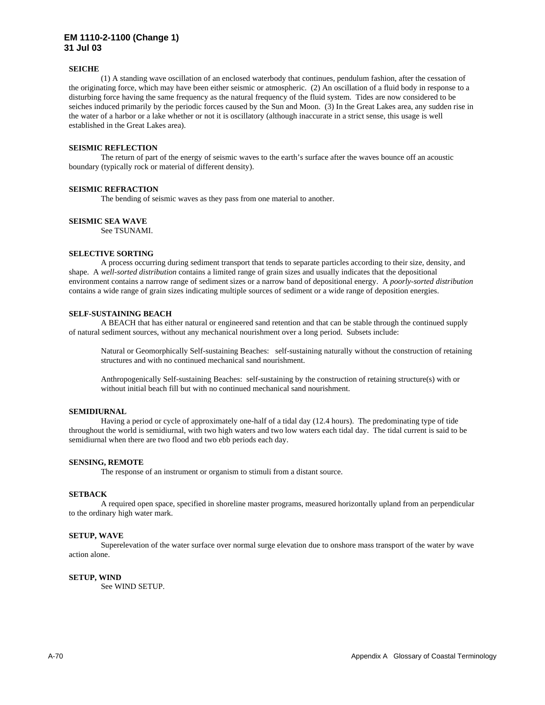# **SEICHE**

(1) A standing wave oscillation of an enclosed waterbody that continues, pendulum fashion, after the cessation of the originating force, which may have been either seismic or atmospheric. (2) An oscillation of a fluid body in response to a disturbing force having the same frequency as the natural frequency of the fluid system. Tides are now considered to be seiches induced primarily by the periodic forces caused by the Sun and Moon. (3) In the Great Lakes area, any sudden rise in the water of a harbor or a lake whether or not it is oscillatory (although inaccurate in a strict sense, this usage is well established in the Great Lakes area).

### **SEISMIC REFLECTION**

The return of part of the energy of seismic waves to the earth's surface after the waves bounce off an acoustic boundary (typically rock or material of different density).

## **SEISMIC REFRACTION**

The bending of seismic waves as they pass from one material to another.

#### **SEISMIC SEA WAVE**

See TSUNAMI.

### **SELECTIVE SORTING**

A process occurring during sediment transport that tends to separate particles according to their size, density, and shape. A *well-sorted distribution* contains a limited range of grain sizes and usually indicates that the depositional environment contains a narrow range of sediment sizes or a narrow band of depositional energy. A *poorly-sorted distribution* contains a wide range of grain sizes indicating multiple sources of sediment or a wide range of deposition energies.

## **SELF-SUSTAINING BEACH**

A BEACH that has either natural or engineered sand retention and that can be stable through the continued supply of natural sediment sources, without any mechanical nourishment over a long period. Subsets include:

Natural or Geomorphically Self-sustaining Beaches: self-sustaining naturally without the construction of retaining structures and with no continued mechanical sand nourishment.

Anthropogenically Self-sustaining Beaches: self-sustaining by the construction of retaining structure(s) with or without initial beach fill but with no continued mechanical sand nourishment.

#### **SEMIDIURNAL**

Having a period or cycle of approximately one-half of a tidal day (12.4 hours). The predominating type of tide throughout the world is semidiurnal, with two high waters and two low waters each tidal day. The tidal current is said to be semidiurnal when there are two flood and two ebb periods each day.

#### **SENSING, REMOTE**

The response of an instrument or organism to stimuli from a distant source.

# **SETBACK**

A required open space, specified in shoreline master programs, measured horizontally upland from an perpendicular to the ordinary high water mark.

## **SETUP, WAVE**

Superelevation of the water surface over normal surge elevation due to onshore mass transport of the water by wave action alone.

#### **SETUP, WIND**

See WIND SETUP.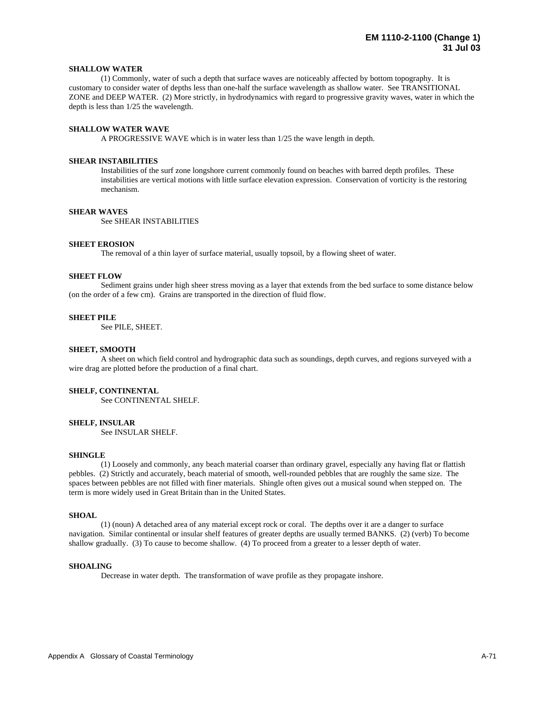# **SHALLOW WATER**

(1) Commonly, water of such a depth that surface waves are noticeably affected by bottom topography. It is customary to consider water of depths less than one-half the surface wavelength as shallow water. See TRANSITIONAL ZONE and DEEP WATER. (2) More strictly, in hydrodynamics with regard to progressive gravity waves, water in which the depth is less than 1/25 the wavelength.

## **SHALLOW WATER WAVE**

A PROGRESSIVE WAVE which is in water less than 1/25 the wave length in depth.

# **SHEAR INSTABILITIES**

Instabilities of the surf zone longshore current commonly found on beaches with barred depth profiles. These instabilities are vertical motions with little surface elevation expression. Conservation of vorticity is the restoring mechanism.

## **SHEAR WAVES**

See SHEAR INSTABILITIES

#### **SHEET EROSION**

The removal of a thin layer of surface material, usually topsoil, by a flowing sheet of water.

#### **SHEET FLOW**

Sediment grains under high sheer stress moving as a layer that extends from the bed surface to some distance below (on the order of a few cm). Grains are transported in the direction of fluid flow.

### **SHEET PILE**

See PILE, SHEET.

#### **SHEET, SMOOTH**

A sheet on which field control and hydrographic data such as soundings, depth curves, and regions surveyed with a wire drag are plotted before the production of a final chart.

## **SHELF, CONTINENTAL**

See CONTINENTAL SHELF.

#### **SHELF, INSULAR**

See INSULAR SHELF.

## **SHINGLE**

(1) Loosely and commonly, any beach material coarser than ordinary gravel, especially any having flat or flattish pebbles. (2) Strictly and accurately, beach material of smooth, well-rounded pebbles that are roughly the same size. The spaces between pebbles are not filled with finer materials. Shingle often gives out a musical sound when stepped on. The term is more widely used in Great Britain than in the United States.

#### **SHOAL**

(1) (noun) A detached area of any material except rock or coral. The depths over it are a danger to surface navigation. Similar continental or insular shelf features of greater depths are usually termed BANKS. (2) (verb) To become shallow gradually. (3) To cause to become shallow. (4) To proceed from a greater to a lesser depth of water.

## **SHOALING**

Decrease in water depth. The transformation of wave profile as they propagate inshore.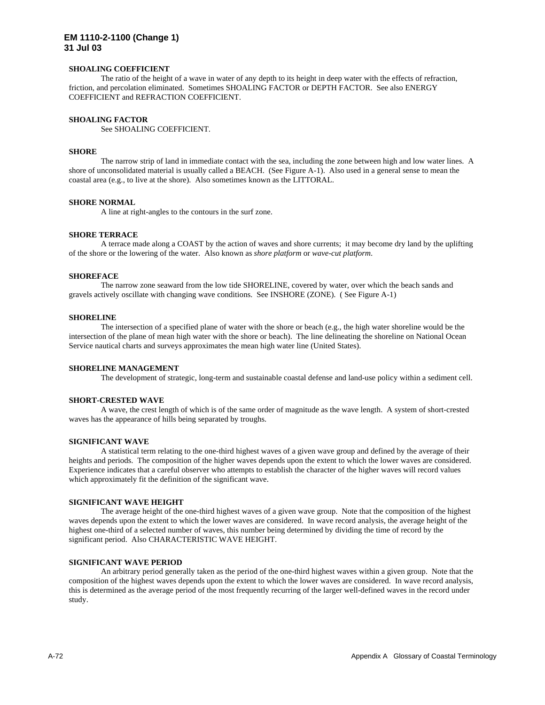## **SHOALING COEFFICIENT**

The ratio of the height of a wave in water of any depth to its height in deep water with the effects of refraction, friction, and percolation eliminated. Sometimes SHOALING FACTOR or DEPTH FACTOR. See also ENERGY COEFFICIENT and REFRACTION COEFFICIENT.

### **SHOALING FACTOR**

See SHOALING COEFFICIENT.

## **SHORE**

The narrow strip of land in immediate contact with the sea, including the zone between high and low water lines. A shore of unconsolidated material is usually called a BEACH. (See Figure A-1). Also used in a general sense to mean the coastal area (e.g., to live at the shore). Also sometimes known as the LITTORAL.

#### **SHORE NORMAL**

A line at right-angles to the contours in the surf zone.

#### **SHORE TERRACE**

A terrace made along a COAST by the action of waves and shore currents; it may become dry land by the uplifting of the shore or the lowering of the water. Also known as *shore platform* or *wave-cut platform*.

#### **SHOREFACE**

The narrow zone seaward from the low tide SHORELINE, covered by water, over which the beach sands and gravels actively oscillate with changing wave conditions. See INSHORE (ZONE). ( See Figure A-1)

#### **SHORELINE**

The intersection of a specified plane of water with the shore or beach (e.g., the high water shoreline would be the intersection of the plane of mean high water with the shore or beach). The line delineating the shoreline on National Ocean Service nautical charts and surveys approximates the mean high water line (United States).

#### **SHORELINE MANAGEMENT**

The development of strategic, long-term and sustainable coastal defense and land-use policy within a sediment cell.

## **SHORT-CRESTED WAVE**

A wave, the crest length of which is of the same order of magnitude as the wave length. A system of short-crested waves has the appearance of hills being separated by troughs.

#### **SIGNIFICANT WAVE**

A statistical term relating to the one-third highest waves of a given wave group and defined by the average of their heights and periods. The composition of the higher waves depends upon the extent to which the lower waves are considered. Experience indicates that a careful observer who attempts to establish the character of the higher waves will record values which approximately fit the definition of the significant wave.

#### **SIGNIFICANT WAVE HEIGHT**

The average height of the one-third highest waves of a given wave group. Note that the composition of the highest waves depends upon the extent to which the lower waves are considered. In wave record analysis, the average height of the highest one-third of a selected number of waves, this number being determined by dividing the time of record by the significant period. Also CHARACTERISTIC WAVE HEIGHT.

#### **SIGNIFICANT WAVE PERIOD**

An arbitrary period generally taken as the period of the one-third highest waves within a given group. Note that the composition of the highest waves depends upon the extent to which the lower waves are considered. In wave record analysis, this is determined as the average period of the most frequently recurring of the larger well-defined waves in the record under study.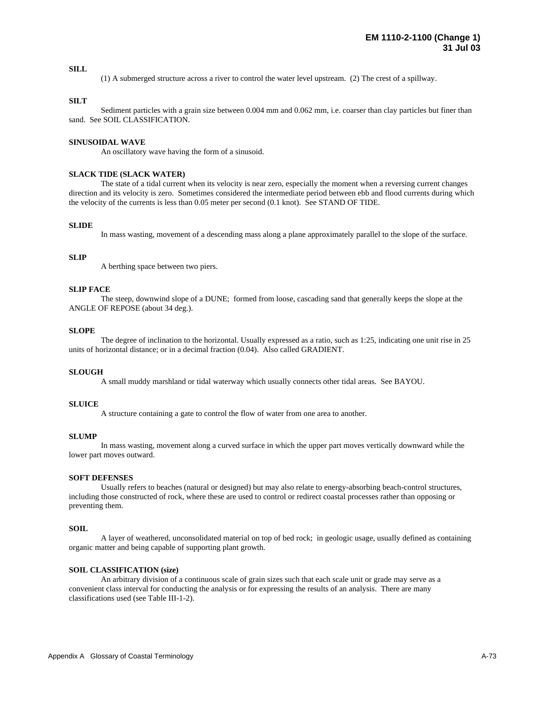## **SILL**

(1) A submerged structure across a river to control the water level upstream. (2) The crest of a spillway.

## **SILT**

Sediment particles with a grain size between 0.004 mm and 0.062 mm, i.e. coarser than clay particles but finer than sand. See SOIL CLASSIFICATION.

## **SINUSOIDAL WAVE**

An oscillatory wave having the form of a sinusoid.

## **SLACK TIDE (SLACK WATER)**

The state of a tidal current when its velocity is near zero, especially the moment when a reversing current changes direction and its velocity is zero. Sometimes considered the intermediate period between ebb and flood currents during which the velocity of the currents is less than 0.05 meter per second (0.1 knot). See STAND OF TIDE.

#### **SLIDE**

In mass wasting, movement of a descending mass along a plane approximately parallel to the slope of the surface.

### **SLIP**

A berthing space between two piers.

## **SLIP FACE**

The steep, downwind slope of a DUNE; formed from loose, cascading sand that generally keeps the slope at the ANGLE OF REPOSE (about 34 deg.).

#### **SLOPE**

The degree of inclination to the horizontal. Usually expressed as a ratio, such as 1:25, indicating one unit rise in 25 units of horizontal distance; or in a decimal fraction (0.04). Also called GRADIENT.

#### **SLOUGH**

A small muddy marshland or tidal waterway which usually connects other tidal areas. See BAYOU.

## **SLUICE**

A structure containing a gate to control the flow of water from one area to another.

#### **SLUMP**

In mass wasting, movement along a curved surface in which the upper part moves vertically downward while the lower part moves outward.

#### **SOFT DEFENSES**

Usually refers to beaches (natural or designed) but may also relate to energy-absorbing beach-control structures, including those constructed of rock, where these are used to control or redirect coastal processes rather than opposing or preventing them.

#### **SOIL**

A layer of weathered, unconsolidated material on top of bed rock; in geologic usage, usually defined as containing organic matter and being capable of supporting plant growth.

## **SOIL CLASSIFICATION (size)**

An arbitrary division of a continuous scale of grain sizes such that each scale unit or grade may serve as a convenient class interval for conducting the analysis or for expressing the results of an analysis. There are many classifications used (see Table III-1-2).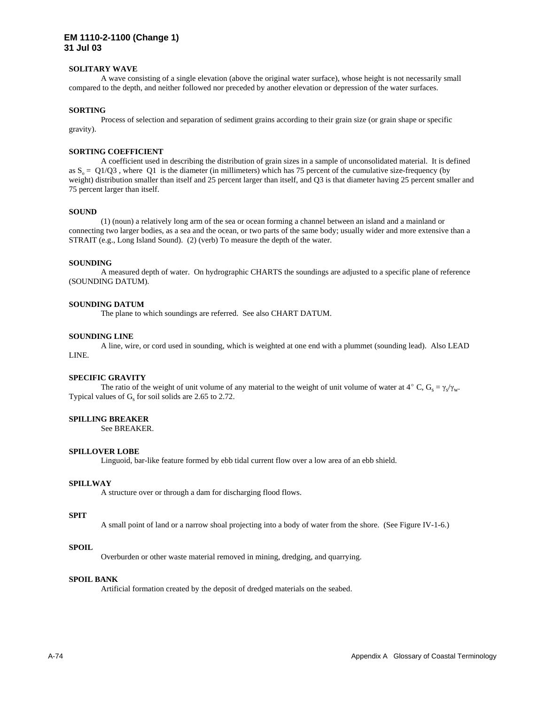## **SOLITARY WAVE**

A wave consisting of a single elevation (above the original water surface), whose height is not necessarily small compared to the depth, and neither followed nor preceded by another elevation or depression of the water surfaces.

### **SORTING**

Process of selection and separation of sediment grains according to their grain size (or grain shape or specific gravity).

## **SORTING COEFFICIENT**

A coefficient used in describing the distribution of grain sizes in a sample of unconsolidated material. It is defined as  $S_0 = Q1/Q3$ , where Q1 is the diameter (in millimeters) which has 75 percent of the cumulative size-frequency (by weight) distribution smaller than itself and 25 percent larger than itself, and Q3 is that diameter having 25 percent smaller and 75 percent larger than itself.

### **SOUND**

(1) (noun) a relatively long arm of the sea or ocean forming a channel between an island and a mainland or connecting two larger bodies, as a sea and the ocean, or two parts of the same body; usually wider and more extensive than a STRAIT (e.g., Long Island Sound). (2) (verb) To measure the depth of the water.

#### **SOUNDING**

A measured depth of water. On hydrographic CHARTS the soundings are adjusted to a specific plane of reference (SOUNDING DATUM).

### **SOUNDING DATUM**

The plane to which soundings are referred. See also CHART DATUM.

#### **SOUNDING LINE**

A line, wire, or cord used in sounding, which is weighted at one end with a plummet (sounding lead). Also LEAD LINE.

#### **SPECIFIC GRAVITY**

The ratio of the weight of unit volume of any material to the weight of unit volume of water at  $4^{\circ}$  C,  $G_s = \gamma_s/\gamma_w$ . Typical values of  $G_s$  for soil solids are 2.65 to 2.72.

### **SPILLING BREAKER**

See BREAKER.

### **SPILLOVER LOBE**

Linguoid, bar-like feature formed by ebb tidal current flow over a low area of an ebb shield.

#### **SPILLWAY**

A structure over or through a dam for discharging flood flows.

## **SPIT**

A small point of land or a narrow shoal projecting into a body of water from the shore. (See Figure IV-1-6.)

#### **SPOIL**

Overburden or other waste material removed in mining, dredging, and quarrying.

## **SPOIL BANK**

Artificial formation created by the deposit of dredged materials on the seabed.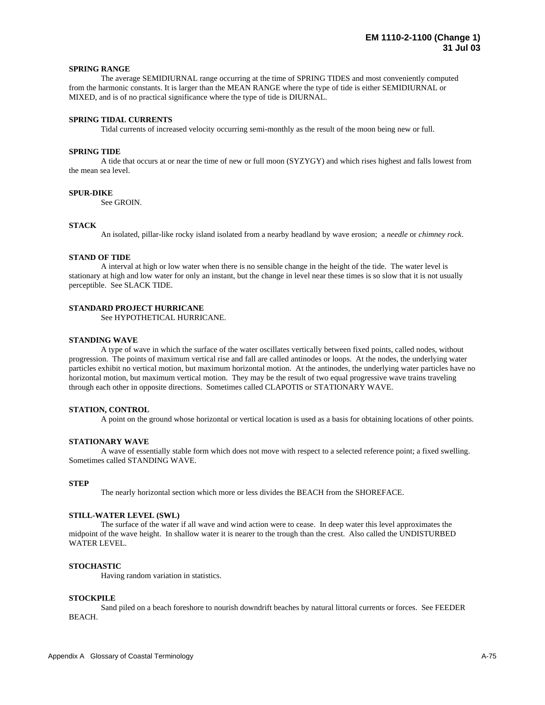## **SPRING RANGE**

The average SEMIDIURNAL range occurring at the time of SPRING TIDES and most conveniently computed from the harmonic constants. It is larger than the MEAN RANGE where the type of tide is either SEMIDIURNAL or MIXED, and is of no practical significance where the type of tide is DIURNAL.

#### **SPRING TIDAL CURRENTS**

Tidal currents of increased velocity occurring semi-monthly as the result of the moon being new or full.

#### **SPRING TIDE**

A tide that occurs at or near the time of new or full moon (SYZYGY) and which rises highest and falls lowest from the mean sea level.

#### **SPUR-DIKE**

See GROIN.

#### **STACK**

An isolated, pillar-like rocky island isolated from a nearby headland by wave erosion; a *needle* or *chimney rock*.

### **STAND OF TIDE**

A interval at high or low water when there is no sensible change in the height of the tide. The water level is stationary at high and low water for only an instant, but the change in level near these times is so slow that it is not usually perceptible. See SLACK TIDE.

## **STANDARD PROJECT HURRICANE**

See HYPOTHETICAL HURRICANE.

#### **STANDING WAVE**

A type of wave in which the surface of the water oscillates vertically between fixed points, called nodes, without progression. The points of maximum vertical rise and fall are called antinodes or loops. At the nodes, the underlying water particles exhibit no vertical motion, but maximum horizontal motion. At the antinodes, the underlying water particles have no horizontal motion, but maximum vertical motion. They may be the result of two equal progressive wave trains traveling through each other in opposite directions. Sometimes called CLAPOTIS or STATIONARY WAVE.

## **STATION, CONTROL**

A point on the ground whose horizontal or vertical location is used as a basis for obtaining locations of other points.

#### **STATIONARY WAVE**

A wave of essentially stable form which does not move with respect to a selected reference point; a fixed swelling. Sometimes called STANDING WAVE.

### **STEP**

The nearly horizontal section which more or less divides the BEACH from the SHOREFACE.

#### **STILL-WATER LEVEL (SWL)**

The surface of the water if all wave and wind action were to cease. In deep water this level approximates the midpoint of the wave height. In shallow water it is nearer to the trough than the crest. Also called the UNDISTURBED WATER LEVEL.

#### **STOCHASTIC**

Having random variation in statistics.

#### **STOCKPILE**

Sand piled on a beach foreshore to nourish downdrift beaches by natural littoral currents or forces. See FEEDER BEACH.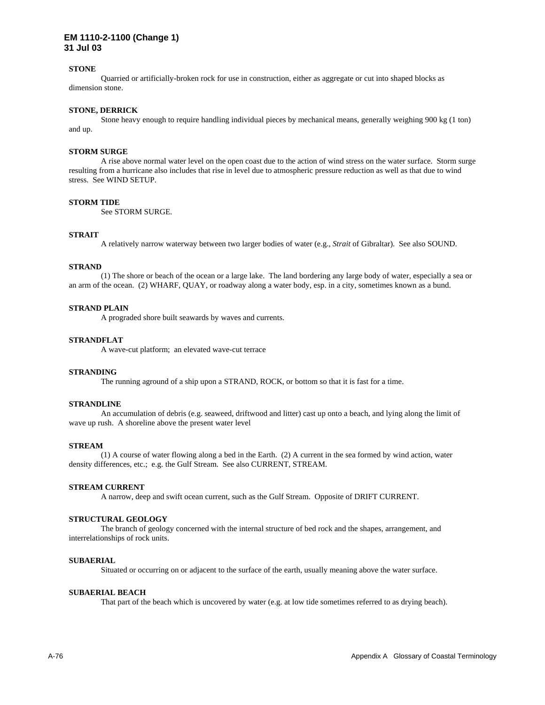## **STONE**

Quarried or artificially-broken rock for use in construction, either as aggregate or cut into shaped blocks as dimension stone.

## **STONE, DERRICK**

Stone heavy enough to require handling individual pieces by mechanical means, generally weighing 900 kg (1 ton) and up.

### **STORM SURGE**

A rise above normal water level on the open coast due to the action of wind stress on the water surface. Storm surge resulting from a hurricane also includes that rise in level due to atmospheric pressure reduction as well as that due to wind stress. See WIND SETUP.

## **STORM TIDE**

See STORM SURGE.

### **STRAIT**

A relatively narrow waterway between two larger bodies of water (e.g., *Strait* of Gibraltar). See also SOUND.

#### **STRAND**

(1) The shore or beach of the ocean or a large lake. The land bordering any large body of water, especially a sea or an arm of the ocean. (2) WHARF, QUAY, or roadway along a water body, esp. in a city, sometimes known as a bund.

## **STRAND PLAIN**

A prograded shore built seawards by waves and currents.

#### **STRANDFLAT**

A wave-cut platform; an elevated wave-cut terrace

## **STRANDING**

The running aground of a ship upon a STRAND, ROCK, or bottom so that it is fast for a time.

### **STRANDLINE**

An accumulation of debris (e.g. seaweed, driftwood and litter) cast up onto a beach, and lying along the limit of wave up rush. A shoreline above the present water level

### **STREAM**

(1) A course of water flowing along a bed in the Earth. (2) A current in the sea formed by wind action, water density differences, etc.; e.g. the Gulf Stream. See also CURRENT, STREAM.

#### **STREAM CURRENT**

A narrow, deep and swift ocean current, such as the Gulf Stream. Opposite of DRIFT CURRENT.

## **STRUCTURAL GEOLOGY**

The branch of geology concerned with the internal structure of bed rock and the shapes, arrangement, and interrelationships of rock units.

#### **SUBAERIAL**

Situated or occurring on or adjacent to the surface of the earth, usually meaning above the water surface.

## **SUBAERIAL BEACH**

That part of the beach which is uncovered by water (e.g. at low tide sometimes referred to as drying beach).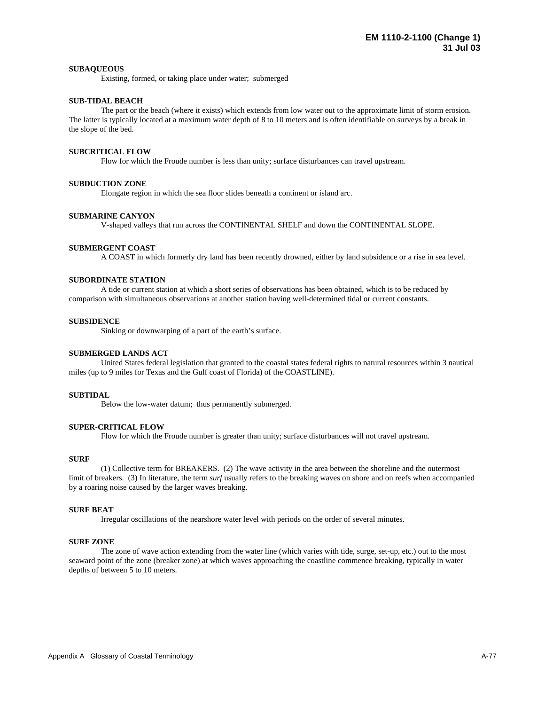## **SUBAQUEOUS**

Existing, formed, or taking place under water; submerged

## **SUB-TIDAL BEACH**

The part or the beach (where it exists) which extends from low water out to the approximate limit of storm erosion. The latter is typically located at a maximum water depth of 8 to 10 meters and is often identifiable on surveys by a break in the slope of the bed.

## **SUBCRITICAL FLOW**

Flow for which the Froude number is less than unity; surface disturbances can travel upstream.

### **SUBDUCTION ZONE**

Elongate region in which the sea floor slides beneath a continent or island arc.

## **SUBMARINE CANYON**

V-shaped valleys that run across the CONTINENTAL SHELF and down the CONTINENTAL SLOPE.

### **SUBMERGENT COAST**

A COAST in which formerly dry land has been recently drowned, either by land subsidence or a rise in sea level.

### **SUBORDINATE STATION**

A tide or current station at which a short series of observations has been obtained, which is to be reduced by comparison with simultaneous observations at another station having well-determined tidal or current constants.

#### **SUBSIDENCE**

Sinking or downwarping of a part of the earth's surface.

#### **SUBMERGED LANDS ACT**

United States federal legislation that granted to the coastal states federal rights to natural resources within 3 nautical miles (up to 9 miles for Texas and the Gulf coast of Florida) of the COASTLINE).

#### **SUBTIDAL**

Below the low-water datum; thus permanently submerged.

#### **SUPER-CRITICAL FLOW**

Flow for which the Froude number is greater than unity; surface disturbances will not travel upstream.

#### **SURF**

(1) Collective term for BREAKERS. (2) The wave activity in the area between the shoreline and the outermost limit of breakers. (3) In literature, the term *surf* usually refers to the breaking waves on shore and on reefs when accompanied by a roaring noise caused by the larger waves breaking.

### **SURF BEAT**

Irregular oscillations of the nearshore water level with periods on the order of several minutes.

#### **SURF ZONE**

The zone of wave action extending from the water line (which varies with tide, surge, set-up, etc.) out to the most seaward point of the zone (breaker zone) at which waves approaching the coastline commence breaking, typically in water depths of between 5 to 10 meters.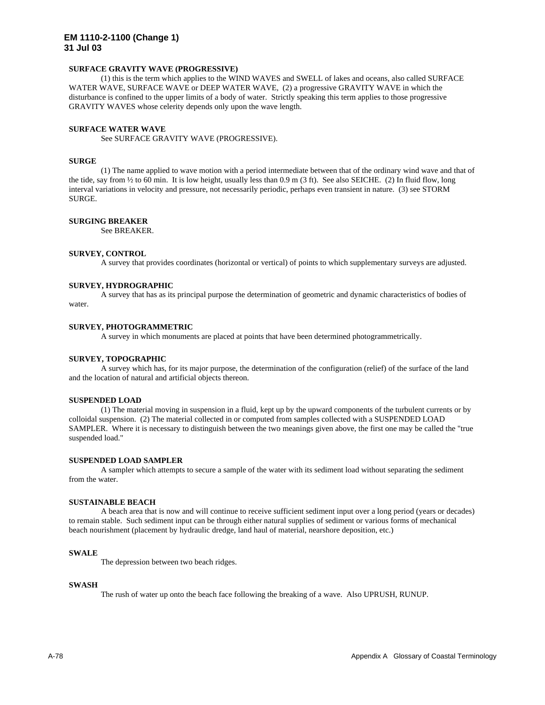## **SURFACE GRAVITY WAVE (PROGRESSIVE)**

(1) this is the term which applies to the WIND WAVES and SWELL of lakes and oceans, also called SURFACE WATER WAVE, SURFACE WAVE or DEEP WATER WAVE, (2) a progressive GRAVITY WAVE in which the disturbance is confined to the upper limits of a body of water. Strictly speaking this term applies to those progressive GRAVITY WAVES whose celerity depends only upon the wave length.

## **SURFACE WATER WAVE**

See SURFACE GRAVITY WAVE (PROGRESSIVE).

## **SURGE**

(1) The name applied to wave motion with a period intermediate between that of the ordinary wind wave and that of the tide, say from ½ to 60 min. It is low height, usually less than 0.9 m (3 ft). See also SEICHE. (2) In fluid flow, long interval variations in velocity and pressure, not necessarily periodic, perhaps even transient in nature. (3) see STORM SURGE.

## **SURGING BREAKER**

See BREAKER.

#### **SURVEY, CONTROL**

A survey that provides coordinates (horizontal or vertical) of points to which supplementary surveys are adjusted.

### **SURVEY, HYDROGRAPHIC**

A survey that has as its principal purpose the determination of geometric and dynamic characteristics of bodies of water.

### **SURVEY, PHOTOGRAMMETRIC**

A survey in which monuments are placed at points that have been determined photogrammetrically.

#### **SURVEY, TOPOGRAPHIC**

A survey which has, for its major purpose, the determination of the configuration (relief) of the surface of the land and the location of natural and artificial objects thereon.

#### **SUSPENDED LOAD**

(1) The material moving in suspension in a fluid, kept up by the upward components of the turbulent currents or by colloidal suspension. (2) The material collected in or computed from samples collected with a SUSPENDED LOAD SAMPLER. Where it is necessary to distinguish between the two meanings given above, the first one may be called the "true suspended load."

### **SUSPENDED LOAD SAMPLER**

A sampler which attempts to secure a sample of the water with its sediment load without separating the sediment from the water.

## **SUSTAINABLE BEACH**

A beach area that is now and will continue to receive sufficient sediment input over a long period (years or decades) to remain stable. Such sediment input can be through either natural supplies of sediment or various forms of mechanical beach nourishment (placement by hydraulic dredge, land haul of material, nearshore deposition, etc.)

## **SWALE**

The depression between two beach ridges.

#### **SWASH**

The rush of water up onto the beach face following the breaking of a wave. Also UPRUSH, RUNUP.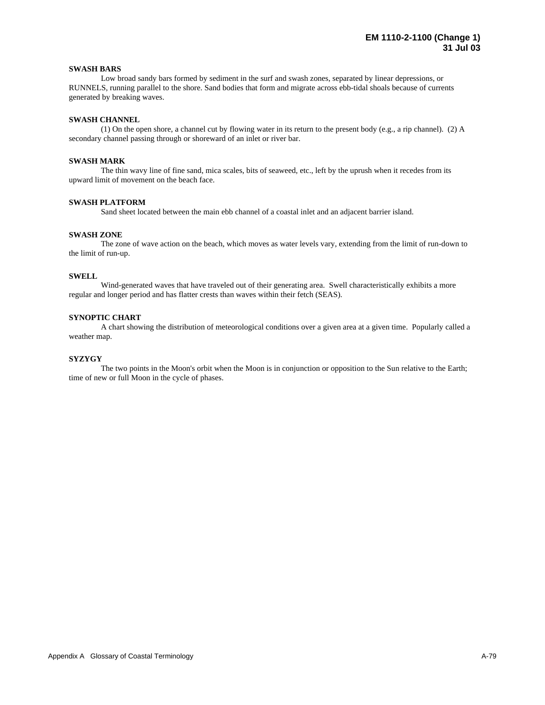## **SWASH BARS**

Low broad sandy bars formed by sediment in the surf and swash zones, separated by linear depressions, or RUNNELS, running parallel to the shore. Sand bodies that form and migrate across ebb-tidal shoals because of currents generated by breaking waves.

### **SWASH CHANNEL**

(1) On the open shore, a channel cut by flowing water in its return to the present body (e.g., a rip channel). (2) A secondary channel passing through or shoreward of an inlet or river bar.

## **SWASH MARK**

The thin wavy line of fine sand, mica scales, bits of seaweed, etc., left by the uprush when it recedes from its upward limit of movement on the beach face.

## **SWASH PLATFORM**

Sand sheet located between the main ebb channel of a coastal inlet and an adjacent barrier island.

## **SWASH ZONE**

The zone of wave action on the beach, which moves as water levels vary, extending from the limit of run-down to the limit of run-up.

### **SWELL**

Wind-generated waves that have traveled out of their generating area. Swell characteristically exhibits a more regular and longer period and has flatter crests than waves within their fetch (SEAS).

## **SYNOPTIC CHART**

A chart showing the distribution of meteorological conditions over a given area at a given time. Popularly called a weather map.

#### **SYZYGY**

The two points in the Moon's orbit when the Moon is in conjunction or opposition to the Sun relative to the Earth; time of new or full Moon in the cycle of phases.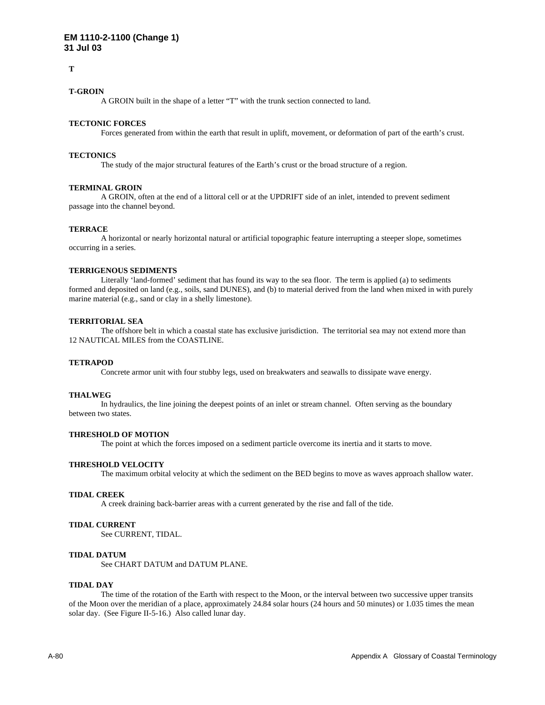## **T**

## **T-GROIN**

A GROIN built in the shape of a letter "T" with the trunk section connected to land.

## **TECTONIC FORCES**

Forces generated from within the earth that result in uplift, movement, or deformation of part of the earth's crust.

#### **TECTONICS**

The study of the major structural features of the Earth's crust or the broad structure of a region.

#### **TERMINAL GROIN**

A GROIN, often at the end of a littoral cell or at the UPDRIFT side of an inlet, intended to prevent sediment passage into the channel beyond.

#### **TERRACE**

A horizontal or nearly horizontal natural or artificial topographic feature interrupting a steeper slope, sometimes occurring in a series.

## **TERRIGENOUS SEDIMENTS**

Literally 'land-formed' sediment that has found its way to the sea floor. The term is applied (a) to sediments formed and deposited on land (e.g., soils, sand DUNES), and (b) to material derived from the land when mixed in with purely marine material (e.g., sand or clay in a shelly limestone).

#### **TERRITORIAL SEA**

The offshore belt in which a coastal state has exclusive jurisdiction. The territorial sea may not extend more than 12 NAUTICAL MILES from the COASTLINE.

## **TETRAPOD**

Concrete armor unit with four stubby legs, used on breakwaters and seawalls to dissipate wave energy.

#### **THALWEG**

In hydraulics, the line joining the deepest points of an inlet or stream channel. Often serving as the boundary between two states.

### **THRESHOLD OF MOTION**

The point at which the forces imposed on a sediment particle overcome its inertia and it starts to move.

### **THRESHOLD VELOCITY**

The maximum orbital velocity at which the sediment on the BED begins to move as waves approach shallow water.

## **TIDAL CREEK**

A creek draining back-barrier areas with a current generated by the rise and fall of the tide.

## **TIDAL CURRENT**

See CURRENT, TIDAL.

### **TIDAL DATUM**

See CHART DATUM and DATUM PLANE.

### **TIDAL DAY**

The time of the rotation of the Earth with respect to the Moon, or the interval between two successive upper transits of the Moon over the meridian of a place, approximately 24.84 solar hours (24 hours and 50 minutes) or 1.035 times the mean solar day. (See Figure II-5-16.) Also called lunar day.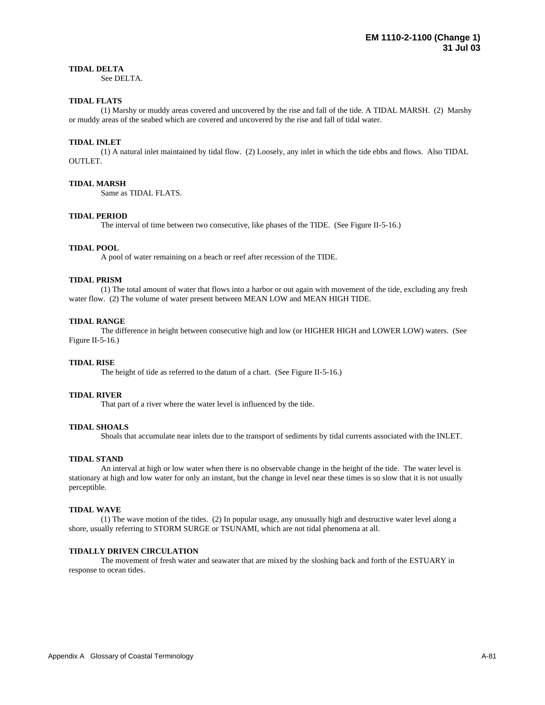## **TIDAL DELTA**

See DELTA.

## **TIDAL FLATS**

(1) Marshy or muddy areas covered and uncovered by the rise and fall of the tide. A TIDAL MARSH. (2) Marshy or muddy areas of the seabed which are covered and uncovered by the rise and fall of tidal water.

## **TIDAL INLET**

(1) A natural inlet maintained by tidal flow. (2) Loosely, any inlet in which the tide ebbs and flows. Also TIDAL OUTLET.

### **TIDAL MARSH**

Same as TIDAL FLATS.

## **TIDAL PERIOD**

The interval of time between two consecutive, like phases of the TIDE. (See Figure II-5-16.)

#### **TIDAL POOL**

A pool of water remaining on a beach or reef after recession of the TIDE.

### **TIDAL PRISM**

(1) The total amount of water that flows into a harbor or out again with movement of the tide, excluding any fresh water flow. (2) The volume of water present between MEAN LOW and MEAN HIGH TIDE.

#### **TIDAL RANGE**

The difference in height between consecutive high and low (or HIGHER HIGH and LOWER LOW) waters. (See Figure II-5-16.)

## **TIDAL RISE**

The height of tide as referred to the datum of a chart. (See Figure II-5-16.)

#### **TIDAL RIVER**

That part of a river where the water level is influenced by the tide.

#### **TIDAL SHOALS**

Shoals that accumulate near inlets due to the transport of sediments by tidal currents associated with the INLET.

### **TIDAL STAND**

An interval at high or low water when there is no observable change in the height of the tide. The water level is stationary at high and low water for only an instant, but the change in level near these times is so slow that it is not usually perceptible.

#### **TIDAL WAVE**

(1) The wave motion of the tides. (2) In popular usage, any unusually high and destructive water level along a shore, usually referring to STORM SURGE or TSUNAMI, which are not tidal phenomena at all.

## **TIDALLY DRIVEN CIRCULATION**

The movement of fresh water and seawater that are mixed by the sloshing back and forth of the ESTUARY in response to ocean tides.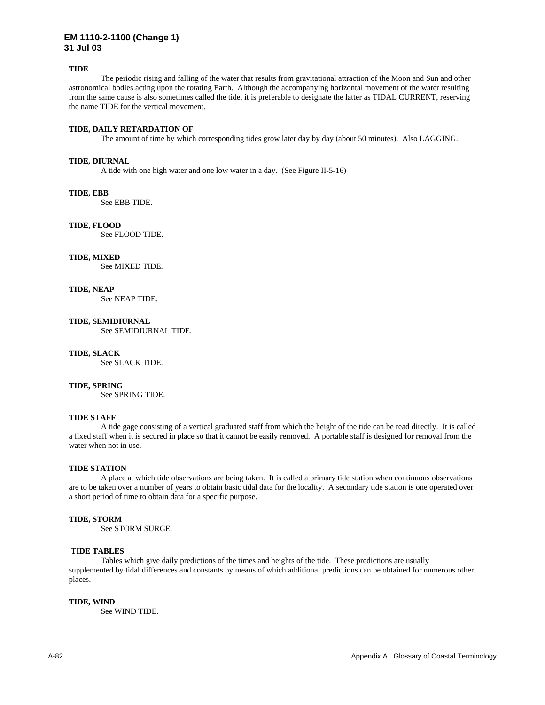## **TIDE**

The periodic rising and falling of the water that results from gravitational attraction of the Moon and Sun and other astronomical bodies acting upon the rotating Earth. Although the accompanying horizontal movement of the water resulting from the same cause is also sometimes called the tide, it is preferable to designate the latter as TIDAL CURRENT, reserving the name TIDE for the vertical movement.

#### **TIDE, DAILY RETARDATION OF**

The amount of time by which corresponding tides grow later day by day (about 50 minutes). Also LAGGING.

#### **TIDE, DIURNAL**

A tide with one high water and one low water in a day. (See Figure II-5-16)

#### **TIDE, EBB**

See EBB TIDE.

#### **TIDE, FLOOD**

See FLOOD TIDE.

#### **TIDE, MIXED**

See MIXED TIDE.

#### **TIDE, NEAP**

See NEAP TIDE.

#### **TIDE, SEMIDIURNAL**

See SEMIDIURNAL TIDE.

## **TIDE, SLACK**

See SLACK TIDE.

### **TIDE, SPRING**

See SPRING TIDE.

### **TIDE STAFF**

A tide gage consisting of a vertical graduated staff from which the height of the tide can be read directly. It is called a fixed staff when it is secured in place so that it cannot be easily removed. A portable staff is designed for removal from the water when not in use.

#### **TIDE STATION**

A place at which tide observations are being taken. It is called a primary tide station when continuous observations are to be taken over a number of years to obtain basic tidal data for the locality. A secondary tide station is one operated over a short period of time to obtain data for a specific purpose.

#### **TIDE, STORM**

See STORM SURGE.

## **TIDE TABLES**

Tables which give daily predictions of the times and heights of the tide. These predictions are usually supplemented by tidal differences and constants by means of which additional predictions can be obtained for numerous other places.

## **TIDE, WIND**

See WIND TIDE.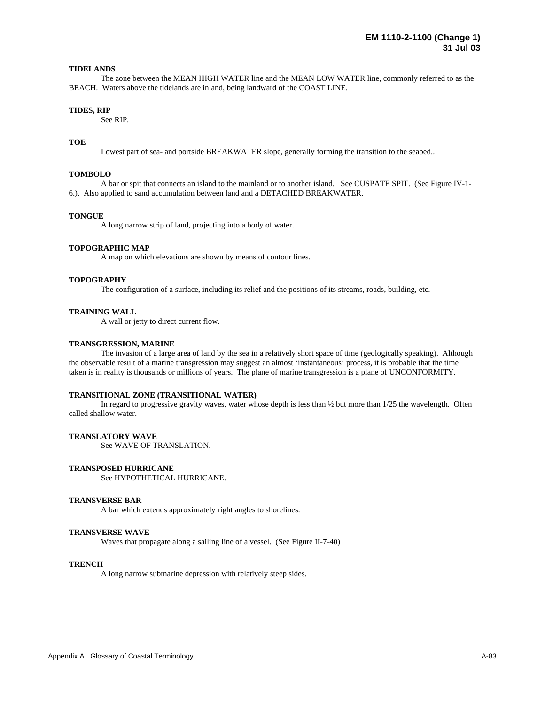## **TIDELANDS**

The zone between the MEAN HIGH WATER line and the MEAN LOW WATER line, commonly referred to as the BEACH. Waters above the tidelands are inland, being landward of the COAST LINE.

## **TIDES, RIP**

See RIP.

## **TOE**

Lowest part of sea- and portside BREAKWATER slope, generally forming the transition to the seabed..

### **TOMBOLO**

A bar or spit that connects an island to the mainland or to another island. See CUSPATE SPIT. (See Figure IV-1- 6.). Also applied to sand accumulation between land and a DETACHED BREAKWATER.

## **TONGUE**

A long narrow strip of land, projecting into a body of water.

#### **TOPOGRAPHIC MAP**

A map on which elevations are shown by means of contour lines.

#### **TOPOGRAPHY**

The configuration of a surface, including its relief and the positions of its streams, roads, building, etc.

### **TRAINING WALL**

A wall or jetty to direct current flow.

### **TRANSGRESSION, MARINE**

The invasion of a large area of land by the sea in a relatively short space of time (geologically speaking). Although the observable result of a marine transgression may suggest an almost 'instantaneous' process, it is probable that the time taken is in reality is thousands or millions of years. The plane of marine transgression is a plane of UNCONFORMITY.

### **TRANSITIONAL ZONE (TRANSITIONAL WATER)**

In regard to progressive gravity waves, water whose depth is less than  $\frac{1}{2}$  but more than  $\frac{1}{2}$  the wavelength. Often called shallow water.

## **TRANSLATORY WAVE**

See WAVE OF TRANSLATION.

#### **TRANSPOSED HURRICANE**

See HYPOTHETICAL HURRICANE.

#### **TRANSVERSE BAR**

A bar which extends approximately right angles to shorelines.

## **TRANSVERSE WAVE**

Waves that propagate along a sailing line of a vessel. (See Figure II-7-40)

#### **TRENCH**

A long narrow submarine depression with relatively steep sides.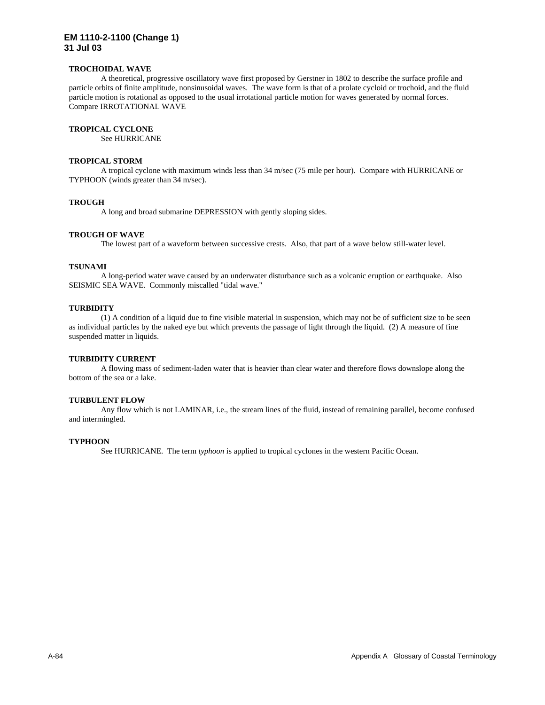## **TROCHOIDAL WAVE**

A theoretical, progressive oscillatory wave first proposed by Gerstner in 1802 to describe the surface profile and particle orbits of finite amplitude, nonsinusoidal waves. The wave form is that of a prolate cycloid or trochoid, and the fluid particle motion is rotational as opposed to the usual irrotational particle motion for waves generated by normal forces. Compare IRROTATIONAL WAVE

## **TROPICAL CYCLONE**

See HURRICANE

## **TROPICAL STORM**

A tropical cyclone with maximum winds less than 34 m/sec (75 mile per hour). Compare with HURRICANE or TYPHOON (winds greater than 34 m/sec).

### **TROUGH**

A long and broad submarine DEPRESSION with gently sloping sides.

## **TROUGH OF WAVE**

The lowest part of a waveform between successive crests. Also, that part of a wave below still-water level.

## **TSUNAMI**

A long-period water wave caused by an underwater disturbance such as a volcanic eruption or earthquake. Also SEISMIC SEA WAVE. Commonly miscalled "tidal wave."

## **TURBIDITY**

(1) A condition of a liquid due to fine visible material in suspension, which may not be of sufficient size to be seen as individual particles by the naked eye but which prevents the passage of light through the liquid. (2) A measure of fine suspended matter in liquids.

## **TURBIDITY CURRENT**

A flowing mass of sediment-laden water that is heavier than clear water and therefore flows downslope along the bottom of the sea or a lake.

### **TURBULENT FLOW**

Any flow which is not LAMINAR, i.e., the stream lines of the fluid, instead of remaining parallel, become confused and intermingled.

### **TYPHOON**

See HURRICANE. The term *typhoon* is applied to tropical cyclones in the western Pacific Ocean.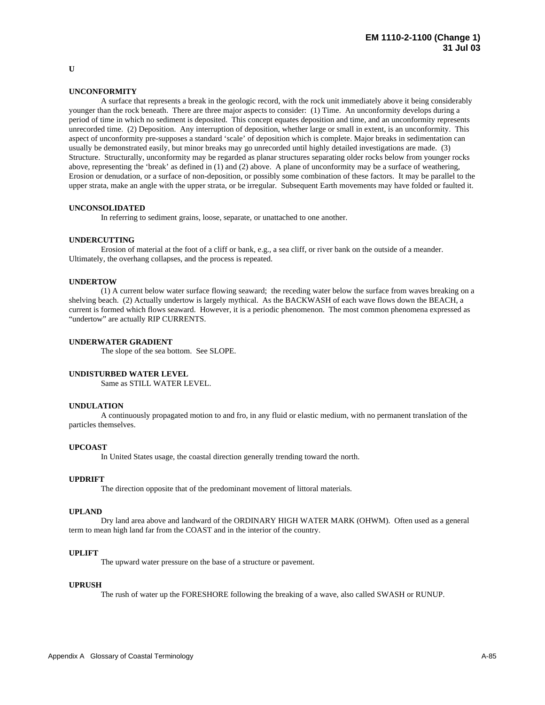#### **UNCONFORMITY**

A surface that represents a break in the geologic record, with the rock unit immediately above it being considerably younger than the rock beneath. There are three major aspects to consider: (1) Time. An unconformity develops during a period of time in which no sediment is deposited. This concept equates deposition and time, and an unconformity represents unrecorded time. (2) Deposition. Any interruption of deposition, whether large or small in extent, is an unconformity. This aspect of unconformity pre-supposes a standard 'scale' of deposition which is complete. Major breaks in sedimentation can usually be demonstrated easily, but minor breaks may go unrecorded until highly detailed investigations are made. (3) Structure. Structurally, unconformity may be regarded as planar structures separating older rocks below from younger rocks above, representing the 'break' as defined in (1) and (2) above. A plane of unconformity may be a surface of weathering, Erosion or denudation, or a surface of non-deposition, or possibly some combination of these factors. It may be parallel to the upper strata, make an angle with the upper strata, or be irregular. Subsequent Earth movements may have folded or faulted it.

#### **UNCONSOLIDATED**

In referring to sediment grains, loose, separate, or unattached to one another.

#### **UNDERCUTTING**

Erosion of material at the foot of a cliff or bank, e.g., a sea cliff, or river bank on the outside of a meander. Ultimately, the overhang collapses, and the process is repeated.

#### **UNDERTOW**

(1) A current below water surface flowing seaward; the receding water below the surface from waves breaking on a shelving beach. (2) Actually undertow is largely mythical. As the BACKWASH of each wave flows down the BEACH, a current is formed which flows seaward. However, it is a periodic phenomenon. The most common phenomena expressed as "undertow" are actually RIP CURRENTS.

#### **UNDERWATER GRADIENT**

The slope of the sea bottom. See SLOPE.

### **UNDISTURBED WATER LEVEL**

Same as STILL WATER LEVEL.

## **UNDULATION**

A continuously propagated motion to and fro, in any fluid or elastic medium, with no permanent translation of the particles themselves.

#### **UPCOAST**

In United States usage, the coastal direction generally trending toward the north.

#### **UPDRIFT**

The direction opposite that of the predominant movement of littoral materials.

#### **UPLAND**

Dry land area above and landward of the ORDINARY HIGH WATER MARK (OHWM). Often used as a general term to mean high land far from the COAST and in the interior of the country.

## **UPLIFT**

The upward water pressure on the base of a structure or pavement.

## **UPRUSH**

The rush of water up the FORESHORE following the breaking of a wave, also called SWASH or RUNUP.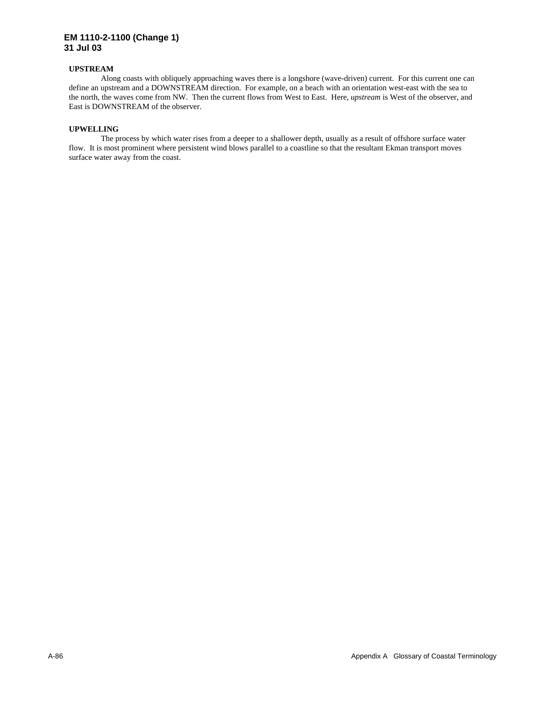## **UPSTREAM**

Along coasts with obliquely approaching waves there is a longshore (wave-driven) current. For this current one can define an upstream and a DOWNSTREAM direction. For example, on a beach with an orientation west-east with the sea to the north, the waves come from NW. Then the current flows from West to East. Here, *upstream* is West of the observer, and East is DOWNSTREAM of the observer.

### **UPWELLING**

The process by which water rises from a deeper to a shallower depth, usually as a result of offshore surface water flow. It is most prominent where persistent wind blows parallel to a coastline so that the resultant Ekman transport moves surface water away from the coast.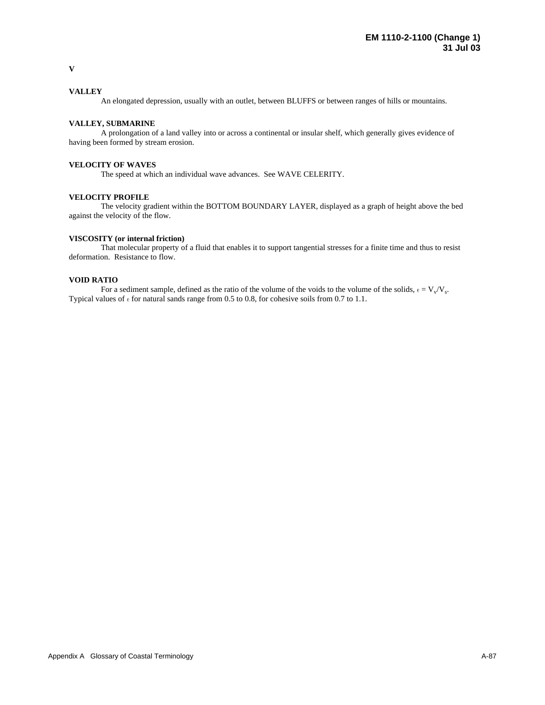#### **VALLEY**

An elongated depression, usually with an outlet, between BLUFFS or between ranges of hills or mountains.

## **VALLEY, SUBMARINE**

A prolongation of a land valley into or across a continental or insular shelf, which generally gives evidence of having been formed by stream erosion.

### **VELOCITY OF WAVES**

The speed at which an individual wave advances. See WAVE CELERITY.

## **VELOCITY PROFILE**

The velocity gradient within the BOTTOM BOUNDARY LAYER, displayed as a graph of height above the bed against the velocity of the flow.

### **VISCOSITY (or internal friction)**

That molecular property of a fluid that enables it to support tangential stresses for a finite time and thus to resist deformation. Resistance to flow.

## **VOID RATIO**

For a sediment sample, defined as the ratio of the volume of the voids to the volume of the solids,  $e = V_v/V_s$ . Typical values of  $\epsilon$  for natural sands range from 0.5 to 0.8, for cohesive soils from 0.7 to 1.1.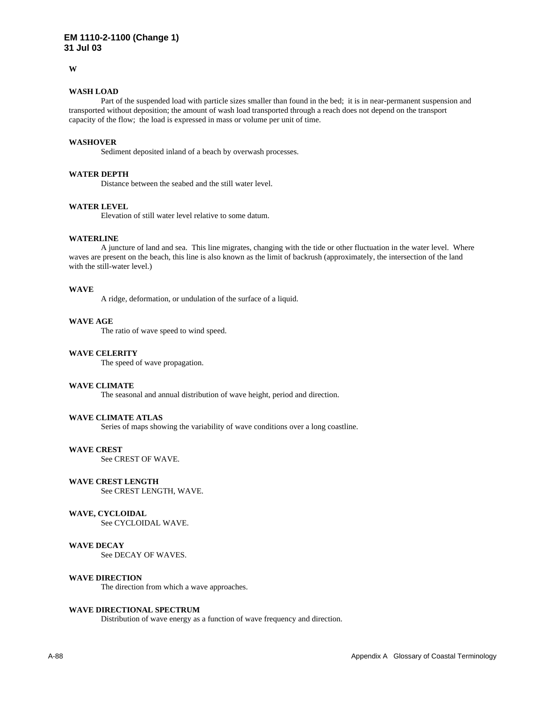## **W**

### **WASH LOAD**

Part of the suspended load with particle sizes smaller than found in the bed; it is in near-permanent suspension and transported without deposition; the amount of wash load transported through a reach does not depend on the transport capacity of the flow; the load is expressed in mass or volume per unit of time.

## **WASHOVER**

Sediment deposited inland of a beach by overwash processes.

## **WATER DEPTH**

Distance between the seabed and the still water level.

## **WATER LEVEL**

Elevation of still water level relative to some datum.

## **WATERLINE**

A juncture of land and sea. This line migrates, changing with the tide or other fluctuation in the water level. Where waves are present on the beach, this line is also known as the limit of backrush (approximately, the intersection of the land with the still-water level.)

### **WAVE**

A ridge, deformation, or undulation of the surface of a liquid.

#### **WAVE AGE**

The ratio of wave speed to wind speed.

### **WAVE CELERITY**

The speed of wave propagation.

#### **WAVE CLIMATE**

The seasonal and annual distribution of wave height, period and direction.

## **WAVE CLIMATE ATLAS**

Series of maps showing the variability of wave conditions over a long coastline.

### **WAVE CREST**

See CREST OF WAVE.

## **WAVE CREST LENGTH**

See CREST LENGTH, WAVE.

## **WAVE, CYCLOIDAL**

See CYCLOIDAL WAVE.

## **WAVE DECAY**

See DECAY OF WAVES.

#### **WAVE DIRECTION**

The direction from which a wave approaches.

## **WAVE DIRECTIONAL SPECTRUM**

Distribution of wave energy as a function of wave frequency and direction.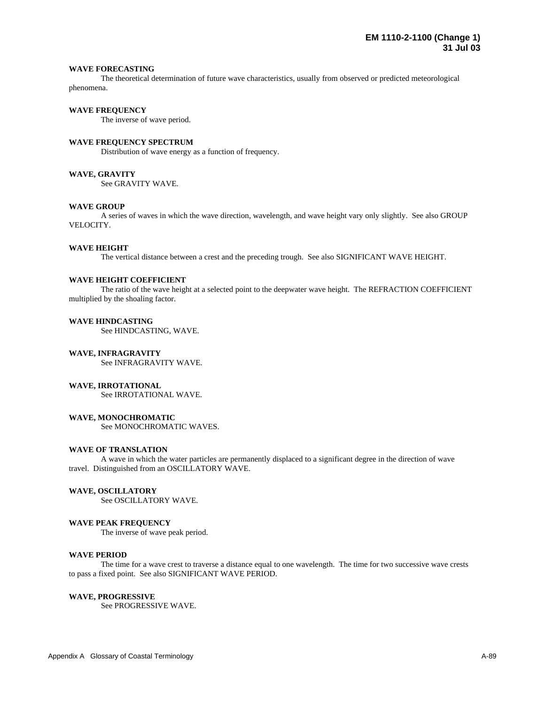## **WAVE FORECASTING**

The theoretical determination of future wave characteristics, usually from observed or predicted meteorological phenomena.

## **WAVE FREQUENCY**

The inverse of wave period.

## **WAVE FREQUENCY SPECTRUM**

Distribution of wave energy as a function of frequency.

#### **WAVE, GRAVITY**

See GRAVITY WAVE.

### **WAVE GROUP**

A series of waves in which the wave direction, wavelength, and wave height vary only slightly. See also GROUP VELOCITY.

#### **WAVE HEIGHT**

The vertical distance between a crest and the preceding trough. See also SIGNIFICANT WAVE HEIGHT.

#### **WAVE HEIGHT COEFFICIENT**

The ratio of the wave height at a selected point to the deepwater wave height. The REFRACTION COEFFICIENT multiplied by the shoaling factor.

**WAVE HINDCASTING**

See HINDCASTING, WAVE.

**WAVE, INFRAGRAVITY** See INFRAGRAVITY WAVE.

## **WAVE, IRROTATIONAL**

See IRROTATIONAL WAVE.

### **WAVE, MONOCHROMATIC**

See MONOCHROMATIC WAVES.

## **WAVE OF TRANSLATION**

A wave in which the water particles are permanently displaced to a significant degree in the direction of wave travel. Distinguished from an OSCILLATORY WAVE.

### **WAVE, OSCILLATORY**

See OSCILLATORY WAVE.

### **WAVE PEAK FREQUENCY**

The inverse of wave peak period.

## **WAVE PERIOD**

The time for a wave crest to traverse a distance equal to one wavelength. The time for two successive wave crests to pass a fixed point. See also SIGNIFICANT WAVE PERIOD.

## **WAVE, PROGRESSIVE**

See PROGRESSIVE WAVE.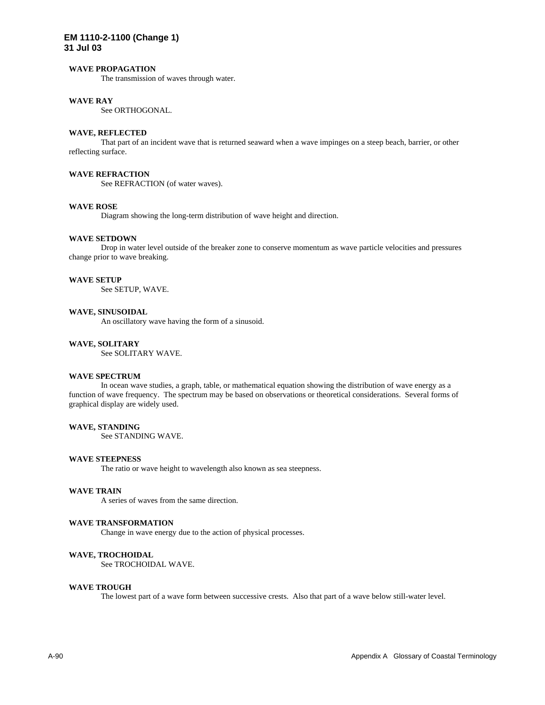## **WAVE PROPAGATION**

The transmission of waves through water.

## **WAVE RAY**

See ORTHOGONAL.

## **WAVE, REFLECTED**

That part of an incident wave that is returned seaward when a wave impinges on a steep beach, barrier, or other reflecting surface.

#### **WAVE REFRACTION**

See REFRACTION (of water waves).

## **WAVE ROSE**

Diagram showing the long-term distribution of wave height and direction.

#### **WAVE SETDOWN**

Drop in water level outside of the breaker zone to conserve momentum as wave particle velocities and pressures change prior to wave breaking.

#### **WAVE SETUP**

See SETUP, WAVE.

## **WAVE, SINUSOIDAL**

An oscillatory wave having the form of a sinusoid.

## **WAVE, SOLITARY**

See SOLITARY WAVE.

#### **WAVE SPECTRUM**

In ocean wave studies, a graph, table, or mathematical equation showing the distribution of wave energy as a function of wave frequency. The spectrum may be based on observations or theoretical considerations. Several forms of graphical display are widely used.

## **WAVE, STANDING**

See STANDING WAVE.

#### **WAVE STEEPNESS**

The ratio or wave height to wavelength also known as sea steepness.

## **WAVE TRAIN**

A series of waves from the same direction.

#### **WAVE TRANSFORMATION**

Change in wave energy due to the action of physical processes.

## **WAVE, TROCHOIDAL**

See TROCHOIDAL WAVE.

## **WAVE TROUGH**

The lowest part of a wave form between successive crests. Also that part of a wave below still-water level.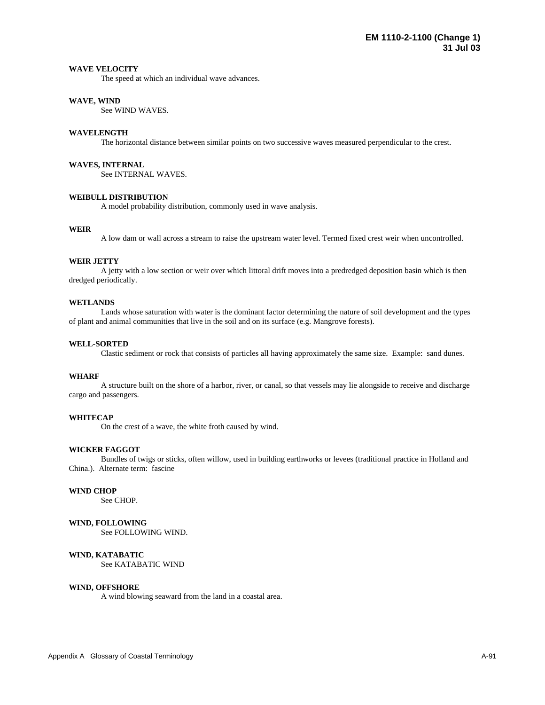## **WAVE VELOCITY**

The speed at which an individual wave advances.

## **WAVE, WIND**

See WIND WAVES.

### **WAVELENGTH**

The horizontal distance between similar points on two successive waves measured perpendicular to the crest.

### **WAVES, INTERNAL**

See INTERNAL WAVES.

## **WEIBULL DISTRIBUTION**

A model probability distribution, commonly used in wave analysis.

#### **WEIR**

A low dam or wall across a stream to raise the upstream water level. Termed fixed crest weir when uncontrolled.

#### **WEIR JETTY**

A jetty with a low section or weir over which littoral drift moves into a predredged deposition basin which is then dredged periodically.

#### **WETLANDS**

Lands whose saturation with water is the dominant factor determining the nature of soil development and the types of plant and animal communities that live in the soil and on its surface (e.g. Mangrove forests).

## **WELL-SORTED**

Clastic sediment or rock that consists of particles all having approximately the same size. Example: sand dunes.

#### **WHARF**

A structure built on the shore of a harbor, river, or canal, so that vessels may lie alongside to receive and discharge cargo and passengers.

## **WHITECAP**

On the crest of a wave, the white froth caused by wind.

## **WICKER FAGGOT**

Bundles of twigs or sticks, often willow, used in building earthworks or levees (traditional practice in Holland and China.). Alternate term: fascine

#### **WIND CHOP**

See CHOP.

## **WIND, FOLLOWING**

See FOLLOWING WIND.

### **WIND, KATABATIC**

See KATABATIC WIND

## **WIND, OFFSHORE**

A wind blowing seaward from the land in a coastal area.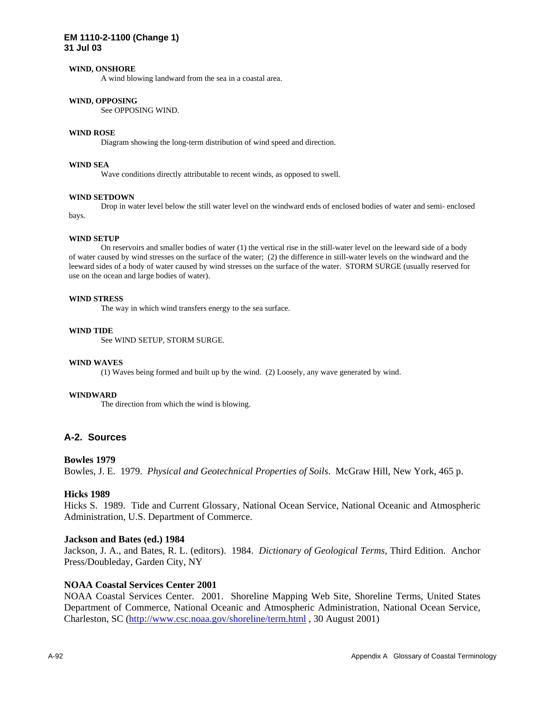## **WIND, ONSHORE**

A wind blowing landward from the sea in a coastal area.

## **WIND, OPPOSING**

See OPPOSING WIND.

## **WIND ROSE**

Diagram showing the long-term distribution of wind speed and direction.

### **WIND SEA**

Wave conditions directly attributable to recent winds, as opposed to swell.

## **WIND SETDOWN**

Drop in water level below the still water level on the windward ends of enclosed bodies of water and semi- enclosed bays.

## **WIND SETUP**

On reservoirs and smaller bodies of water (1) the vertical rise in the still-water level on the leeward side of a body of water caused by wind stresses on the surface of the water; (2) the difference in still-water levels on the windward and the leeward sides of a body of water caused by wind stresses on the surface of the water. STORM SURGE (usually reserved for use on the ocean and large bodies of water).

### **WIND STRESS**

The way in which wind transfers energy to the sea surface.

#### **WIND TIDE**

See WIND SETUP, STORM SURGE.

### **WIND WAVES**

(1) Waves being formed and built up by the wind. (2) Loosely, any wave generated by wind.

#### **WINDWARD**

The direction from which the wind is blowing.

# **A-2. Sources**

## **Bowles 1979**

Bowles, J. E. 1979. *Physical and Geotechnical Properties of Soils*. McGraw Hill, New York, 465 p.

## **Hicks 1989**

Hicks S. 1989. Tide and Current Glossary, National Ocean Service, National Oceanic and Atmospheric Administration, U.S. Department of Commerce.

## **Jackson and Bates (ed.) 1984**

Jackson, J. A., and Bates, R. L. (editors). 1984. *Dictionary of Geological Terms,* Third Edition. Anchor Press/Doubleday, Garden City, NY

## **NOAA Coastal Services Center 2001**

NOAA Coastal Services Center. 2001. Shoreline Mapping Web Site, Shoreline Terms, United States Department of Commerce, National Oceanic and Atmospheric Administration, National Ocean Service, Charleston, SC (http://www.csc.noaa.gov/shoreline/term.html , 30 August 2001)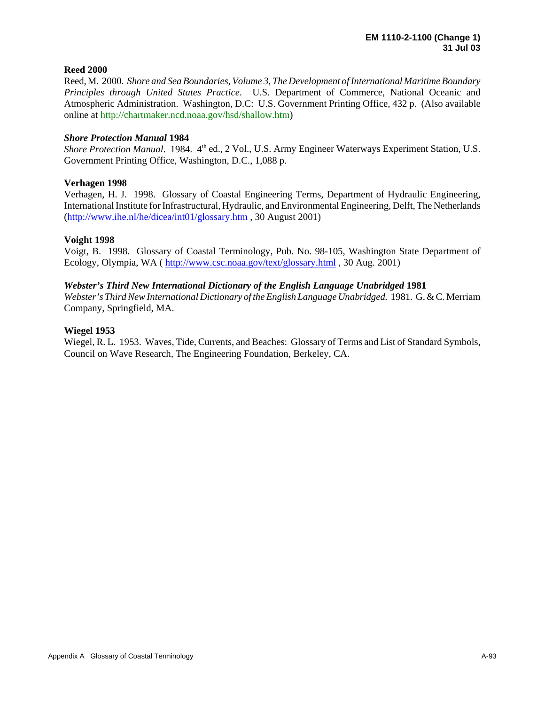# **Reed 2000**

Reed, M. 2000. *Shore and Sea Boundaries, Volume 3, The Development of International Maritime Boundary Principles through United States Practice*. U.S. Department of Commerce, National Oceanic and Atmospheric Administration. Washington, D.C: U.S. Government Printing Office, 432 p. (Also available online at http://chartmaker.ncd.noaa.gov/hsd/shallow.htm)

# *Shore Protection Manual* **1984**

*Shore Protection Manual.* 1984. 4<sup>th</sup> ed., 2 Vol., U.S. Army Engineer Waterways Experiment Station, U.S. Government Printing Office, Washington, D.C., 1,088 p.

# **Verhagen 1998**

Verhagen, H. J. 1998. Glossary of Coastal Engineering Terms, Department of Hydraulic Engineering, International Institute for Infrastructural, Hydraulic, and Environmental Engineering, Delft, The Netherlands (http://www.ihe.nl/he/dicea/int01/glossary.htm , 30 August 2001)

# **Voight 1998**

Voigt, B. 1998. Glossary of Coastal Terminology, Pub. No. 98-105, Washington State Department of Ecology, Olympia, WA ( http://www.csc.noaa.gov/text/glossary.html , 30 Aug. 2001)

# *Webster's Third New International Dictionary of the English Language Unabridged* **1981**

*Webster's Third New International Dictionary of the English Language Unabridged.* 1981. G. & C. Merriam Company, Springfield, MA.

# **Wiegel 1953**

Wiegel, R. L. 1953. Waves, Tide, Currents, and Beaches: Glossary of Terms and List of Standard Symbols, Council on Wave Research, The Engineering Foundation, Berkeley, CA.